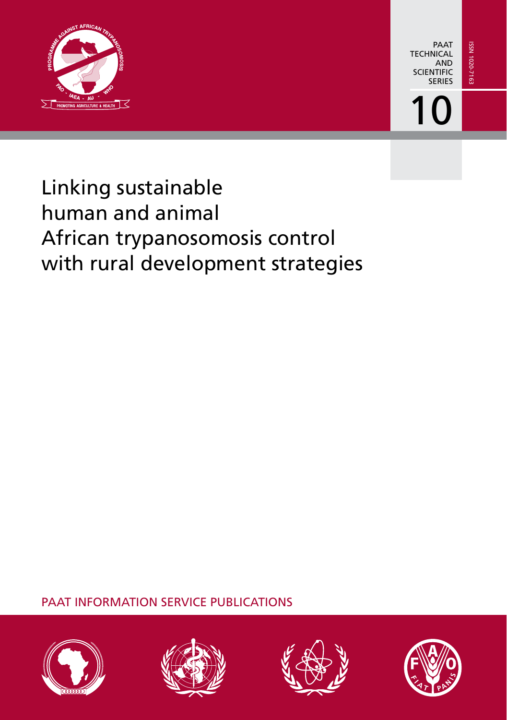

PAAT **TECHNICAL** AND **SCIENTIFIC SERIES** 

10

# Linking sustainable human and animal African trypanosomosis control with rural development strategies

PAAT INFORMATION SERVICE PUBLICATIONS







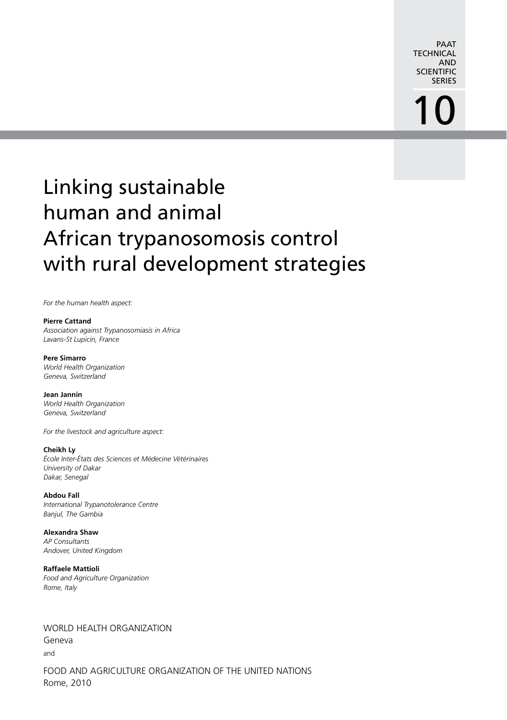PAAT **TECHNICAL** AND **SCIENTIFIC** SERIES

# 10

# Linking sustainable human and animal African trypanosomosis control with rural development strategies

*For the human health aspect:*

#### **Pierre Cattand**

*Association against Trypanosomiasis in Africa Lavans-St Lupicin, France*

#### **Pere Simarro**

*World Health Organization Geneva, Switzerland*

#### **Jean Jannin**

*World Health Organization Geneva, Switzerland*

*For the livestock and agriculture aspect:*

#### **Cheikh Ly**

*École Inter-États des Sciences et Médecine Vétérinaires University of Dakar Dakar, Senegal*

**Abdou Fall** *International Trypanotolerance Centre Banjul, The Gambia*

**Alexandra Shaw** *AP Consultants Andover, United Kingdom*

**Raffaele Mattioli** *Food and Agriculture Organization Rome, Italy*

WORLD HEALTH ORGANIZATION Geneva

and

FOOD AND AGRICULTURE ORGANIZATION OF THE UNITED NATIONS Rome, 2010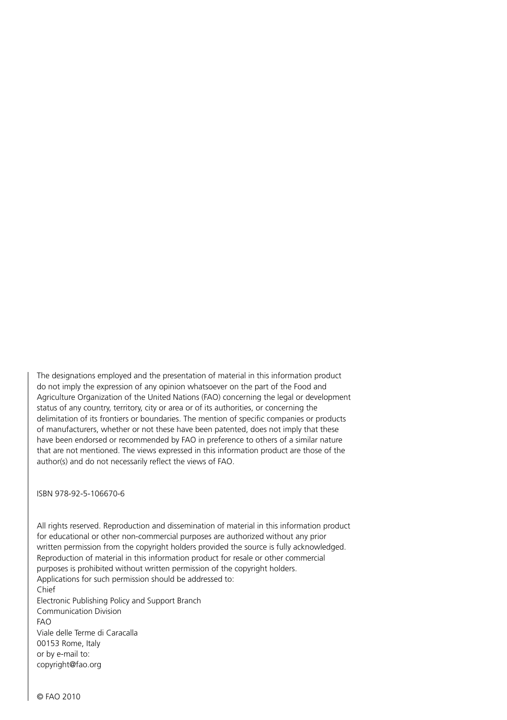The designations employed and the presentation of material in this information product do not imply the expression of any opinion whatsoever on the part of the Food and Agriculture Organization of the United Nations (FAO) concerning the legal or development status of any country, territory, city or area or of its authorities, or concerning the delimitation of its frontiers or boundaries. The mention of specific companies or products of manufacturers, whether or not these have been patented, does not imply that these have been endorsed or recommended by FAO in preference to others of a similar nature that are not mentioned. The views expressed in this information product are those of the author(s) and do not necessarily reflect the views of FAO.

ISBN 978-92-5-106670-6

All rights reserved. Reproduction and dissemination of material in this information product for educational or other non-commercial purposes are authorized without any prior written permission from the copyright holders provided the source is fully acknowledged. Reproduction of material in this information product for resale or other commercial purposes is prohibited without written permission of the copyright holders. Applications for such permission should be addressed to: Chief Electronic Publishing Policy and Support Branch Communication Division FAO Viale delle Terme di Caracalla 00153 Rome, Italy or by e-mail to: copyright@fao.org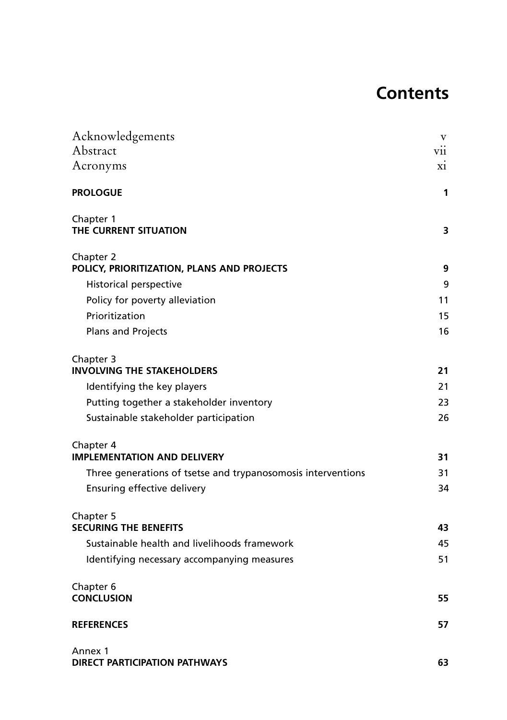# **Contents**

| Acknowledgements                                                                  | V        |
|-----------------------------------------------------------------------------------|----------|
| Abstract                                                                          | V11      |
| Acronyms                                                                          | X1       |
| <b>PROLOGUE</b>                                                                   | 1        |
| Chapter 1<br>THE CURRENT SITUATION                                                | 3        |
| Chapter 2<br>POLICY, PRIORITIZATION, PLANS AND PROJECTS                           | 9        |
| Historical perspective                                                            | 9        |
| Policy for poverty alleviation                                                    | 11       |
| Prioritization                                                                    | 15       |
| Plans and Projects                                                                | 16       |
| Chapter 3                                                                         |          |
| <b>INVOLVING THE STAKEHOLDERS</b>                                                 | 21       |
| Identifying the key players                                                       | 21       |
| Putting together a stakeholder inventory<br>Sustainable stakeholder participation | 23<br>26 |
|                                                                                   |          |
| Chapter 4<br><b>IMPLEMENTATION AND DELIVERY</b>                                   | 31       |
| Three generations of tsetse and trypanosomosis interventions                      | 31       |
| Ensuring effective delivery                                                       | 34       |
| Chapter 5<br><b>SECURING THE BENEFITS</b>                                         | 43       |
| Sustainable health and livelihoods framework                                      | 45       |
| Identifying necessary accompanying measures                                       | 51       |
| Chapter 6<br><b>CONCLUSION</b>                                                    | 55       |
| <b>REFERENCES</b>                                                                 | 57       |
| Annex 1<br><b>DIRECT PARTICIPATION PATHWAYS</b>                                   | 63       |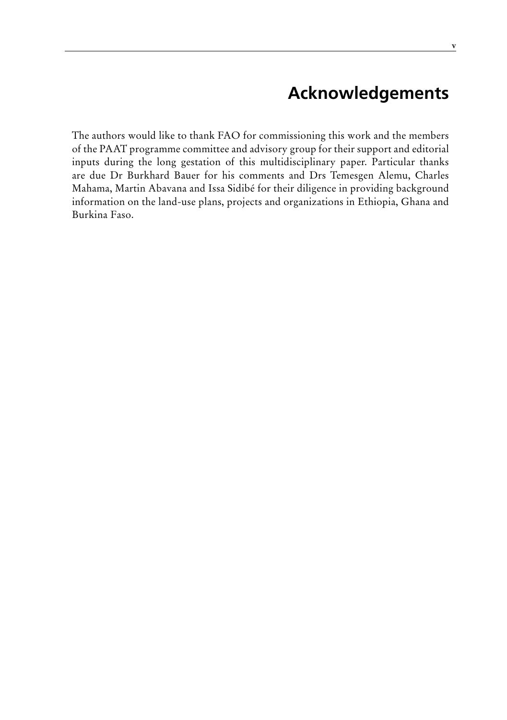# **Acknowledgements**

The authors would like to thank FAO for commissioning this work and the members of the PAAT programme committee and advisory group for their support and editorial inputs during the long gestation of this multidisciplinary paper. Particular thanks are due Dr Burkhard Bauer for his comments and Drs Temesgen Alemu, Charles Mahama, Martin Abavana and Issa Sidibé for their diligence in providing background information on the land-use plans, projects and organizations in Ethiopia, Ghana and Burkina Faso.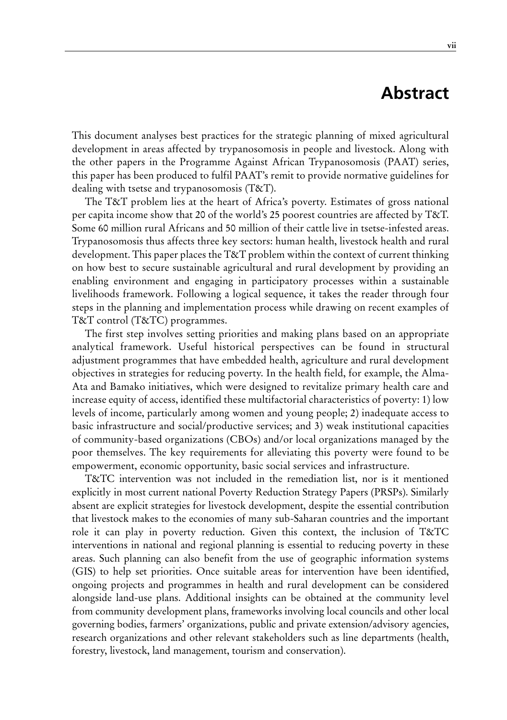## **Abstract**

This document analyses best practices for the strategic planning of mixed agricultural development in areas affected by trypanosomosis in people and livestock. Along with the other papers in the Programme Against African Trypanosomosis (PAAT) series, this paper has been produced to fulfil PAAT's remit to provide normative guidelines for dealing with tsetse and trypanosomosis (T&T).

The T&T problem lies at the heart of Africa's poverty. Estimates of gross national per capita income show that 20 of the world's 25 poorest countries are affected by T&T. Some 60 million rural Africans and 50 million of their cattle live in tsetse-infested areas. Trypanosomosis thus affects three key sectors: human health, livestock health and rural development. This paper places the T&T problem within the context of current thinking on how best to secure sustainable agricultural and rural development by providing an enabling environment and engaging in participatory processes within a sustainable livelihoods framework. Following a logical sequence, it takes the reader through four steps in the planning and implementation process while drawing on recent examples of T&T control (T&TC) programmes.

The first step involves setting priorities and making plans based on an appropriate analytical framework. Useful historical perspectives can be found in structural adjustment programmes that have embedded health, agriculture and rural development objectives in strategies for reducing poverty. In the health field, for example, the Alma-Ata and Bamako initiatives, which were designed to revitalize primary health care and increase equity of access, identified these multifactorial characteristics of poverty: 1) low levels of income, particularly among women and young people; 2) inadequate access to basic infrastructure and social/productive services; and 3) weak institutional capacities of community-based organizations (CBOs) and/or local organizations managed by the poor themselves. The key requirements for alleviating this poverty were found to be empowerment, economic opportunity, basic social services and infrastructure.

T&TC intervention was not included in the remediation list, nor is it mentioned explicitly in most current national Poverty Reduction Strategy Papers (PRSPs). Similarly absent are explicit strategies for livestock development, despite the essential contribution that livestock makes to the economies of many sub-Saharan countries and the important role it can play in poverty reduction. Given this context, the inclusion of T&TC interventions in national and regional planning is essential to reducing poverty in these areas. Such planning can also benefit from the use of geographic information systems (GIS) to help set priorities. Once suitable areas for intervention have been identified, ongoing projects and programmes in health and rural development can be considered alongside land-use plans. Additional insights can be obtained at the community level from community development plans, frameworks involving local councils and other local governing bodies, farmers' organizations, public and private extension/advisory agencies, research organizations and other relevant stakeholders such as line departments (health, forestry, livestock, land management, tourism and conservation).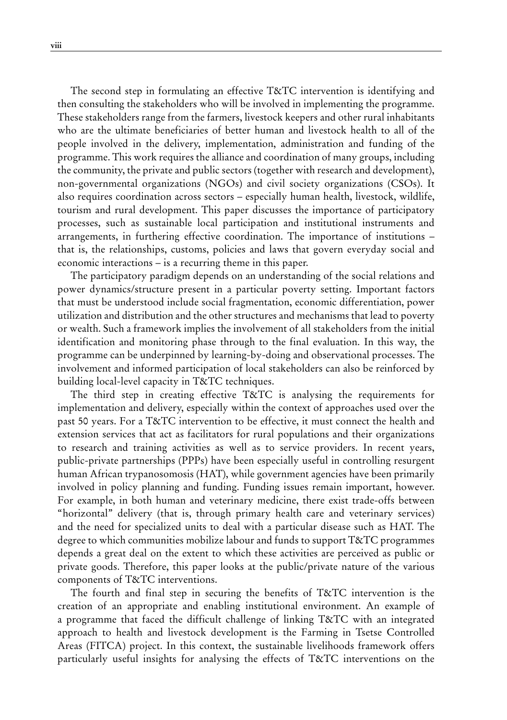The second step in formulating an effective T&TC intervention is identifying and then consulting the stakeholders who will be involved in implementing the programme. These stakeholders range from the farmers, livestock keepers and other rural inhabitants who are the ultimate beneficiaries of better human and livestock health to all of the people involved in the delivery, implementation, administration and funding of the programme. This work requires the alliance and coordination of many groups, including the community, the private and public sectors (together with research and development), non-governmental organizations (NGOs) and civil society organizations (CSOs). It also requires coordination across sectors – especially human health, livestock, wildlife, tourism and rural development. This paper discusses the importance of participatory processes, such as sustainable local participation and institutional instruments and arrangements, in furthering effective coordination. The importance of institutions – that is, the relationships, customs, policies and laws that govern everyday social and economic interactions – is a recurring theme in this paper.

The participatory paradigm depends on an understanding of the social relations and power dynamics/structure present in a particular poverty setting. Important factors that must be understood include social fragmentation, economic differentiation, power utilization and distribution and the other structures and mechanisms that lead to poverty or wealth. Such a framework implies the involvement of all stakeholders from the initial identification and monitoring phase through to the final evaluation. In this way, the programme can be underpinned by learning-by-doing and observational processes. The involvement and informed participation of local stakeholders can also be reinforced by building local-level capacity in T&TC techniques.

The third step in creating effective T&TC is analysing the requirements for implementation and delivery, especially within the context of approaches used over the past 50 years. For a T&TC intervention to be effective, it must connect the health and extension services that act as facilitators for rural populations and their organizations to research and training activities as well as to service providers. In recent years, public-private partnerships (PPPs) have been especially useful in controlling resurgent human African trypanosomosis (HAT), while government agencies have been primarily involved in policy planning and funding. Funding issues remain important, however. For example, in both human and veterinary medicine, there exist trade-offs between "horizontal" delivery (that is, through primary health care and veterinary services) and the need for specialized units to deal with a particular disease such as HAT. The degree to which communities mobilize labour and funds to support T&TC programmes depends a great deal on the extent to which these activities are perceived as public or private goods. Therefore, this paper looks at the public/private nature of the various components of T&TC interventions.

The fourth and final step in securing the benefits of T&TC intervention is the creation of an appropriate and enabling institutional environment. An example of a programme that faced the difficult challenge of linking T&TC with an integrated approach to health and livestock development is the Farming in Tsetse Controlled Areas (FITCA) project. In this context, the sustainable livelihoods framework offers particularly useful insights for analysing the effects of T&TC interventions on the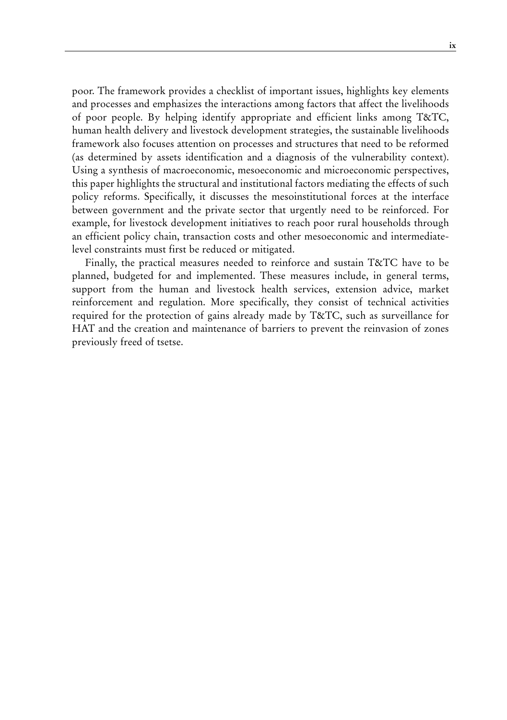poor. The framework provides a checklist of important issues, highlights key elements and processes and emphasizes the interactions among factors that affect the livelihoods of poor people. By helping identify appropriate and efficient links among T&TC, human health delivery and livestock development strategies, the sustainable livelihoods framework also focuses attention on processes and structures that need to be reformed (as determined by assets identification and a diagnosis of the vulnerability context). Using a synthesis of macroeconomic, mesoeconomic and microeconomic perspectives, this paper highlights the structural and institutional factors mediating the effects of such policy reforms. Specifically, it discusses the mesoinstitutional forces at the interface between government and the private sector that urgently need to be reinforced. For example, for livestock development initiatives to reach poor rural households through an efficient policy chain, transaction costs and other mesoeconomic and intermediatelevel constraints must first be reduced or mitigated.

Finally, the practical measures needed to reinforce and sustain T&TC have to be planned, budgeted for and implemented. These measures include, in general terms, support from the human and livestock health services, extension advice, market reinforcement and regulation. More specifically, they consist of technical activities required for the protection of gains already made by T&TC, such as surveillance for HAT and the creation and maintenance of barriers to prevent the reinvasion of zones previously freed of tsetse.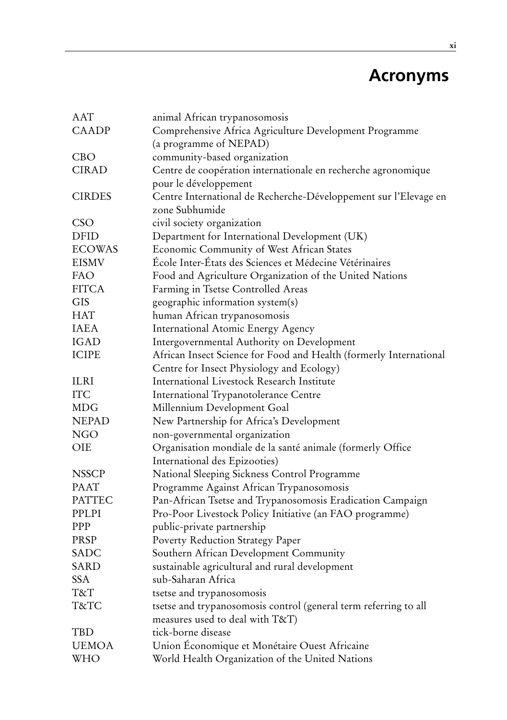# **Acronyms**

| AAT           | animal African trypanosomosis                                                                       |
|---------------|-----------------------------------------------------------------------------------------------------|
| CAADP         | Comprehensive Africa Agriculture Development Programme                                              |
|               | (a programme of NEPAD)                                                                              |
| <b>CBO</b>    | community-based organization                                                                        |
| <b>CIRAD</b>  | Centre de coopération internationale en recherche agronomique                                       |
|               | pour le développement                                                                               |
| <b>CIRDES</b> | Centre International de Recherche-Développement sur l'Elevage en                                    |
|               | zone Subhumide                                                                                      |
| <b>CSO</b>    | civil society organization                                                                          |
| <b>DFID</b>   | Department for International Development (UK)                                                       |
| <b>ECOWAS</b> | Economic Community of West African States                                                           |
| <b>EISMV</b>  | École Inter-États des Sciences et Médecine Vétérinaires                                             |
| FAO           | Food and Agriculture Organization of the United Nations                                             |
| <b>FITCA</b>  | Farming in Tsetse Controlled Areas                                                                  |
| <b>GIS</b>    | geographic information system(s)                                                                    |
| <b>HAT</b>    | human African trypanosomosis                                                                        |
| <b>IAEA</b>   | International Atomic Energy Agency                                                                  |
| IGAD          | Intergovernmental Authority on Development                                                          |
| <b>ICIPE</b>  | African Insect Science for Food and Health (formerly International                                  |
|               | Centre for Insect Physiology and Ecology)                                                           |
| ILRI          | International Livestock Research Institute                                                          |
| <b>ITC</b>    | International Trypanotolerance Centre                                                               |
| <b>MDG</b>    | Millennium Development Goal                                                                         |
| <b>NEPAD</b>  | New Partnership for Africa's Development                                                            |
| <b>NGO</b>    | non-governmental organization                                                                       |
| OIE           | Organisation mondiale de la santé animale (formerly Office                                          |
|               | International des Epizooties)                                                                       |
| <b>NSSCP</b>  | National Sleeping Sickness Control Programme                                                        |
| <b>PAAT</b>   | Programme Against African Trypanosomosis                                                            |
| <b>PATTEC</b> | Pan-African Tsetse and Trypanosomosis Eradication Campaign                                          |
| PPLPI         | Pro-Poor Livestock Policy Initiative (an FAO programme)                                             |
| PPP           | public-private partnership                                                                          |
| PRSP          | Poverty Reduction Strategy Paper                                                                    |
| SADC          | Southern African Development Community                                                              |
| <b>SARD</b>   | sustainable agricultural and rural development                                                      |
| SSA           | sub-Saharan Africa                                                                                  |
| T&T           | tsetse and trypanosomosis                                                                           |
| T&TC          | tsetse and trypanosomosis control (general term referring to all<br>measures used to deal with T&T) |
| TBD           | tick-borne disease                                                                                  |
| <b>UEMOA</b>  | Union Économique et Monétaire Ouest Africaine                                                       |
| WHO           | World Health Organization of the United Nations                                                     |
|               |                                                                                                     |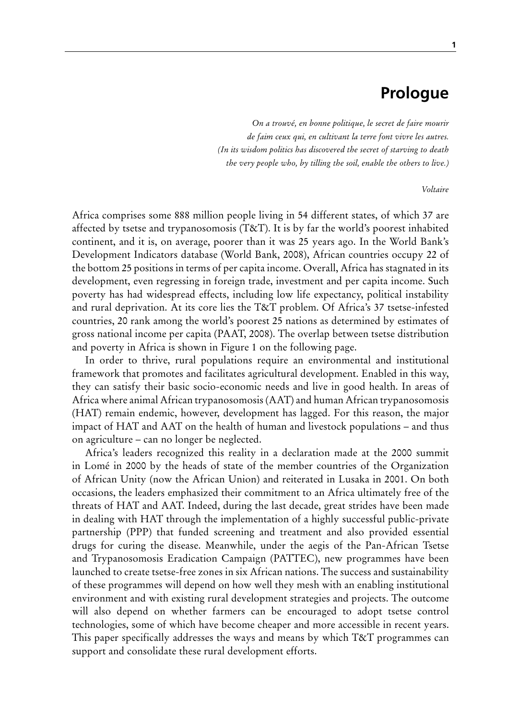### **Prologue**

*On a trouvé, en bonne politique, le secret de faire mourir de faim ceux qui, en cultivant la terre font vivre les autres. (In its wisdom politics has discovered the secret of starving to death the very people who, by tilling the soil, enable the others to live.)*

#### *Voltaire*

Africa comprises some 888 million people living in 54 different states, of which 37 are affected by tsetse and trypanosomosis (T&T). It is by far the world's poorest inhabited continent, and it is, on average, poorer than it was 25 years ago. In the World Bank's Development Indicators database (World Bank, 2008), African countries occupy 22 of the bottom 25 positions in terms of per capita income. Overall, Africa has stagnated in its development, even regressing in foreign trade, investment and per capita income. Such poverty has had widespread effects, including low life expectancy, political instability and rural deprivation. At its core lies the T&T problem. Of Africa's 37 tsetse-infested countries, 20 rank among the world's poorest 25 nations as determined by estimates of gross national income per capita (PAAT, 2008). The overlap between tsetse distribution and poverty in Africa is shown in Figure 1 on the following page.

In order to thrive, rural populations require an environmental and institutional framework that promotes and facilitates agricultural development. Enabled in this way, they can satisfy their basic socio-economic needs and live in good health. In areas of Africa where animal African trypanosomosis (AAT) and human African trypanosomosis (HAT) remain endemic, however, development has lagged. For this reason, the major impact of HAT and AAT on the health of human and livestock populations – and thus on agriculture – can no longer be neglected.

Africa's leaders recognized this reality in a declaration made at the 2000 summit in Lomé in 2000 by the heads of state of the member countries of the Organization of African Unity (now the African Union) and reiterated in Lusaka in 2001. On both occasions, the leaders emphasized their commitment to an Africa ultimately free of the threats of HAT and AAT. Indeed, during the last decade, great strides have been made in dealing with HAT through the implementation of a highly successful public-private partnership (PPP) that funded screening and treatment and also provided essential drugs for curing the disease. Meanwhile, under the aegis of the Pan-African Tsetse and Trypanosomosis Eradication Campaign (PATTEC), new programmes have been launched to create tsetse-free zones in six African nations. The success and sustainability of these programmes will depend on how well they mesh with an enabling institutional environment and with existing rural development strategies and projects. The outcome will also depend on whether farmers can be encouraged to adopt tsetse control technologies, some of which have become cheaper and more accessible in recent years. This paper specifically addresses the ways and means by which T&T programmes can support and consolidate these rural development efforts.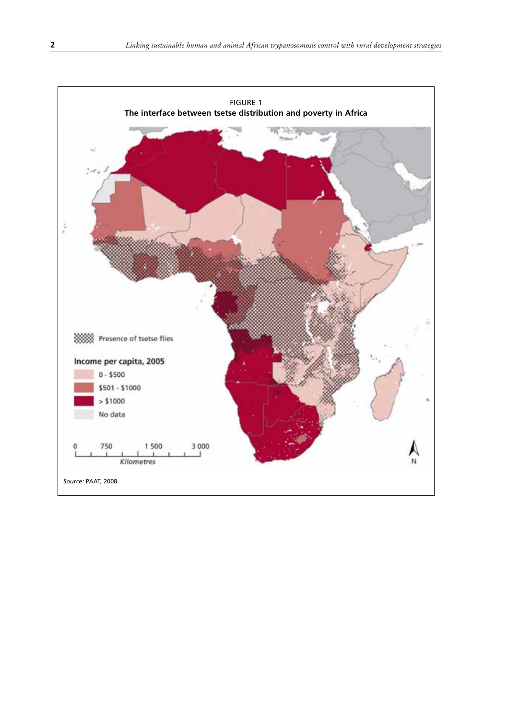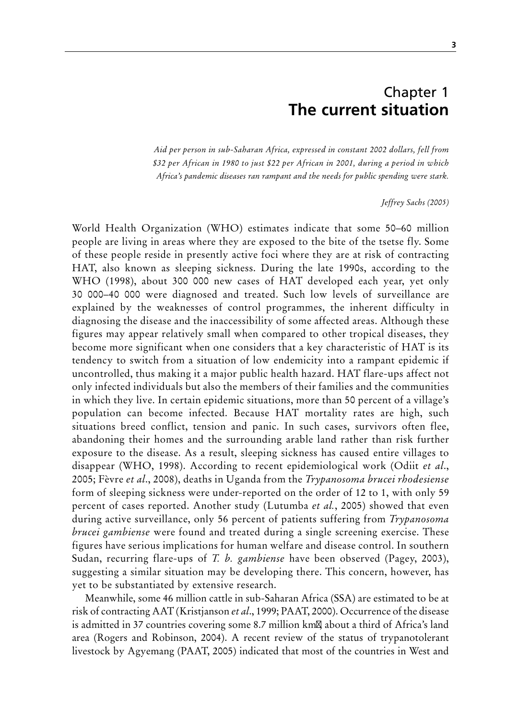### Chapter 1 **The current situation**

*Aid per person in sub-Saharan Africa, expressed in constant 2002 dollars, fell from \$32 per African in 1980 to just \$22 per African in 2001, during a period in which Africa's pandemic diseases ran rampant and the needs for public spending were stark.* 

*Jeffrey Sachs (2005)* 

World Health Organization (WHO) estimates indicate that some 50–60 million people are living in areas where they are exposed to the bite of the tsetse fly. Some of these people reside in presently active foci where they are at risk of contracting HAT, also known as sleeping sickness. During the late 1990s, according to the WHO (1998), about 300 000 new cases of HAT developed each year, yet only 30 000–40 000 were diagnosed and treated. Such low levels of surveillance are explained by the weaknesses of control programmes, the inherent difficulty in diagnosing the disease and the inaccessibility of some affected areas. Although these figures may appear relatively small when compared to other tropical diseases, they become more significant when one considers that a key characteristic of HAT is its tendency to switch from a situation of low endemicity into a rampant epidemic if uncontrolled, thus making it a major public health hazard. HAT flare-ups affect not only infected individuals but also the members of their families and the communities in which they live. In certain epidemic situations, more than 50 percent of a village's population can become infected. Because HAT mortality rates are high, such situations breed conflict, tension and panic. In such cases, survivors often flee, abandoning their homes and the surrounding arable land rather than risk further exposure to the disease. As a result, sleeping sickness has caused entire villages to disappear (WHO, 1998). According to recent epidemiological work (Odiit *et al*., 2005; Fèvre *et al*., 2008), deaths in Uganda from the *Trypanosoma brucei rhodesiense* form of sleeping sickness were under-reported on the order of 12 to 1, with only 59 percent of cases reported. Another study (Lutumba *et al.*, 2005) showed that even during active surveillance, only 56 percent of patients suffering from *Trypanosoma brucei gambiense* were found and treated during a single screening exercise. These figures have serious implications for human welfare and disease control. In southern Sudan, recurring flare-ups of *T. b. gambiense* have been observed (Pagey, 2003), suggesting a similar situation may be developing there. This concern, however, has yet to be substantiated by extensive research.

Meanwhile, some 46 million cattle in sub-Saharan Africa (SSA) are estimated to be at risk of contracting AAT (Kristjanson *et al*., 1999; PAAT, 2000). Occurrence of the disease is admitted in 37 countries covering some 8.7 million km², about a third of Africa's land area (Rogers and Robinson, 2004). A recent review of the status of trypanotolerant livestock by Agyemang (PAAT, 2005) indicated that most of the countries in West and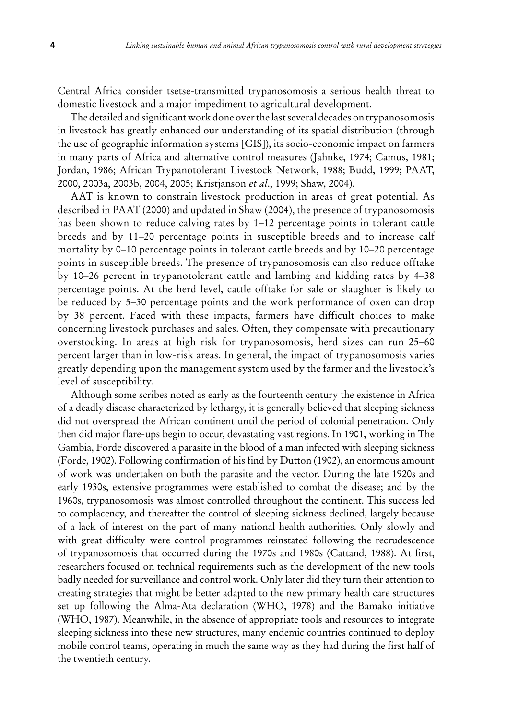Central Africa consider tsetse-transmitted trypanosomosis a serious health threat to domestic livestock and a major impediment to agricultural development.

The detailed and significant work done over the last several decades on trypanosomosis in livestock has greatly enhanced our understanding of its spatial distribution (through the use of geographic information systems [GIS]), its socio-economic impact on farmers in many parts of Africa and alternative control measures (Jahnke, 1974; Camus, 1981; Jordan, 1986; African Trypanotolerant Livestock Network, 1988; Budd, 1999; PAAT, 2000, 2003a, 2003b, 2004, 2005; Kristjanson *et al*., 1999; Shaw, 2004).

AAT is known to constrain livestock production in areas of great potential. As described in PAAT (2000) and updated in Shaw (2004), the presence of trypanosomosis has been shown to reduce calving rates by 1–12 percentage points in tolerant cattle breeds and by 11–20 percentage points in susceptible breeds and to increase calf mortality by 0–10 percentage points in tolerant cattle breeds and by 10–20 percentage points in susceptible breeds. The presence of trypanosomosis can also reduce offtake by 10–26 percent in trypanotolerant cattle and lambing and kidding rates by 4–38 percentage points. At the herd level, cattle offtake for sale or slaughter is likely to be reduced by 5–30 percentage points and the work performance of oxen can drop by 38 percent. Faced with these impacts, farmers have difficult choices to make concerning livestock purchases and sales. Often, they compensate with precautionary overstocking. In areas at high risk for trypanosomosis, herd sizes can run 25–60 percent larger than in low-risk areas. In general, the impact of trypanosomosis varies greatly depending upon the management system used by the farmer and the livestock's level of susceptibility.

Although some scribes noted as early as the fourteenth century the existence in Africa of a deadly disease characterized by lethargy, it is generally believed that sleeping sickness did not overspread the African continent until the period of colonial penetration. Only then did major flare-ups begin to occur, devastating vast regions. In 1901, working in The Gambia, Forde discovered a parasite in the blood of a man infected with sleeping sickness (Forde, 1902). Following confirmation of his find by Dutton (1902), an enormous amount of work was undertaken on both the parasite and the vector. During the late 1920s and early 1930s, extensive programmes were established to combat the disease; and by the 1960s, trypanosomosis was almost controlled throughout the continent. This success led to complacency, and thereafter the control of sleeping sickness declined, largely because of a lack of interest on the part of many national health authorities. Only slowly and with great difficulty were control programmes reinstated following the recrudescence of trypanosomosis that occurred during the 1970s and 1980s (Cattand, 1988). At first, researchers focused on technical requirements such as the development of the new tools badly needed for surveillance and control work. Only later did they turn their attention to creating strategies that might be better adapted to the new primary health care structures set up following the Alma-Ata declaration (WHO, 1978) and the Bamako initiative (WHO, 1987). Meanwhile, in the absence of appropriate tools and resources to integrate sleeping sickness into these new structures, many endemic countries continued to deploy mobile control teams, operating in much the same way as they had during the first half of the twentieth century.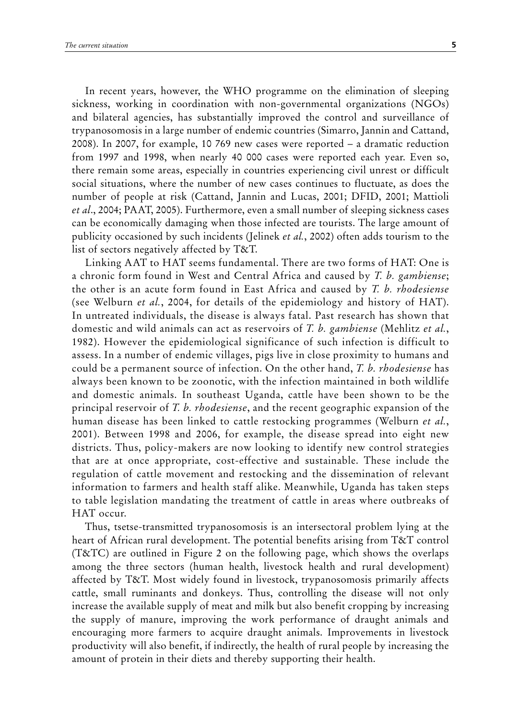In recent years, however, the WHO programme on the elimination of sleeping sickness, working in coordination with non-governmental organizations (NGOs) and bilateral agencies, has substantially improved the control and surveillance of trypanosomosis in a large number of endemic countries (Simarro, Jannin and Cattand, 2008). In 2007, for example, 10 769 new cases were reported – a dramatic reduction from 1997 and 1998, when nearly 40 000 cases were reported each year. Even so, there remain some areas, especially in countries experiencing civil unrest or difficult social situations, where the number of new cases continues to fluctuate, as does the number of people at risk (Cattand, Jannin and Lucas, 2001; DFID, 2001; Mattioli *et al*., 2004; PAAT, 2005). Furthermore, even a small number of sleeping sickness cases can be economically damaging when those infected are tourists. The large amount of publicity occasioned by such incidents (Jelinek *et al.*, 2002) often adds tourism to the list of sectors negatively affected by T&T.

Linking AAT to HAT seems fundamental. There are two forms of HAT: One is a chronic form found in West and Central Africa and caused by *T. b. gambiense*; the other is an acute form found in East Africa and caused by *T. b. rhodesiense* (see Welburn *et al.*, 2004, for details of the epidemiology and history of HAT). In untreated individuals, the disease is always fatal. Past research has shown that domestic and wild animals can act as reservoirs of *T. b. gambiense* (Mehlitz *et al.*, 1982). However the epidemiological significance of such infection is difficult to assess. In a number of endemic villages, pigs live in close proximity to humans and could be a permanent source of infection. On the other hand, *T. b. rhodesiense* has always been known to be zoonotic, with the infection maintained in both wildlife and domestic animals. In southeast Uganda, cattle have been shown to be the principal reservoir of *T. b. rhodesiense*, and the recent geographic expansion of the human disease has been linked to cattle restocking programmes (Welburn *et al.*, 2001). Between 1998 and 2006, for example, the disease spread into eight new districts. Thus, policy-makers are now looking to identify new control strategies that are at once appropriate, cost-effective and sustainable. These include the regulation of cattle movement and restocking and the dissemination of relevant information to farmers and health staff alike. Meanwhile, Uganda has taken steps to table legislation mandating the treatment of cattle in areas where outbreaks of HAT occur.

Thus, tsetse-transmitted trypanosomosis is an intersectoral problem lying at the heart of African rural development. The potential benefits arising from T&T control (T&TC) are outlined in Figure 2 on the following page, which shows the overlaps among the three sectors (human health, livestock health and rural development) affected by T&T. Most widely found in livestock, trypanosomosis primarily affects cattle, small ruminants and donkeys. Thus, controlling the disease will not only increase the available supply of meat and milk but also benefit cropping by increasing the supply of manure, improving the work performance of draught animals and encouraging more farmers to acquire draught animals. Improvements in livestock productivity will also benefit, if indirectly, the health of rural people by increasing the amount of protein in their diets and thereby supporting their health.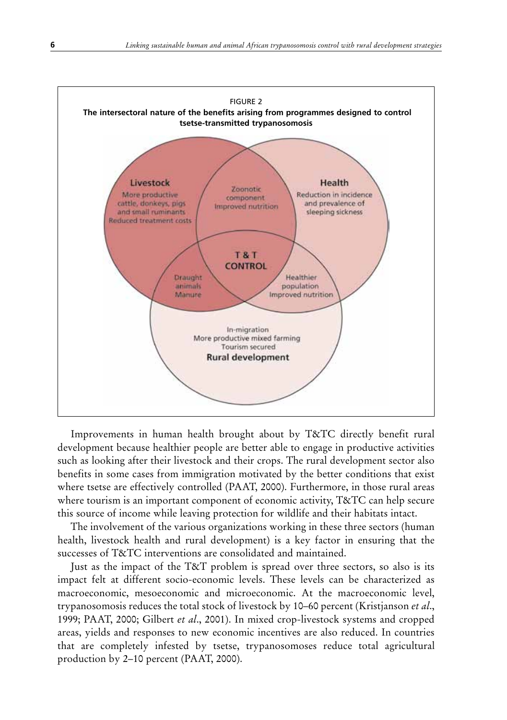

Improvements in human health brought about by T&TC directly benefit rural development because healthier people are better able to engage in productive activities such as looking after their livestock and their crops. The rural development sector also benefits in some cases from immigration motivated by the better conditions that exist where tsetse are effectively controlled (PAAT, 2000). Furthermore, in those rural areas where tourism is an important component of economic activity, T&TC can help secure this source of income while leaving protection for wildlife and their habitats intact.

The involvement of the various organizations working in these three sectors (human health, livestock health and rural development) is a key factor in ensuring that the successes of T&TC interventions are consolidated and maintained.

Just as the impact of the T&T problem is spread over three sectors, so also is its impact felt at different socio-economic levels. These levels can be characterized as macroeconomic, mesoeconomic and microeconomic. At the macroeconomic level, trypanosomosis reduces the total stock of livestock by 10–60 percent (Kristjanson *et al*., 1999; PAAT, 2000; Gilbert *et al*., 2001). In mixed crop-livestock systems and cropped areas, yields and responses to new economic incentives are also reduced. In countries that are completely infested by tsetse, trypanosomoses reduce total agricultural production by 2–10 percent (PAAT, 2000).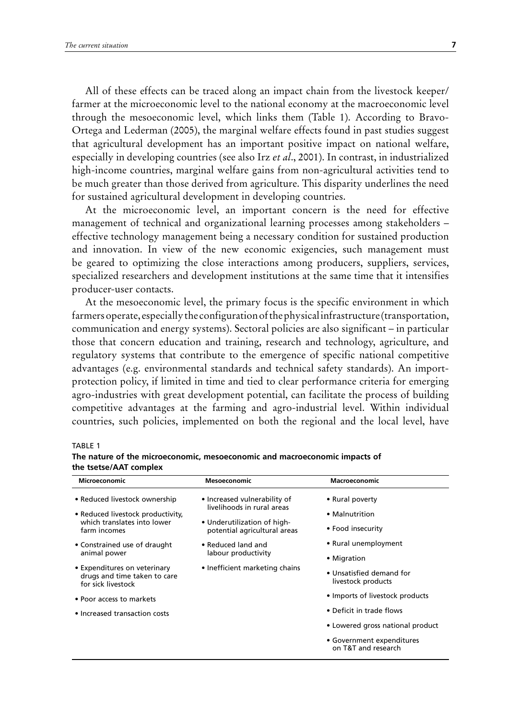All of these effects can be traced along an impact chain from the livestock keeper/ farmer at the microeconomic level to the national economy at the macroeconomic level through the mesoeconomic level, which links them (Table 1). According to Bravo-Ortega and Lederman (2005), the marginal welfare effects found in past studies suggest that agricultural development has an important positive impact on national welfare, especially in developing countries (see also Irz *et al*., 2001). In contrast, in industrialized high-income countries, marginal welfare gains from non-agricultural activities tend to be much greater than those derived from agriculture. This disparity underlines the need for sustained agricultural development in developing countries.

At the microeconomic level, an important concern is the need for effective management of technical and organizational learning processes among stakeholders – effective technology management being a necessary condition for sustained production and innovation. In view of the new economic exigencies, such management must be geared to optimizing the close interactions among producers, suppliers, services, specialized researchers and development institutions at the same time that it intensifies producer-user contacts.

At the mesoeconomic level, the primary focus is the specific environment in which farmers operate, especially the configuration of the physical infrastructure (transportation, communication and energy systems). Sectoral policies are also significant – in particular those that concern education and training, research and technology, agriculture, and regulatory systems that contribute to the emergence of specific national competitive advantages (e.g. environmental standards and technical safety standards). An importprotection policy, if limited in time and tied to clear performance criteria for emerging agro-industries with great development potential, can facilitate the process of building competitive advantages at the farming and agro-industrial level. Within individual countries, such policies, implemented on both the regional and the local level, have

#### TABLE 1

| <b>Microeconomic</b>                                                                                              | <b>Mesoeconomic</b>                                                                                                       | Macroeconomic                                          |
|-------------------------------------------------------------------------------------------------------------------|---------------------------------------------------------------------------------------------------------------------------|--------------------------------------------------------|
| • Reduced livestock ownership<br>• Reduced livestock productivity,<br>which translates into lower<br>farm incomes | • Increased vulnerability of<br>livelihoods in rural areas<br>• Underutilization of high-<br>potential agricultural areas | • Rural poverty<br>• Malnutrition<br>• Food insecurity |
| • Constrained use of draught<br>animal power                                                                      | • Reduced land and<br>labour productivity                                                                                 | • Rural unemployment<br>• Migration                    |
| • Expenditures on veterinary<br>drugs and time taken to care<br>for sick livestock                                | • Inefficient marketing chains                                                                                            | • Unsatisfied demand for<br>livestock products         |
| • Poor access to markets                                                                                          |                                                                                                                           | • Imports of livestock products                        |
| • Increased transaction costs                                                                                     |                                                                                                                           | • Deficit in trade flows                               |
|                                                                                                                   |                                                                                                                           | • Lowered gross national product                       |
|                                                                                                                   |                                                                                                                           | • Government expenditures<br>on T&T and research       |

**The nature of the microeconomic, mesoeconomic and macroeconomic impacts of the tsetse/AAT complex**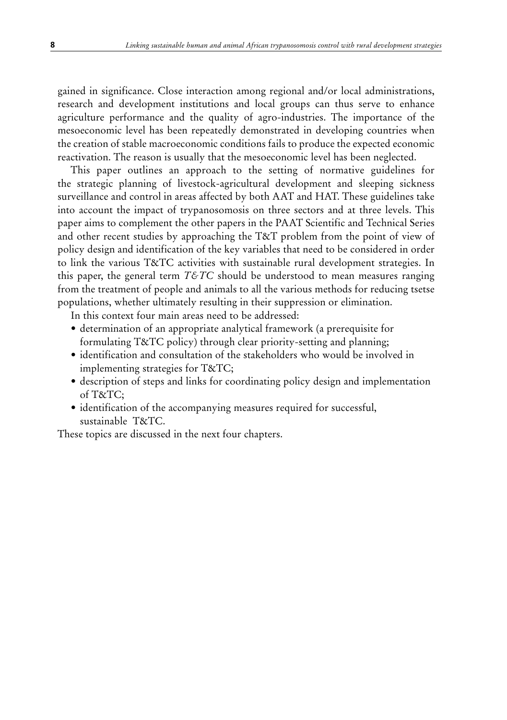gained in significance. Close interaction among regional and/or local administrations, research and development institutions and local groups can thus serve to enhance agriculture performance and the quality of agro-industries. The importance of the mesoeconomic level has been repeatedly demonstrated in developing countries when the creation of stable macroeconomic conditions fails to produce the expected economic reactivation. The reason is usually that the mesoeconomic level has been neglected.

This paper outlines an approach to the setting of normative guidelines for the strategic planning of livestock-agricultural development and sleeping sickness surveillance and control in areas affected by both AAT and HAT. These guidelines take into account the impact of trypanosomosis on three sectors and at three levels. This paper aims to complement the other papers in the PAAT Scientific and Technical Series and other recent studies by approaching the T&T problem from the point of view of policy design and identification of the key variables that need to be considered in order to link the various T&TC activities with sustainable rural development strategies. In this paper, the general term  $T\&T\&C$  should be understood to mean measures ranging from the treatment of people and animals to all the various methods for reducing tsetse populations, whether ultimately resulting in their suppression or elimination.

In this context four main areas need to be addressed:

- determination of an appropriate analytical framework (a prerequisite for formulating T&TC policy) through clear priority-setting and planning;
- • identification and consultation of the stakeholders who would be involved in implementing strategies for T&TC;
- description of steps and links for coordinating policy design and implementation of T&TC;
- identification of the accompanying measures required for successful, sustainable T&TC.

These topics are discussed in the next four chapters.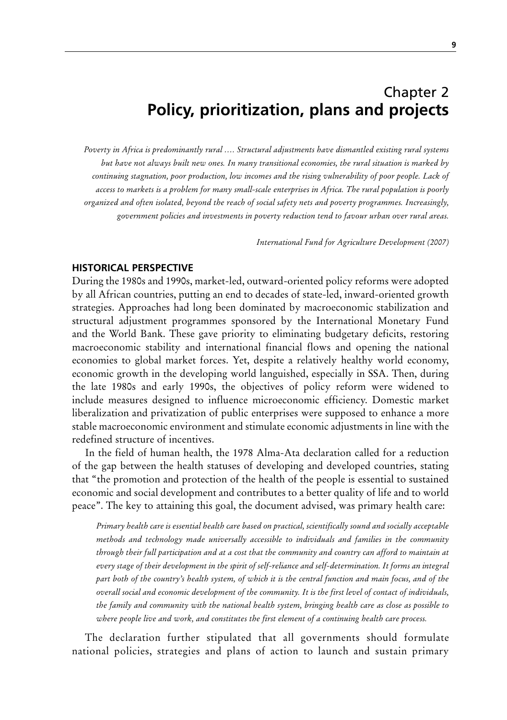## Chapter 2 **Policy, prioritization, plans and projects**

*Poverty in Africa is predominantly rural …. Structural adjustments have dismantled existing rural systems but have not always built new ones. In many transitional economies, the rural situation is marked by continuing stagnation, poor production, low incomes and the rising vulnerability of poor people. Lack of access to markets is a problem for many small-scale enterprises in Africa. The rural population is poorly organized and often isolated, beyond the reach of social safety nets and poverty programmes. Increasingly, government policies and investments in poverty reduction tend to favour urban over rural areas.*

*International Fund for Agriculture Development (2007)*

#### **Historical perspective**

During the 1980s and 1990s, market-led, outward-oriented policy reforms were adopted by all African countries, putting an end to decades of state-led, inward-oriented growth strategies. Approaches had long been dominated by macroeconomic stabilization and structural adjustment programmes sponsored by the International Monetary Fund and the World Bank. These gave priority to eliminating budgetary deficits, restoring macroeconomic stability and international financial flows and opening the national economies to global market forces. Yet, despite a relatively healthy world economy, economic growth in the developing world languished, especially in SSA. Then, during the late 1980s and early 1990s, the objectives of policy reform were widened to include measures designed to influence microeconomic efficiency. Domestic market liberalization and privatization of public enterprises were supposed to enhance a more stable macroeconomic environment and stimulate economic adjustments in line with the redefined structure of incentives.

In the field of human health, the 1978 Alma-Ata declaration called for a reduction of the gap between the health statuses of developing and developed countries, stating that "the promotion and protection of the health of the people is essential to sustained economic and social development and contributes to a better quality of life and to world peace". The key to attaining this goal, the document advised, was primary health care:

*Primary health care is essential health care based on practical, scientifically sound and socially acceptable methods and technology made universally accessible to individuals and families in the community through their full participation and at a cost that the community and country can afford to maintain at every stage of their development in the spirit of self-reliance and self-determination. It forms an integral part both of the country's health system, of which it is the central function and main focus, and of the overall social and economic development of the community. It is the first level of contact of individuals, the family and community with the national health system, bringing health care as close as possible to where people live and work, and constitutes the first element of a continuing health care process.* 

The declaration further stipulated that all governments should formulate national policies, strategies and plans of action to launch and sustain primary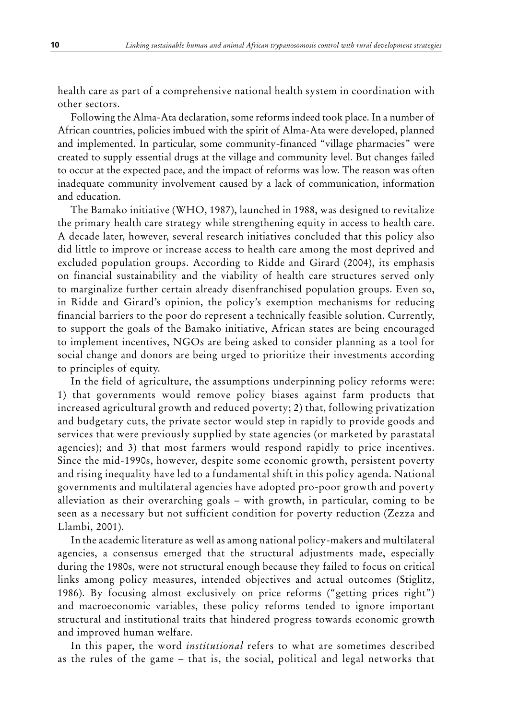health care as part of a comprehensive national health system in coordination with other sectors.

Following the Alma-Ata declaration, some reforms indeed took place. In a number of African countries, policies imbued with the spirit of Alma-Ata were developed, planned and implemented. In particular, some community-financed "village pharmacies" were created to supply essential drugs at the village and community level. But changes failed to occur at the expected pace, and the impact of reforms was low. The reason was often inadequate community involvement caused by a lack of communication, information and education.

The Bamako initiative (WHO, 1987), launched in 1988, was designed to revitalize the primary health care strategy while strengthening equity in access to health care. A decade later, however, several research initiatives concluded that this policy also did little to improve or increase access to health care among the most deprived and excluded population groups. According to Ridde and Girard (2004), its emphasis on financial sustainability and the viability of health care structures served only to marginalize further certain already disenfranchised population groups. Even so, in Ridde and Girard's opinion, the policy's exemption mechanisms for reducing financial barriers to the poor do represent a technically feasible solution. Currently, to support the goals of the Bamako initiative, African states are being encouraged to implement incentives, NGOs are being asked to consider planning as a tool for social change and donors are being urged to prioritize their investments according to principles of equity.

In the field of agriculture, the assumptions underpinning policy reforms were: 1) that governments would remove policy biases against farm products that increased agricultural growth and reduced poverty; 2) that, following privatization and budgetary cuts, the private sector would step in rapidly to provide goods and services that were previously supplied by state agencies (or marketed by parastatal agencies); and 3) that most farmers would respond rapidly to price incentives. Since the mid-1990s, however, despite some economic growth, persistent poverty and rising inequality have led to a fundamental shift in this policy agenda. National governments and multilateral agencies have adopted pro-poor growth and poverty alleviation as their overarching goals – with growth, in particular, coming to be seen as a necessary but not sufficient condition for poverty reduction (Zezza and Llambi, 2001).

In the academic literature as well as among national policy-makers and multilateral agencies, a consensus emerged that the structural adjustments made, especially during the 1980s, were not structural enough because they failed to focus on critical links among policy measures, intended objectives and actual outcomes (Stiglitz, 1986). By focusing almost exclusively on price reforms ("getting prices right") and macroeconomic variables, these policy reforms tended to ignore important structural and institutional traits that hindered progress towards economic growth and improved human welfare.

In this paper, the word *institutional* refers to what are sometimes described as the rules of the game – that is, the social, political and legal networks that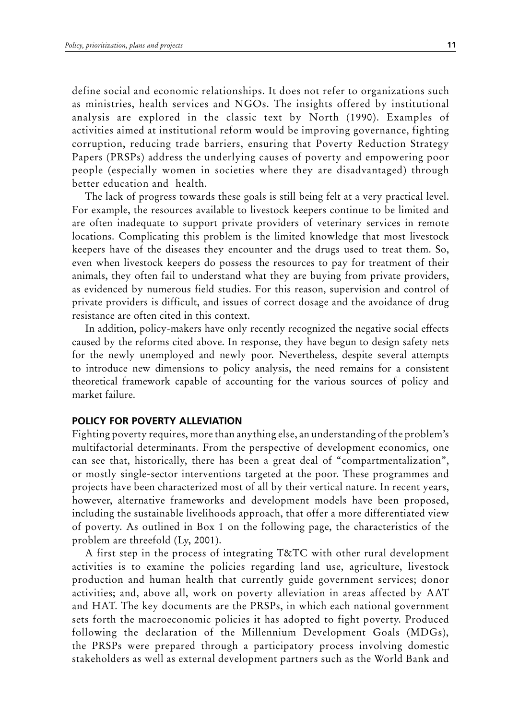define social and economic relationships. It does not refer to organizations such as ministries, health services and NGOs. The insights offered by institutional analysis are explored in the classic text by North (1990). Examples of activities aimed at institutional reform would be improving governance, fighting corruption, reducing trade barriers, ensuring that Poverty Reduction Strategy Papers (PRSPs) address the underlying causes of poverty and empowering poor people (especially women in societies where they are disadvantaged) through better education and health.

The lack of progress towards these goals is still being felt at a very practical level. For example, the resources available to livestock keepers continue to be limited and are often inadequate to support private providers of veterinary services in remote locations. Complicating this problem is the limited knowledge that most livestock keepers have of the diseases they encounter and the drugs used to treat them. So, even when livestock keepers do possess the resources to pay for treatment of their animals, they often fail to understand what they are buying from private providers, as evidenced by numerous field studies. For this reason, supervision and control of private providers is difficult, and issues of correct dosage and the avoidance of drug resistance are often cited in this context.

In addition, policy-makers have only recently recognized the negative social effects caused by the reforms cited above. In response, they have begun to design safety nets for the newly unemployed and newly poor. Nevertheless, despite several attempts to introduce new dimensions to policy analysis, the need remains for a consistent theoretical framework capable of accounting for the various sources of policy and market failure.

#### **PolICY For PoVerTY AlleVIATIoN**

Fighting poverty requires, more than anything else, an understanding of the problem's multifactorial determinants. From the perspective of development economics, one can see that, historically, there has been a great deal of "compartmentalization", or mostly single-sector interventions targeted at the poor. These programmes and projects have been characterized most of all by their vertical nature. In recent years, however, alternative frameworks and development models have been proposed, including the sustainable livelihoods approach, that offer a more differentiated view of poverty. As outlined in Box 1 on the following page, the characteristics of the problem are threefold (Ly, 2001).

A first step in the process of integrating T&TC with other rural development activities is to examine the policies regarding land use, agriculture, livestock production and human health that currently guide government services; donor activities; and, above all, work on poverty alleviation in areas affected by AAT and HAT. The key documents are the PRSPs, in which each national government sets forth the macroeconomic policies it has adopted to fight poverty. Produced following the declaration of the Millennium Development Goals (MDGs), the PRSPs were prepared through a participatory process involving domestic stakeholders as well as external development partners such as the World Bank and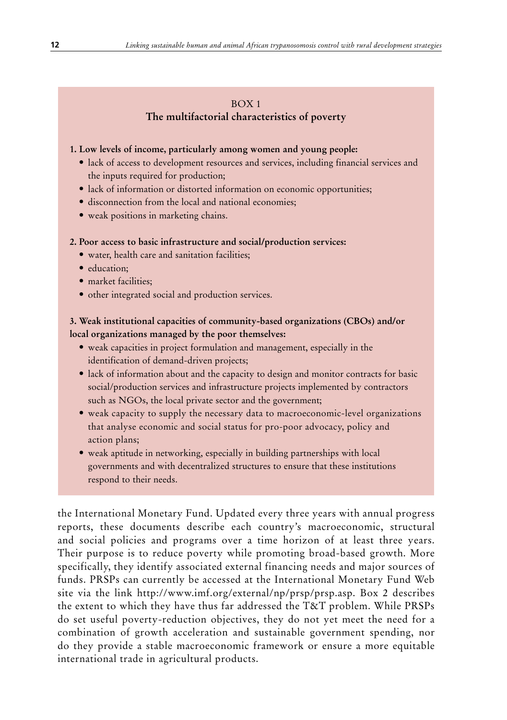#### BOX 1 **The multifactorial characteristics of poverty**

#### **1. Low levels of income, particularly among women and young people:**

- lack of access to development resources and services, including financial services and the inputs required for production;
- $\bullet$  lack of information or distorted information on economic opportunities;
- disconnection from the local and national economies;
- • weak positions in marketing chains.

#### **2. Poor access to basic infrastructure and social/production services:**

- water, health care and sanitation facilities;
- education:
- market facilities;
- other integrated social and production services.

#### **3. Weak institutional capacities of community-based organizations (CBOs) and/or local organizations managed by the poor themselves:**

- weak capacities in project formulation and management, especially in the identification of demand-driven projects;
- lack of information about and the capacity to design and monitor contracts for basic social/production services and infrastructure projects implemented by contractors such as NGOs, the local private sector and the government;
- weak capacity to supply the necessary data to macroeconomic-level organizations that analyse economic and social status for pro-poor advocacy, policy and action plans;
- weak aptitude in networking, especially in building partnerships with local governments and with decentralized structures to ensure that these institutions respond to their needs.

the International Monetary Fund. Updated every three years with annual progress reports, these documents describe each country's macroeconomic, structural and social policies and programs over a time horizon of at least three years. Their purpose is to reduce poverty while promoting broad-based growth. More specifically, they identify associated external financing needs and major sources of funds. PRSPs can currently be accessed at the International Monetary Fund Web site via the link http://www.imf.org/external/np/prsp/prsp.asp. Box 2 describes the extent to which they have thus far addressed the T&T problem. While PRSPs do set useful poverty-reduction objectives, they do not yet meet the need for a combination of growth acceleration and sustainable government spending, nor do they provide a stable macroeconomic framework or ensure a more equitable international trade in agricultural products.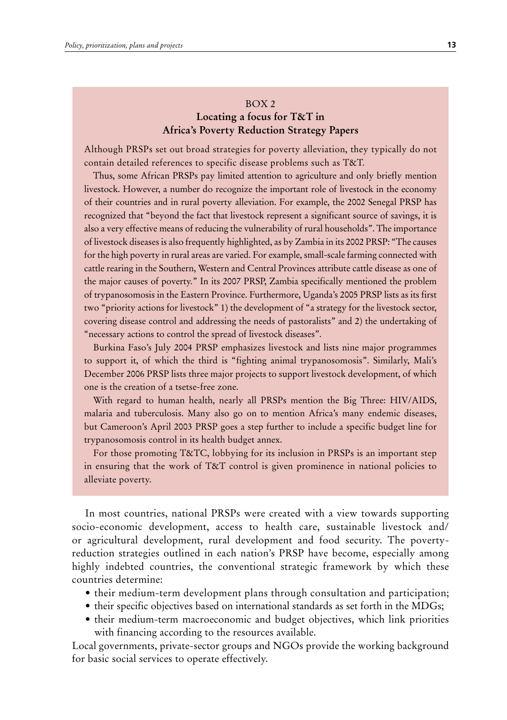#### BOX 2 **Locating a focus for T&T in Africa's Poverty Reduction Strategy Papers**

Although PRSPs set out broad strategies for poverty alleviation, they typically do not contain detailed references to specific disease problems such as T&T.

Thus, some African PRSPs pay limited attention to agriculture and only briefly mention livestock. However, a number do recognize the important role of livestock in the economy of their countries and in rural poverty alleviation. For example, the 2002 Senegal PRSP has recognized that "beyond the fact that livestock represent a significant source of savings, it is also a very effective means of reducing the vulnerability of rural households". The importance of livestock diseases is also frequently highlighted, as by Zambia in its 2002 PRSP: "The causes for the high poverty in rural areas are varied. For example, small-scale farming connected with cattle rearing in the Southern, Western and Central Provinces attribute cattle disease as one of the major causes of poverty." In its 2007 PRSP, Zambia specifically mentioned the problem of trypanosomosis in the Eastern Province. Furthermore, Uganda's 2005 PRSP lists as its first two "priority actions for livestock" 1) the development of "a strategy for the livestock sector, covering disease control and addressing the needs of pastoralists" and 2) the undertaking of "necessary actions to control the spread of livestock diseases".

Burkina Faso's July 2004 PRSP emphasizes livestock and lists nine major programmes to support it, of which the third is "fighting animal trypanosomosis". Similarly, Mali's December 2006 PRSP lists three major projects to support livestock development, of which one is the creation of a tsetse-free zone.

With regard to human health, nearly all PRSPs mention the Big Three: HIV/AIDS, malaria and tuberculosis. Many also go on to mention Africa's many endemic diseases, but Cameroon's April 2003 PRSP goes a step further to include a specific budget line for trypanosomosis control in its health budget annex.

For those promoting T&TC, lobbying for its inclusion in PRSPs is an important step in ensuring that the work of T&T control is given prominence in national policies to alleviate poverty.

In most countries, national PRSPs were created with a view towards supporting socio-economic development, access to health care, sustainable livestock and/ or agricultural development, rural development and food security. The povertyreduction strategies outlined in each nation's PRSP have become, especially among highly indebted countries, the conventional strategic framework by which these countries determine:

- their medium-term development plans through consultation and participation;
- their specific objectives based on international standards as set forth in the MDGs;
- their medium-term macroeconomic and budget objectives, which link priorities with financing according to the resources available.

Local governments, private-sector groups and NGOs provide the working background for basic social services to operate effectively.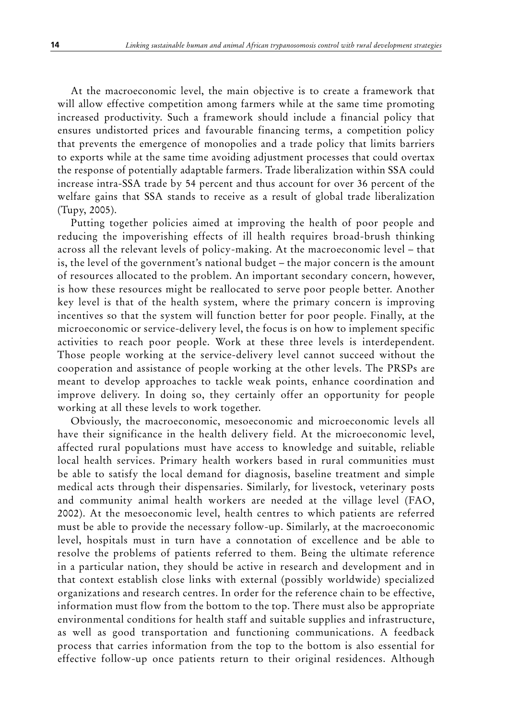At the macroeconomic level, the main objective is to create a framework that will allow effective competition among farmers while at the same time promoting increased productivity. Such a framework should include a financial policy that ensures undistorted prices and favourable financing terms, a competition policy that prevents the emergence of monopolies and a trade policy that limits barriers to exports while at the same time avoiding adjustment processes that could overtax the response of potentially adaptable farmers. Trade liberalization within SSA could increase intra-SSA trade by 54 percent and thus account for over 36 percent of the welfare gains that SSA stands to receive as a result of global trade liberalization (Tupy, 2005).

Putting together policies aimed at improving the health of poor people and reducing the impoverishing effects of ill health requires broad-brush thinking across all the relevant levels of policy-making. At the macroeconomic level – that is, the level of the government's national budget – the major concern is the amount of resources allocated to the problem. An important secondary concern, however, is how these resources might be reallocated to serve poor people better. Another key level is that of the health system, where the primary concern is improving incentives so that the system will function better for poor people. Finally, at the microeconomic or service-delivery level, the focus is on how to implement specific activities to reach poor people. Work at these three levels is interdependent. Those people working at the service-delivery level cannot succeed without the cooperation and assistance of people working at the other levels. The PRSPs are meant to develop approaches to tackle weak points, enhance coordination and improve delivery. In doing so, they certainly offer an opportunity for people working at all these levels to work together.

Obviously, the macroeconomic, mesoeconomic and microeconomic levels all have their significance in the health delivery field. At the microeconomic level, affected rural populations must have access to knowledge and suitable, reliable local health services. Primary health workers based in rural communities must be able to satisfy the local demand for diagnosis, baseline treatment and simple medical acts through their dispensaries. Similarly, for livestock, veterinary posts and community animal health workers are needed at the village level (FAO, 2002). At the mesoeconomic level, health centres to which patients are referred must be able to provide the necessary follow-up. Similarly, at the macroeconomic level, hospitals must in turn have a connotation of excellence and be able to resolve the problems of patients referred to them. Being the ultimate reference in a particular nation, they should be active in research and development and in that context establish close links with external (possibly worldwide) specialized organizations and research centres. In order for the reference chain to be effective, information must flow from the bottom to the top. There must also be appropriate environmental conditions for health staff and suitable supplies and infrastructure, as well as good transportation and functioning communications. A feedback process that carries information from the top to the bottom is also essential for effective follow-up once patients return to their original residences. Although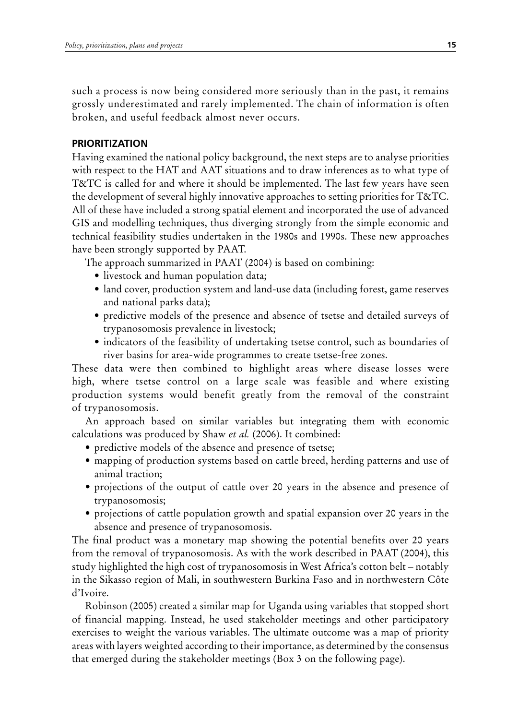such a process is now being considered more seriously than in the past, it remains grossly underestimated and rarely implemented. The chain of information is often broken, and useful feedback almost never occurs.

#### **PrIorITIZATIoN**

Having examined the national policy background, the next steps are to analyse priorities with respect to the HAT and AAT situations and to draw inferences as to what type of T&TC is called for and where it should be implemented. The last few years have seen the development of several highly innovative approaches to setting priorities for T&TC. All of these have included a strong spatial element and incorporated the use of advanced GIS and modelling techniques, thus diverging strongly from the simple economic and technical feasibility studies undertaken in the 1980s and 1990s. These new approaches have been strongly supported by PAAT.

The approach summarized in PAAT (2004) is based on combining:

- livestock and human population data;
- land cover, production system and land-use data (including forest, game reserves and national parks data);
- predictive models of the presence and absence of tsetse and detailed surveys of trypanosomosis prevalence in livestock;
- indicators of the feasibility of undertaking tsetse control, such as boundaries of river basins for area-wide programmes to create tsetse-free zones.

These data were then combined to highlight areas where disease losses were high, where tsetse control on a large scale was feasible and where existing production systems would benefit greatly from the removal of the constraint of trypanosomosis.

An approach based on similar variables but integrating them with economic calculations was produced by Shaw *et al.* (2006). It combined:

- predictive models of the absence and presence of tsetse;
- mapping of production systems based on cattle breed, herding patterns and use of animal traction;
- projections of the output of cattle over 20 years in the absence and presence of trypanosomosis;
- projections of cattle population growth and spatial expansion over 20 years in the absence and presence of trypanosomosis.

The final product was a monetary map showing the potential benefits over 20 years from the removal of trypanosomosis. As with the work described in PAAT (2004), this study highlighted the high cost of trypanosomosis in West Africa's cotton belt – notably in the Sikasso region of Mali, in southwestern Burkina Faso and in northwestern Côte d'Ivoire.

Robinson (2005) created a similar map for Uganda using variables that stopped short of financial mapping. Instead, he used stakeholder meetings and other participatory exercises to weight the various variables. The ultimate outcome was a map of priority areas with layers weighted according to their importance, as determined by the consensus that emerged during the stakeholder meetings (Box 3 on the following page).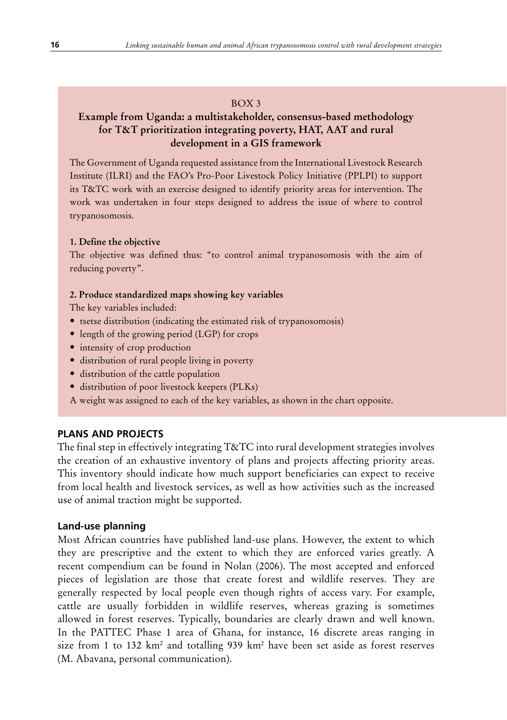#### BOX 3

#### **Example from Uganda: a multistakeholder, consensus-based methodology for T&T prioritization integrating poverty, HAT, AAT and rural development in a GIS framework**

The Government of Uganda requested assistance from the International Livestock Research Institute (ILRI) and the FAO's Pro-Poor Livestock Policy Initiative (PPLPI) to support its T&TC work with an exercise designed to identify priority areas for intervention. The work was undertaken in four steps designed to address the issue of where to control trypanosomosis.

#### **1. Define the objective**

The objective was defined thus: "to control animal trypanosomosis with the aim of reducing poverty".

#### **2. Produce standardized maps showing key variables**

The key variables included:

- tsetse distribution (indicating the estimated risk of trypanosomosis)
- length of the growing period (LGP) for crops
- intensity of crop production
- distribution of rural people living in poverty
- distribution of the cattle population
- distribution of poor livestock keepers (PLKs)
- A weight was assigned to each of the key variables, as shown in the chart opposite.

#### **PlANS AND ProJeCTS**

The final step in effectively integrating T&TC into rural development strategies involves the creation of an exhaustive inventory of plans and projects affecting priority areas. This inventory should indicate how much support beneficiaries can expect to receive from local health and livestock services, as well as how activities such as the increased use of animal traction might be supported.

#### **land-use planning**

Most African countries have published land-use plans. However, the extent to which they are prescriptive and the extent to which they are enforced varies greatly. A recent compendium can be found in Nolan (2006). The most accepted and enforced pieces of legislation are those that create forest and wildlife reserves. They are generally respected by local people even though rights of access vary. For example, cattle are usually forbidden in wildlife reserves, whereas grazing is sometimes allowed in forest reserves. Typically, boundaries are clearly drawn and well known. In the PATTEC Phase 1 area of Ghana, for instance, 16 discrete areas ranging in size from 1 to 132  $km^2$  and totalling 939  $km^2$  have been set aside as forest reserves (M. Abavana, personal communication).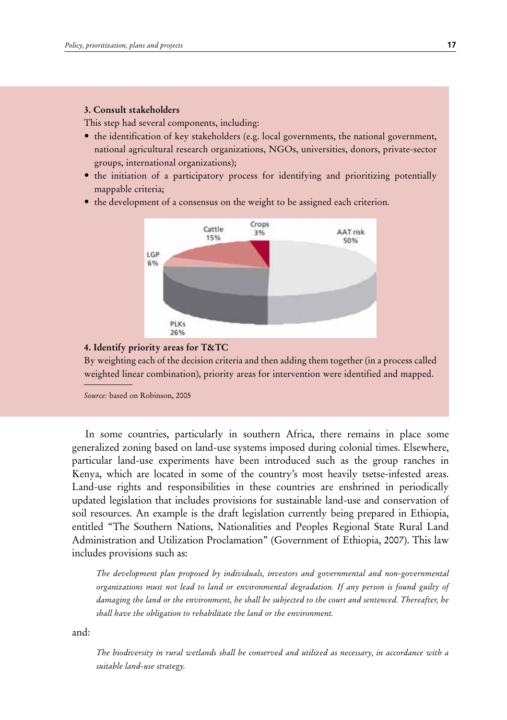#### **3. Consult stakeholders**

This step had several components, including:

- the identification of key stakeholders (e.g. local governments, the national government, national agricultural research organizations, NGOs, universities, donors, private-sector groups, international organizations);
- the initiation of a participatory process for identifying and prioritizing potentially mappable criteria;
- the development of a consensus on the weight to be assigned each criterion.



#### **4. Identify priority areas for T&TC**

By weighting each of the decision criteria and then adding them together (in a process called weighted linear combination), priority areas for intervention were identified and mapped.

*Source:* based on Robinson, 2005

In some countries, particularly in southern Africa, there remains in place some generalized zoning based on land-use systems imposed during colonial times. Elsewhere, particular land-use experiments have been introduced such as the group ranches in Kenya, which are located in some of the country's most heavily tsetse-infested areas. Land-use rights and responsibilities in these countries are enshrined in periodically updated legislation that includes provisions for sustainable land-use and conservation of soil resources. An example is the draft legislation currently being prepared in Ethiopia, entitled "The Southern Nations, Nationalities and Peoples Regional State Rural Land Administration and Utilization Proclamation" (Government of Ethiopia, 2007). This law includes provisions such as:

*The development plan proposed by individuals, investors and governmental and non-governmental organizations must not lead to land or environmental degradation. If any person is found guilty of damaging the land or the environment, he shall be subjected to the court and sentenced. Thereafter, he shall have the obligation to rehabilitate the land or the environment.*

and:

*The biodiversity in rural wetlands shall be conserved and utilized as necessary, in accordance with a suitable land-use strategy.*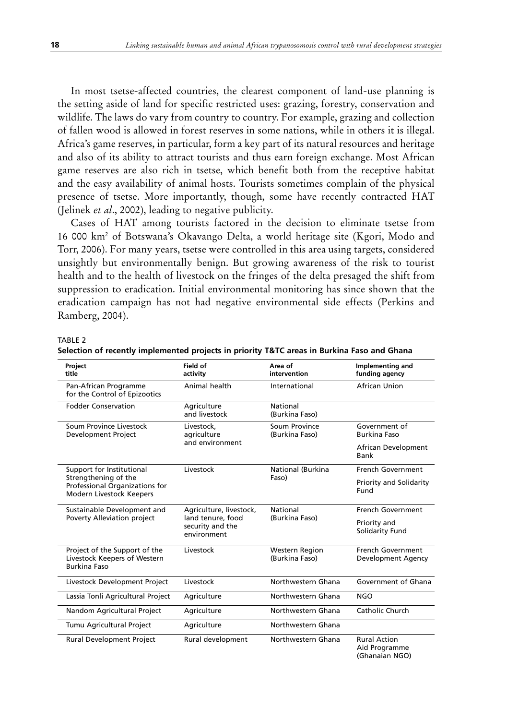In most tsetse-affected countries, the clearest component of land-use planning is the setting aside of land for specific restricted uses: grazing, forestry, conservation and wildlife. The laws do vary from country to country. For example, grazing and collection of fallen wood is allowed in forest reserves in some nations, while in others it is illegal. Africa's game reserves, in particular, form a key part of its natural resources and heritage and also of its ability to attract tourists and thus earn foreign exchange. Most African game reserves are also rich in tsetse, which benefit both from the receptive habitat and the easy availability of animal hosts. Tourists sometimes complain of the physical presence of tsetse. More importantly, though, some have recently contracted HAT (Jelinek *et al*., 2002), leading to negative publicity.

Cases of HAT among tourists factored in the decision to eliminate tsetse from 16 000 km2 of Botswana's Okavango Delta, a world heritage site (Kgori, Modo and Torr, 2006). For many years, tsetse were controlled in this area using targets, considered unsightly but environmentally benign. But growing awareness of the risk to tourist health and to the health of livestock on the fringes of the delta presaged the shift from suppression to eradication. Initial environmental monitoring has since shown that the eradication campaign has not had negative environmental side effects (Perkins and Ramberg, 2004).

#### TABLE 2

| Project<br>title                                                                     | Field of<br>activity                                 | Area of<br>intervention                 | Implementing and<br>funding agency                     |
|--------------------------------------------------------------------------------------|------------------------------------------------------|-----------------------------------------|--------------------------------------------------------|
| Pan-African Programme<br>for the Control of Epizootics                               | Animal health                                        | International                           | African Union                                          |
| <b>Fodder Conservation</b>                                                           | Agriculture<br>and livestock                         | National<br>(Burkina Faso)              |                                                        |
| Soum Province Livestock<br>Development Project                                       | Livestock,<br>agriculture                            | Soum Province<br>(Burkina Faso)         | Government of<br>Burkina Faso                          |
|                                                                                      | and environment                                      |                                         | African Development<br>Bank                            |
| Support for Institutional                                                            | Livestock                                            | National (Burkina                       | French Government                                      |
| Strengthening of the<br>Professional Organizations for<br>Modern Livestock Keepers   | Faso)                                                |                                         | Priority and Solidarity<br>Fund                        |
| Sustainable Development and                                                          | Agriculture, livestock,                              | National                                | French Government                                      |
| Poverty Alleviation project                                                          | land tenure, food<br>security and the<br>environment | (Burkina Faso)                          | Priority and<br>Solidarity Fund                        |
| Project of the Support of the<br>Livestock Keepers of Western<br><b>Burkina Faso</b> | Livestock                                            | <b>Western Region</b><br>(Burkina Faso) | French Government<br>Development Agency                |
| Livestock Development Project                                                        | Livestock                                            | Northwestern Ghana                      | Government of Ghana                                    |
| Lassia Tonli Agricultural Project                                                    | Agriculture                                          | Northwestern Ghana                      | <b>NGO</b>                                             |
| Nandom Agricultural Project                                                          | Agriculture                                          | Northwestern Ghana                      | Catholic Church                                        |
| Tumu Agricultural Project                                                            | Agriculture                                          | Northwestern Ghana                      |                                                        |
| Rural Development Project                                                            | Rural development                                    | Northwestern Ghana                      | <b>Rural Action</b><br>Aid Programme<br>(Ghanaian NGO) |

|  | Selection of recently implemented projects in priority T&TC areas in Burkina Faso and Ghana |  |  |  |  |  |
|--|---------------------------------------------------------------------------------------------|--|--|--|--|--|
|--|---------------------------------------------------------------------------------------------|--|--|--|--|--|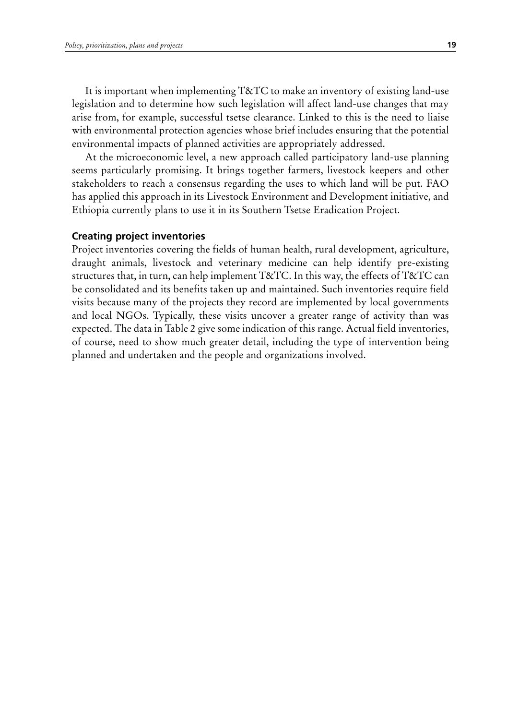It is important when implementing T&TC to make an inventory of existing land-use legislation and to determine how such legislation will affect land-use changes that may arise from, for example, successful tsetse clearance. Linked to this is the need to liaise with environmental protection agencies whose brief includes ensuring that the potential environmental impacts of planned activities are appropriately addressed.

At the microeconomic level, a new approach called participatory land-use planning seems particularly promising. It brings together farmers, livestock keepers and other stakeholders to reach a consensus regarding the uses to which land will be put. FAO has applied this approach in its Livestock Environment and Development initiative, and Ethiopia currently plans to use it in its Southern Tsetse Eradication Project.

#### **Creating project inventories**

Project inventories covering the fields of human health, rural development, agriculture, draught animals, livestock and veterinary medicine can help identify pre-existing structures that, in turn, can help implement T&TC. In this way, the effects of T&TC can be consolidated and its benefits taken up and maintained. Such inventories require field visits because many of the projects they record are implemented by local governments and local NGOs. Typically, these visits uncover a greater range of activity than was expected. The data in Table 2 give some indication of this range. Actual field inventories, of course, need to show much greater detail, including the type of intervention being planned and undertaken and the people and organizations involved.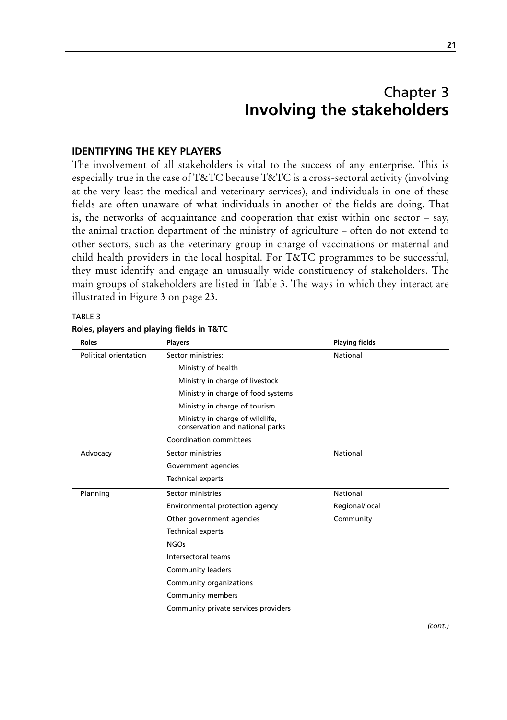## Chapter 3 **Involving the stakeholders**

#### **Identifying the key players**

The involvement of all stakeholders is vital to the success of any enterprise. This is especially true in the case of T&TC because T&TC is a cross-sectoral activity (involving at the very least the medical and veterinary services), and individuals in one of these fields are often unaware of what individuals in another of the fields are doing. That is, the networks of acquaintance and cooperation that exist within one sector – say, the animal traction department of the ministry of agriculture – often do not extend to other sectors, such as the veterinary group in charge of vaccinations or maternal and child health providers in the local hospital. For T&TC programmes to be successful, they must identify and engage an unusually wide constituency of stakeholders. The main groups of stakeholders are listed in Table 3. The ways in which they interact are illustrated in Figure 3 on page 23.

TABLE 3 **Roles, players and playing fields in T&TC**

| <b>Roles</b>          | <b>Players</b>                                                     | <b>Playing fields</b> |  |
|-----------------------|--------------------------------------------------------------------|-----------------------|--|
| Political orientation | Sector ministries:                                                 | National              |  |
|                       | Ministry of health                                                 |                       |  |
|                       | Ministry in charge of livestock                                    |                       |  |
|                       | Ministry in charge of food systems                                 |                       |  |
|                       | Ministry in charge of tourism                                      |                       |  |
|                       | Ministry in charge of wildlife,<br>conservation and national parks |                       |  |
|                       | Coordination committees                                            |                       |  |
| Advocacy              | Sector ministries                                                  | National              |  |
|                       | Government agencies                                                |                       |  |
|                       | <b>Technical experts</b>                                           |                       |  |
| Planning              | Sector ministries                                                  | National              |  |
|                       | Environmental protection agency                                    | Regional/local        |  |
|                       | Other government agencies                                          | Community             |  |
|                       | <b>Technical experts</b>                                           |                       |  |
|                       | <b>NGOs</b>                                                        |                       |  |
|                       | Intersectoral teams                                                |                       |  |
|                       | <b>Community leaders</b>                                           |                       |  |
|                       | Community organizations                                            |                       |  |
|                       | Community members                                                  |                       |  |
|                       | Community private services providers                               |                       |  |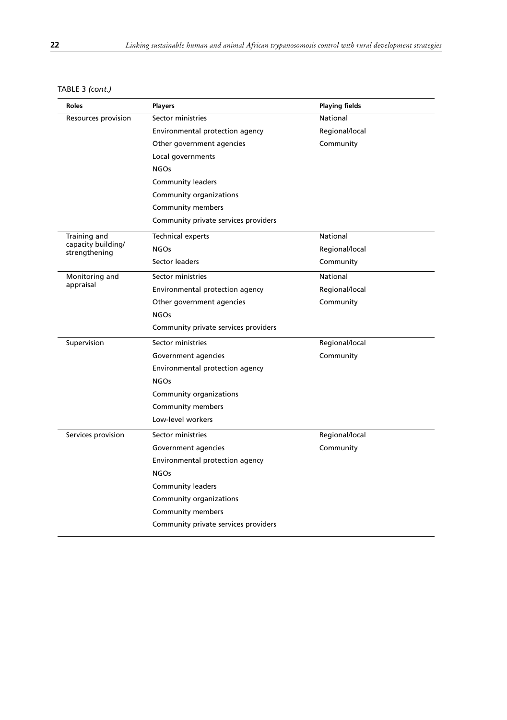| TABLE 3 (cont.) |  |
|-----------------|--|
|-----------------|--|

| Roles                               | <b>Players</b>                       | <b>Playing fields</b> |
|-------------------------------------|--------------------------------------|-----------------------|
| Resources provision                 | Sector ministries                    | National              |
|                                     | Environmental protection agency      | Regional/local        |
|                                     | Other government agencies            | Community             |
|                                     | Local governments                    |                       |
|                                     | <b>NGOs</b>                          |                       |
|                                     | <b>Community leaders</b>             |                       |
|                                     | Community organizations              |                       |
|                                     | Community members                    |                       |
|                                     | Community private services providers |                       |
| Training and                        | <b>Technical experts</b>             | National              |
| capacity building/<br>strengthening | <b>NGOs</b>                          | Regional/local        |
|                                     | Sector leaders                       | Community             |
| Monitoring and                      | Sector ministries                    | National              |
| appraisal                           | Environmental protection agency      | Regional/local        |
|                                     | Other government agencies            | Community             |
|                                     | <b>NGOs</b>                          |                       |
|                                     | Community private services providers |                       |
| Supervision                         | Sector ministries                    | Regional/local        |
|                                     | Government agencies                  | Community             |
|                                     | Environmental protection agency      |                       |
|                                     | <b>NGOs</b>                          |                       |
|                                     | Community organizations              |                       |
|                                     | Community members                    |                       |
|                                     | Low-level workers                    |                       |
| Services provision                  | Sector ministries                    | Regional/local        |
|                                     | Government agencies                  | Community             |
|                                     | Environmental protection agency      |                       |
|                                     | <b>NGOs</b>                          |                       |
|                                     | <b>Community leaders</b>             |                       |
|                                     | Community organizations              |                       |
|                                     | Community members                    |                       |
|                                     | Community private services providers |                       |
|                                     |                                      |                       |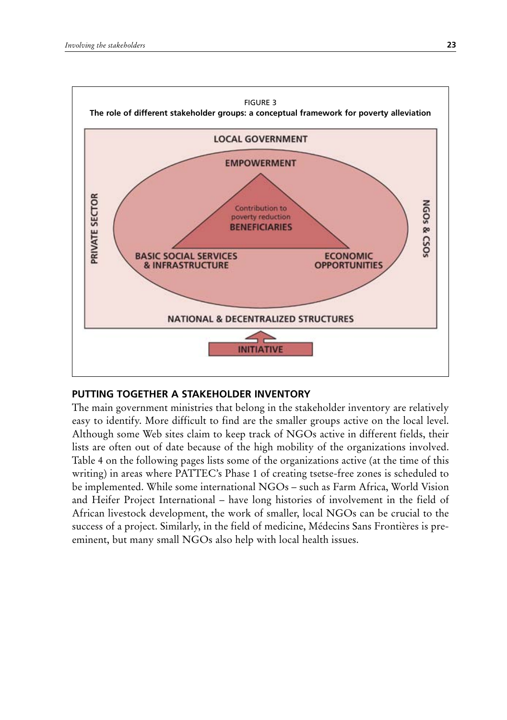

## **PuTTINg TogeTHer A STAKeHolDer INVeNTorY**

The main government ministries that belong in the stakeholder inventory are relatively easy to identify. More difficult to find are the smaller groups active on the local level. Although some Web sites claim to keep track of NGOs active in different fields, their lists are often out of date because of the high mobility of the organizations involved. Table 4 on the following pages lists some of the organizations active (at the time of this writing) in areas where PATTEC's Phase 1 of creating tsetse-free zones is scheduled to be implemented. While some international NGOs – such as Farm Africa, World Vision and Heifer Project International – have long histories of involvement in the field of African livestock development, the work of smaller, local NGOs can be crucial to the success of a project. Similarly, in the field of medicine, Médecins Sans Frontières is preeminent, but many small NGOs also help with local health issues.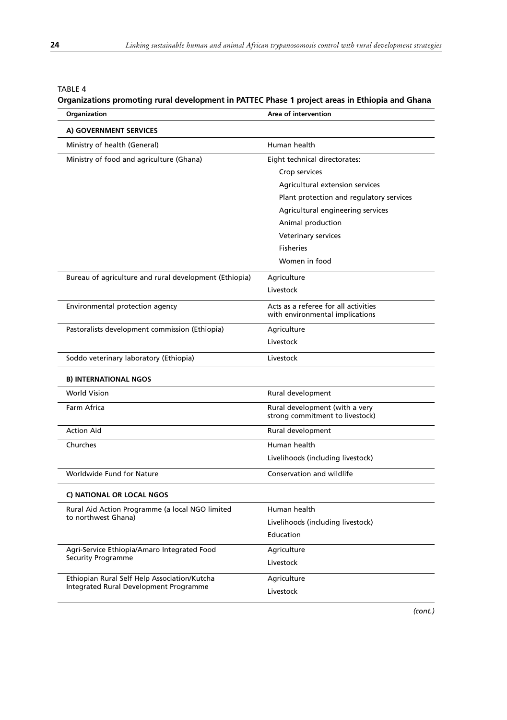## TABLE 4

## **Organizations promoting rural development in PATTEC Phase 1 project areas in Ethiopia and Ghana**

| Organization                                                                           | Area of intervention                                                    |  |
|----------------------------------------------------------------------------------------|-------------------------------------------------------------------------|--|
| A) GOVERNMENT SERVICES                                                                 |                                                                         |  |
| Ministry of health (General)                                                           | Human health                                                            |  |
| Ministry of food and agriculture (Ghana)                                               | Eight technical directorates:                                           |  |
|                                                                                        | Crop services                                                           |  |
|                                                                                        | Agricultural extension services                                         |  |
|                                                                                        | Plant protection and regulatory services                                |  |
|                                                                                        | Agricultural engineering services                                       |  |
|                                                                                        | Animal production                                                       |  |
|                                                                                        | Veterinary services                                                     |  |
|                                                                                        | <b>Fisheries</b>                                                        |  |
|                                                                                        | Women in food                                                           |  |
| Bureau of agriculture and rural development (Ethiopia)                                 | Agriculture                                                             |  |
|                                                                                        | Livestock                                                               |  |
| Environmental protection agency                                                        | Acts as a referee for all activities<br>with environmental implications |  |
|                                                                                        |                                                                         |  |
| Pastoralists development commission (Ethiopia)                                         | Agriculture                                                             |  |
|                                                                                        | Livestock                                                               |  |
| Soddo veterinary laboratory (Ethiopia)                                                 | Livestock                                                               |  |
| <b>B) INTERNATIONAL NGOS</b>                                                           |                                                                         |  |
| <b>World Vision</b>                                                                    | Rural development                                                       |  |
| Farm Africa                                                                            | Rural development (with a very                                          |  |
|                                                                                        | strong commitment to livestock)                                         |  |
| <b>Action Aid</b>                                                                      | Rural development                                                       |  |
| Churches                                                                               | Human health                                                            |  |
|                                                                                        | Livelihoods (including livestock)                                       |  |
| Worldwide Fund for Nature                                                              | Conservation and wildlife                                               |  |
| C) NATIONAL OR LOCAL NGOS                                                              |                                                                         |  |
| Rural Aid Action Programme (a local NGO limited                                        | Human health                                                            |  |
| to northwest Ghana)                                                                    | Livelihoods (including livestock)                                       |  |
|                                                                                        | Education                                                               |  |
| Agri-Service Ethiopia/Amaro Integrated Food                                            | Agriculture                                                             |  |
| <b>Security Programme</b>                                                              | Livestock                                                               |  |
| Ethiopian Rural Self Help Association/Kutcha<br>Integrated Rural Development Programme | Agriculture                                                             |  |
|                                                                                        | Livestock                                                               |  |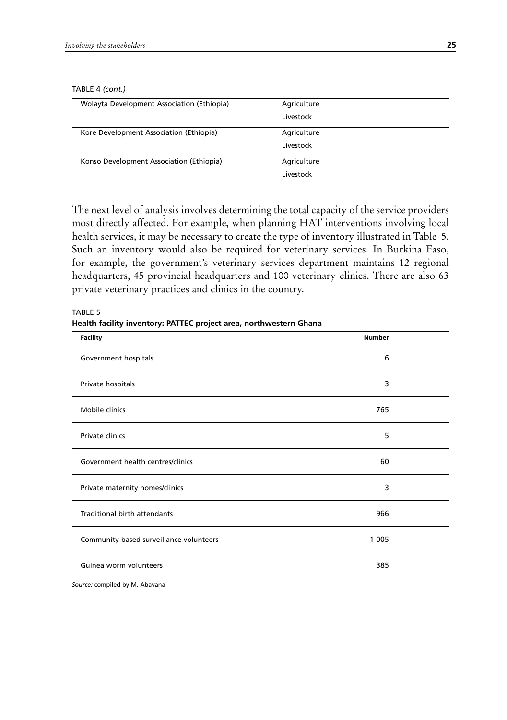#### TABLE 4 *(cont.)*

| Agriculture<br>Livestock |
|--------------------------|
| Agriculture              |
| Livestock                |
| Agriculture              |
| Livestock                |
|                          |

The next level of analysis involves determining the total capacity of the service providers most directly affected. For example, when planning HAT interventions involving local health services, it may be necessary to create the type of inventory illustrated in Table 5. Such an inventory would also be required for veterinary services. In Burkina Faso, for example, the government's veterinary services department maintains 12 regional headquarters, 45 provincial headquarters and 100 veterinary clinics. There are also 63 private veterinary practices and clinics in the country.

| <b>Facility</b>                         | <b>Number</b> |  |
|-----------------------------------------|---------------|--|
| Government hospitals                    | 6             |  |
| Private hospitals                       | 3             |  |
| Mobile clinics                          | 765           |  |
| Private clinics                         | 5             |  |
| Government health centres/clinics       | 60            |  |
| Private maternity homes/clinics         | 3             |  |
| <b>Traditional birth attendants</b>     | 966           |  |
| Community-based surveillance volunteers | 1 0 0 5       |  |
| Guinea worm volunteers                  | 385           |  |

TABLE 5 **Health facility inventory: PATTeC project area, northwestern ghana**

*Source:* compiled by M. Abavana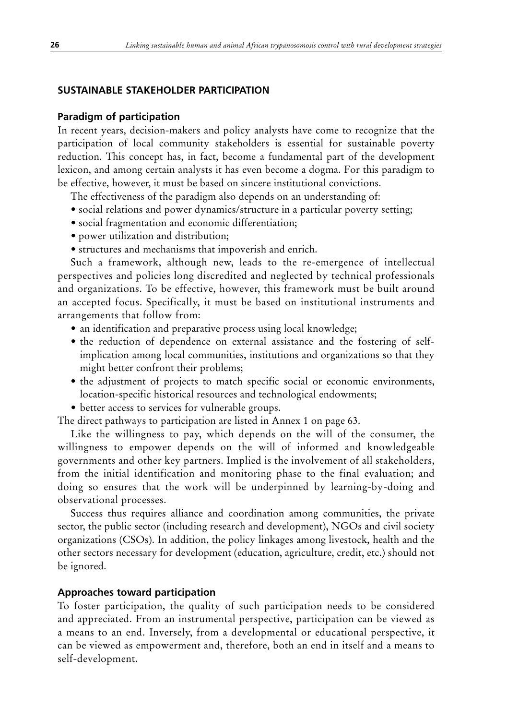# **SUSTAINABLE STAKEHOLDER PARTICIPATION**

## **Paradigm of participation**

In recent years, decision-makers and policy analysts have come to recognize that the participation of local community stakeholders is essential for sustainable poverty reduction. This concept has, in fact, become a fundamental part of the development lexicon, and among certain analysts it has even become a dogma. For this paradigm to be effective, however, it must be based on sincere institutional convictions.

The effectiveness of the paradigm also depends on an understanding of:

- social relations and power dynamics/structure in a particular poverty setting;
- social fragmentation and economic differentiation;
- power utilization and distribution;
- structures and mechanisms that impoverish and enrich.

Such a framework, although new, leads to the re-emergence of intellectual perspectives and policies long discredited and neglected by technical professionals and organizations. To be effective, however, this framework must be built around an accepted focus. Specifically, it must be based on institutional instruments and arrangements that follow from:

- an identification and preparative process using local knowledge;
- the reduction of dependence on external assistance and the fostering of selfimplication among local communities, institutions and organizations so that they might better confront their problems;
- the adjustment of projects to match specific social or economic environments, location-specific historical resources and technological endowments;
- better access to services for vulnerable groups.

The direct pathways to participation are listed in Annex 1 on page 63.

Like the willingness to pay, which depends on the will of the consumer, the willingness to empower depends on the will of informed and knowledgeable governments and other key partners. Implied is the involvement of all stakeholders, from the initial identification and monitoring phase to the final evaluation; and doing so ensures that the work will be underpinned by learning-by-doing and observational processes.

Success thus requires alliance and coordination among communities, the private sector, the public sector (including research and development), NGOs and civil society organizations (CSOs). In addition, the policy linkages among livestock, health and the other sectors necessary for development (education, agriculture, credit, etc.) should not be ignored.

## **Approaches toward participation**

To foster participation, the quality of such participation needs to be considered and appreciated. From an instrumental perspective, participation can be viewed as a means to an end. Inversely, from a developmental or educational perspective, it can be viewed as empowerment and, therefore, both an end in itself and a means to self-development.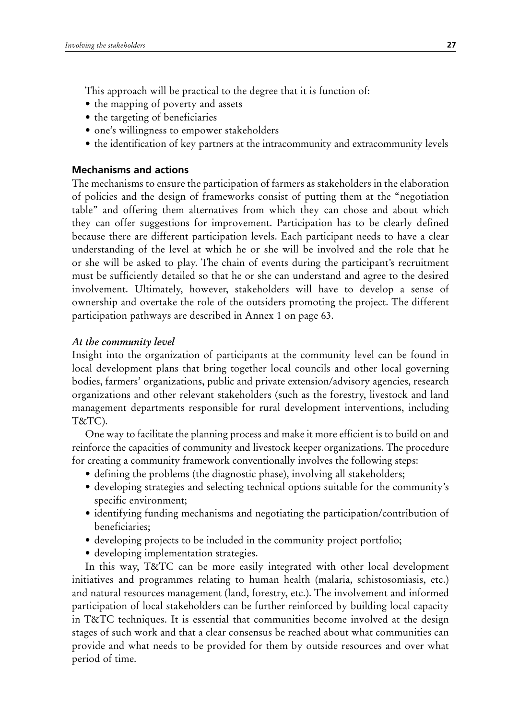This approach will be practical to the degree that it is function of:

- the mapping of poverty and assets
- the targeting of beneficiaries
- one's willingness to empower stakeholders
- the identification of key partners at the intracommunity and extracommunity levels

# **Mechanisms and actions**

The mechanisms to ensure the participation of farmers as stakeholders in the elaboration of policies and the design of frameworks consist of putting them at the "negotiation table" and offering them alternatives from which they can chose and about which they can offer suggestions for improvement. Participation has to be clearly defined because there are different participation levels. Each participant needs to have a clear understanding of the level at which he or she will be involved and the role that he or she will be asked to play. The chain of events during the participant's recruitment must be sufficiently detailed so that he or she can understand and agree to the desired involvement. Ultimately, however, stakeholders will have to develop a sense of ownership and overtake the role of the outsiders promoting the project. The different participation pathways are described in Annex 1 on page 63.

# *At the community level*

Insight into the organization of participants at the community level can be found in local development plans that bring together local councils and other local governing bodies, farmers' organizations, public and private extension/advisory agencies, research organizations and other relevant stakeholders (such as the forestry, livestock and land management departments responsible for rural development interventions, including T&TC).

One way to facilitate the planning process and make it more efficient is to build on and reinforce the capacities of community and livestock keeper organizations. The procedure for creating a community framework conventionally involves the following steps:

- defining the problems (the diagnostic phase), involving all stakeholders;
- developing strategies and selecting technical options suitable for the community's specific environment;
- identifying funding mechanisms and negotiating the participation/contribution of beneficiaries;
- developing projects to be included in the community project portfolio;
- developing implementation strategies.

In this way, T&TC can be more easily integrated with other local development initiatives and programmes relating to human health (malaria, schistosomiasis, etc.) and natural resources management (land, forestry, etc.). The involvement and informed participation of local stakeholders can be further reinforced by building local capacity in T&TC techniques. It is essential that communities become involved at the design stages of such work and that a clear consensus be reached about what communities can provide and what needs to be provided for them by outside resources and over what period of time.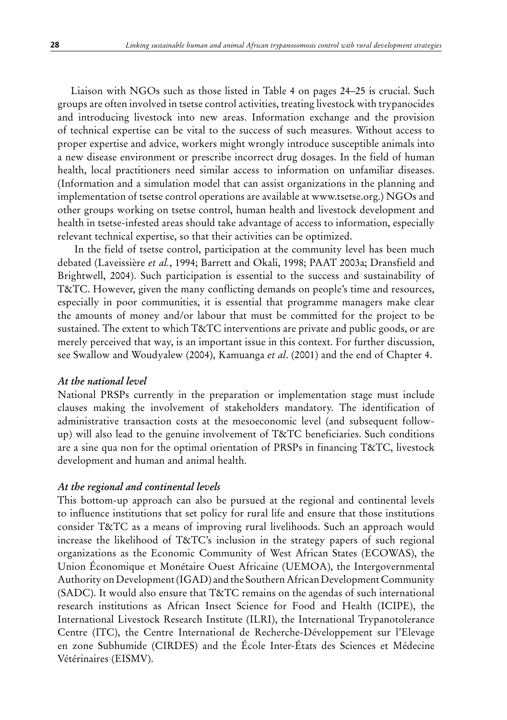Liaison with NGOs such as those listed in Table 4 on pages 24–25 is crucial. Such groups are often involved in tsetse control activities, treating livestock with trypanocides and introducing livestock into new areas. Information exchange and the provision of technical expertise can be vital to the success of such measures. Without access to proper expertise and advice, workers might wrongly introduce susceptible animals into a new disease environment or prescribe incorrect drug dosages. In the field of human health, local practitioners need similar access to information on unfamiliar diseases. (Information and a simulation model that can assist organizations in the planning and implementation of tsetse control operations are available at www.tsetse.org.) NGOs and other groups working on tsetse control, human health and livestock development and health in tsetse-infested areas should take advantage of access to information, especially relevant technical expertise, so that their activities can be optimized.

 In the field of tsetse control, participation at the community level has been much debated (Laveissière *et al.*, 1994; Barrett and Okali, 1998; PAAT 2003a; Dransfield and Brightwell, 2004). Such participation is essential to the success and sustainability of T&TC. However, given the many conflicting demands on people's time and resources, especially in poor communities, it is essential that programme managers make clear the amounts of money and/or labour that must be committed for the project to be sustained. The extent to which T&TC interventions are private and public goods, or are merely perceived that way, is an important issue in this context. For further discussion, see Swallow and Woudyalew (2004), Kamuanga *et al*. (2001) and the end of Chapter 4.

## *At the national level*

National PRSPs currently in the preparation or implementation stage must include clauses making the involvement of stakeholders mandatory. The identification of administrative transaction costs at the mesoeconomic level (and subsequent followup) will also lead to the genuine involvement of T&TC beneficiaries. Such conditions are a sine qua non for the optimal orientation of PRSPs in financing T&TC, livestock development and human and animal health.

## *At the regional and continental levels*

This bottom-up approach can also be pursued at the regional and continental levels to influence institutions that set policy for rural life and ensure that those institutions consider T&TC as a means of improving rural livelihoods. Such an approach would increase the likelihood of T&TC's inclusion in the strategy papers of such regional organizations as the Economic Community of West African States (ECOWAS), the Union Économique et Monétaire Ouest Africaine (UEMOA), the Intergovernmental Authority on Development (IGAD) and the Southern African Development Community (SADC). It would also ensure that T&TC remains on the agendas of such international research institutions as African Insect Science for Food and Health (ICIPE), the International Livestock Research Institute (ILRI), the International Trypanotolerance Centre (ITC), the Centre International de Recherche-Développement sur l'Elevage en zone Subhumide (CIRDES) and the École Inter-États des Sciences et Médecine Vétérinaires (EISMV).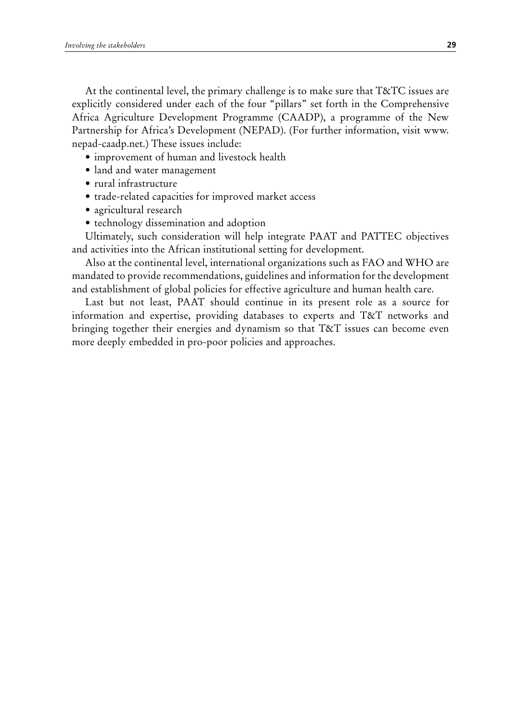At the continental level, the primary challenge is to make sure that T&TC issues are explicitly considered under each of the four "pillars" set forth in the Comprehensive Africa Agriculture Development Programme (CAADP), a programme of the New Partnership for Africa's Development (NEPAD). (For further information, visit www. nepad-caadp.net.) These issues include:

- improvement of human and livestock health
- land and water management
- rural infrastructure
- trade-related capacities for improved market access
- agricultural research
- technology dissemination and adoption

Ultimately, such consideration will help integrate PAAT and PATTEC objectives and activities into the African institutional setting for development.

Also at the continental level, international organizations such as FAO and WHO are mandated to provide recommendations, guidelines and information for the development and establishment of global policies for effective agriculture and human health care.

Last but not least, PAAT should continue in its present role as a source for information and expertise, providing databases to experts and T&T networks and bringing together their energies and dynamism so that T&T issues can become even more deeply embedded in pro-poor policies and approaches.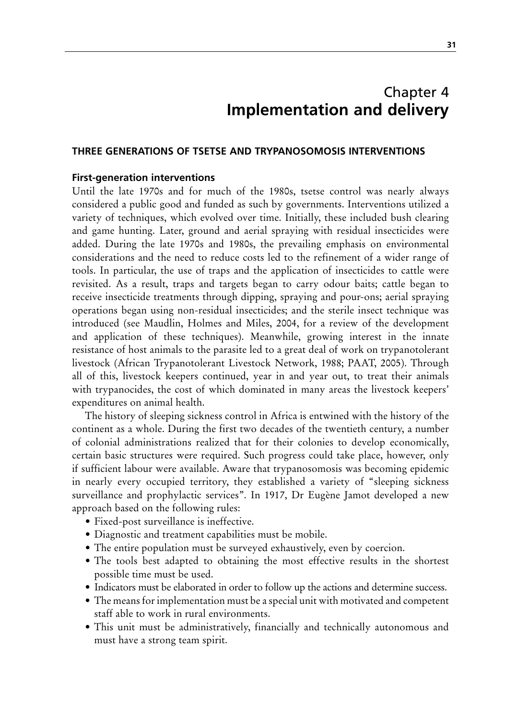# Chapter 4 **Implementation and delivery**

## **Three generations of tsetse and trypan osomosis interventions**

#### **First-generation interventions**

Until the late 1970s and for much of the 1980s, tsetse control was nearly always considered a public good and funded as such by governments. Interventions utilized a variety of techniques, which evolved over time. Initially, these included bush clearing and game hunting. Later, ground and aerial spraying with residual insecticides were added. During the late 1970s and 1980s, the prevailing emphasis on environmental considerations and the need to reduce costs led to the refinement of a wider range of tools. In particular, the use of traps and the application of insecticides to cattle were revisited. As a result, traps and targets began to carry odour baits; cattle began to receive insecticide treatments through dipping, spraying and pour-ons; aerial spraying operations began using non-residual insecticides; and the sterile insect technique was introduced (see Maudlin, Holmes and Miles, 2004, for a review of the development and application of these techniques). Meanwhile, growing interest in the innate resistance of host animals to the parasite led to a great deal of work on trypanotolerant livestock (African Trypanotolerant Livestock Network, 1988; PAAT, 2005). Through all of this, livestock keepers continued, year in and year out, to treat their animals with trypanocides, the cost of which dominated in many areas the livestock keepers' expenditures on animal health.

The history of sleeping sickness control in Africa is entwined with the history of the continent as a whole. During the first two decades of the twentieth century, a number of colonial administrations realized that for their colonies to develop economically, certain basic structures were required. Such progress could take place, however, only if sufficient labour were available. Aware that trypanosomosis was becoming epidemic in nearly every occupied territory, they established a variety of "sleeping sickness surveillance and prophylactic services". In 1917, Dr Eugène Jamot developed a new approach based on the following rules:

- Fixed-post surveillance is ineffective.
- Diagnostic and treatment capabilities must be mobile.
- The entire population must be surveyed exhaustively, even by coercion.
- The tools best adapted to obtaining the most effective results in the shortest possible time must be used.
- Indicators must be elaborated in order to follow up the actions and determine success.
- The means for implementation must be a special unit with motivated and competent staff able to work in rural environments.
- This unit must be administratively, financially and technically autonomous and must have a strong team spirit.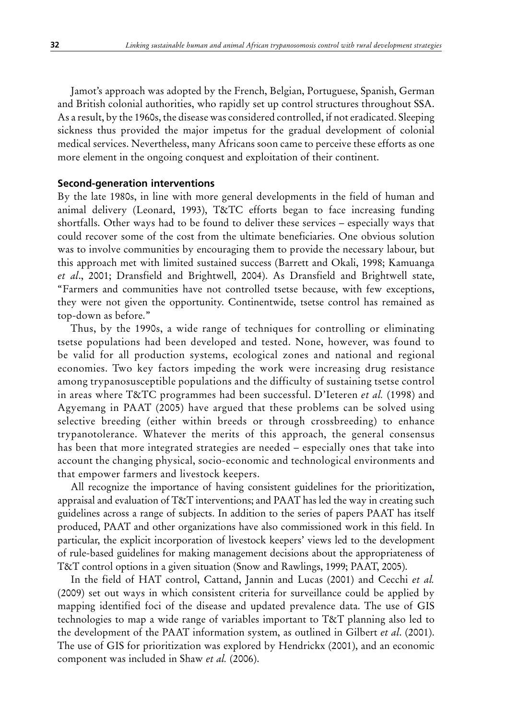Jamot's approach was adopted by the French, Belgian, Portuguese, Spanish, German and British colonial authorities, who rapidly set up control structures throughout SSA. As a result, by the 1960s, the disease was considered controlled, if not eradicated. Sleeping sickness thus provided the major impetus for the gradual development of colonial medical services. Nevertheless, many Africans soon came to perceive these efforts as one more element in the ongoing conquest and exploitation of their continent.

#### **Second-generation interventions**

By the late 1980s, in line with more general developments in the field of human and animal delivery (Leonard, 1993), T&TC efforts began to face increasing funding shortfalls. Other ways had to be found to deliver these services – especially ways that could recover some of the cost from the ultimate beneficiaries. One obvious solution was to involve communities by encouraging them to provide the necessary labour, but this approach met with limited sustained success (Barrett and Okali, 1998; Kamuanga *et al*., 2001; Dransfield and Brightwell, 2004). As Dransfield and Brightwell state, "Farmers and communities have not controlled tsetse because, with few exceptions, they were not given the opportunity. Continentwide, tsetse control has remained as top-down as before."

Thus, by the 1990s, a wide range of techniques for controlling or eliminating tsetse populations had been developed and tested. None, however, was found to be valid for all production systems, ecological zones and national and regional economies. Two key factors impeding the work were increasing drug resistance among trypanosusceptible populations and the difficulty of sustaining tsetse control in areas where T&TC programmes had been successful. D'Ieteren *et al.* (1998) and Agyemang in PAAT (2005) have argued that these problems can be solved using selective breeding (either within breeds or through crossbreeding) to enhance trypanotolerance. Whatever the merits of this approach, the general consensus has been that more integrated strategies are needed – especially ones that take into account the changing physical, socio-economic and technological environments and that empower farmers and livestock keepers.

All recognize the importance of having consistent guidelines for the prioritization, appraisal and evaluation of T&T interventions; and PAAT has led the way in creating such guidelines across a range of subjects. In addition to the series of papers PAAT has itself produced, PAAT and other organizations have also commissioned work in this field. In particular, the explicit incorporation of livestock keepers' views led to the development of rule-based guidelines for making management decisions about the appropriateness of T&T control options in a given situation (Snow and Rawlings, 1999; PAAT, 2005).

In the field of HAT control, Cattand, Jannin and Lucas (2001) and Cecchi *et al.* (2009) set out ways in which consistent criteria for surveillance could be applied by mapping identified foci of the disease and updated prevalence data. The use of GIS technologies to map a wide range of variables important to T&T planning also led to the development of the PAAT information system, as outlined in Gilbert *et al*. (2001). The use of GIS for prioritization was explored by Hendrickx (2001), and an economic component was included in Shaw *et al.* (2006).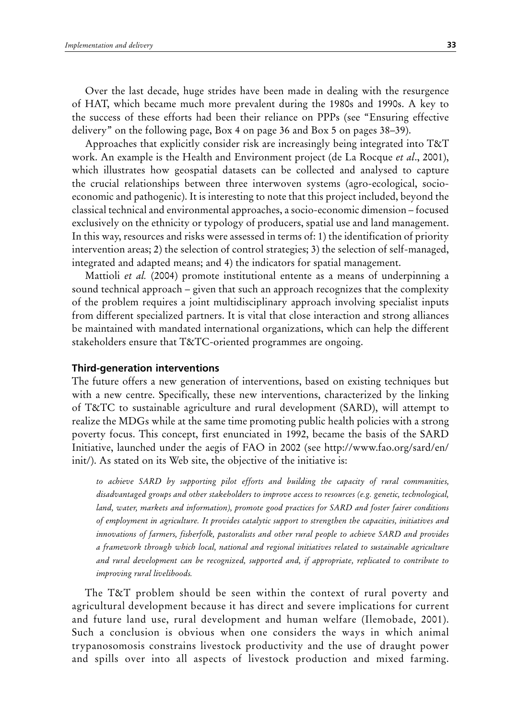Over the last decade, huge strides have been made in dealing with the resurgence of HAT, which became much more prevalent during the 1980s and 1990s. A key to the success of these efforts had been their reliance on PPPs (see "Ensuring effective delivery" on the following page, Box 4 on page 36 and Box 5 on pages 38–39).

Approaches that explicitly consider risk are increasingly being integrated into T&T work. An example is the Health and Environment project (de La Rocque *et al*., 2001), which illustrates how geospatial datasets can be collected and analysed to capture the crucial relationships between three interwoven systems (agro-ecological, socioeconomic and pathogenic). It is interesting to note that this project included, beyond the classical technical and environmental approaches, a socio-economic dimension – focused exclusively on the ethnicity or typology of producers, spatial use and land management. In this way, resources and risks were assessed in terms of: 1) the identification of priority intervention areas; 2) the selection of control strategies; 3) the selection of self-managed, integrated and adapted means; and 4) the indicators for spatial management.

Mattioli *et al.* (2004) promote institutional entente as a means of underpinning a sound technical approach – given that such an approach recognizes that the complexity of the problem requires a joint multidisciplinary approach involving specialist inputs from different specialized partners. It is vital that close interaction and strong alliances be maintained with mandated international organizations, which can help the different stakeholders ensure that T&TC-oriented programmes are ongoing.

## **Third-generation interventions**

The future offers a new generation of interventions, based on existing techniques but with a new centre. Specifically, these new interventions, characterized by the linking of T&TC to sustainable agriculture and rural development (SARD), will attempt to realize the MDGs while at the same time promoting public health policies with a strong poverty focus. This concept, first enunciated in 1992, became the basis of the SARD Initiative, launched under the aegis of FAO in 2002 (see http://www.fao.org/sard/en/ init/). As stated on its Web site, the objective of the initiative is:

*to achieve SARD by supporting pilot efforts and building the capacity of rural communities, disadvantaged groups and other stakeholders to improve access to resources (e.g. genetic, technological, land, water, markets and information), promote good practices for SARD and foster fairer conditions of employment in agriculture. It provides catalytic support to strengthen the capacities, initiatives and innovations of farmers, fisherfolk, pastoralists and other rural people to achieve SARD and provides a framework through which local, national and regional initiatives related to sustainable agriculture and rural development can be recognized, supported and, if appropriate, replicated to contribute to improving rural livelihoods.*

The T&T problem should be seen within the context of rural poverty and agricultural development because it has direct and severe implications for current and future land use, rural development and human welfare (Ilemobade, 2001). Such a conclusion is obvious when one considers the ways in which animal trypanosomosis constrains livestock productivity and the use of draught power and spills over into all aspects of livestock production and mixed farming.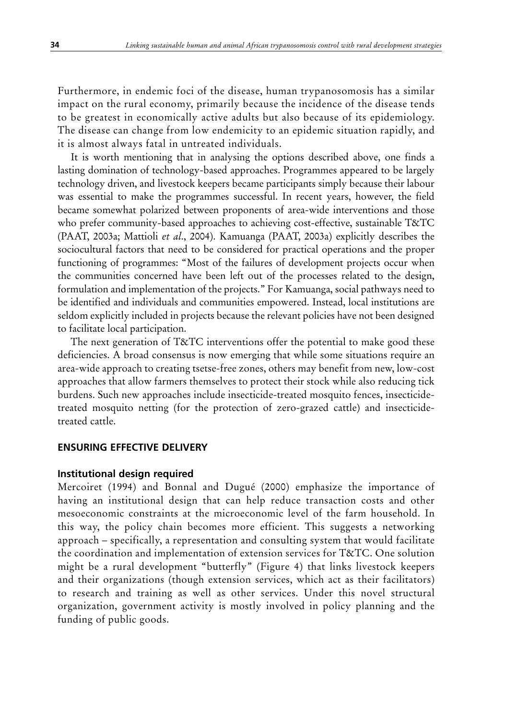Furthermore, in endemic foci of the disease, human trypanosomosis has a similar impact on the rural economy, primarily because the incidence of the disease tends to be greatest in economically active adults but also because of its epidemiology. The disease can change from low endemicity to an epidemic situation rapidly, and it is almost always fatal in untreated individuals.

It is worth mentioning that in analysing the options described above, one finds a lasting domination of technology-based approaches. Programmes appeared to be largely technology driven, and livestock keepers became participants simply because their labour was essential to make the programmes successful. In recent years, however, the field became somewhat polarized between proponents of area-wide interventions and those who prefer community-based approaches to achieving cost-effective, sustainable T&TC (PAAT, 2003a; Mattioli *et al*., 2004). Kamuanga (PAAT, 2003a) explicitly describes the sociocultural factors that need to be considered for practical operations and the proper functioning of programmes: "Most of the failures of development projects occur when the communities concerned have been left out of the processes related to the design, formulation and implementation of the projects." For Kamuanga, social pathways need to be identified and individuals and communities empowered. Instead, local institutions are seldom explicitly included in projects because the relevant policies have not been designed to facilitate local participation.

The next generation of T&TC interventions offer the potential to make good these deficiencies. A broad consensus is now emerging that while some situations require an area-wide approach to creating tsetse-free zones, others may benefit from new, low-cost approaches that allow farmers themselves to protect their stock while also reducing tick burdens. Such new approaches include insecticide-treated mosquito fences, insecticidetreated mosquito netting (for the protection of zero-grazed cattle) and insecticidetreated cattle.

### **Ensuring effective delivery**

#### **Institutional design required**

Mercoiret (1994) and Bonnal and Dugué (2000) emphasize the importance of having an institutional design that can help reduce transaction costs and other mesoeconomic constraints at the microeconomic level of the farm household. In this way, the policy chain becomes more efficient. This suggests a networking approach – specifically, a representation and consulting system that would facilitate the coordination and implementation of extension services for T&TC. One solution might be a rural development "butterfly" (Figure 4) that links livestock keepers and their organizations (though extension services, which act as their facilitators) to research and training as well as other services. Under this novel structural organization, government activity is mostly involved in policy planning and the funding of public goods.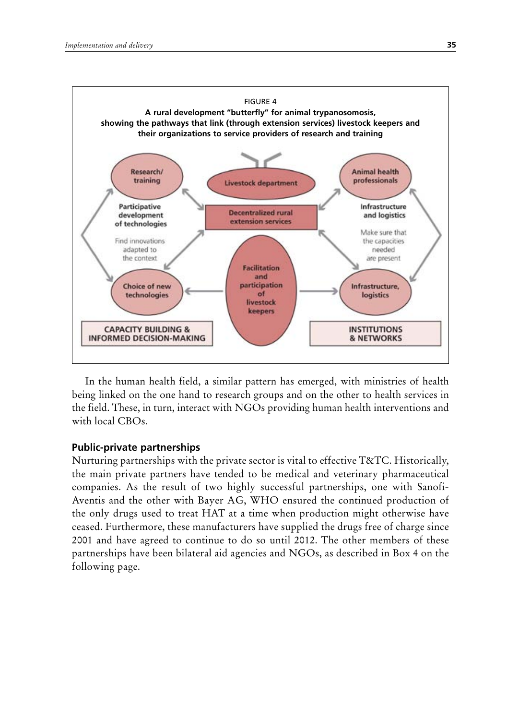

In the human health field, a similar pattern has emerged, with ministries of health being linked on the one hand to research groups and on the other to health services in the field. These, in turn, interact with NGOs providing human health interventions and with local CBOs.

## **Public-private partnerships**

Nurturing partnerships with the private sector is vital to effective T&TC. Historically, the main private partners have tended to be medical and veterinary pharmaceutical companies. As the result of two highly successful partnerships, one with Sanofi-Aventis and the other with Bayer AG, WHO ensured the continued production of the only drugs used to treat HAT at a time when production might otherwise have ceased. Furthermore, these manufacturers have supplied the drugs free of charge since 2001 and have agreed to continue to do so until 2012. The other members of these partnerships have been bilateral aid agencies and NGOs, as described in Box 4 on the following page.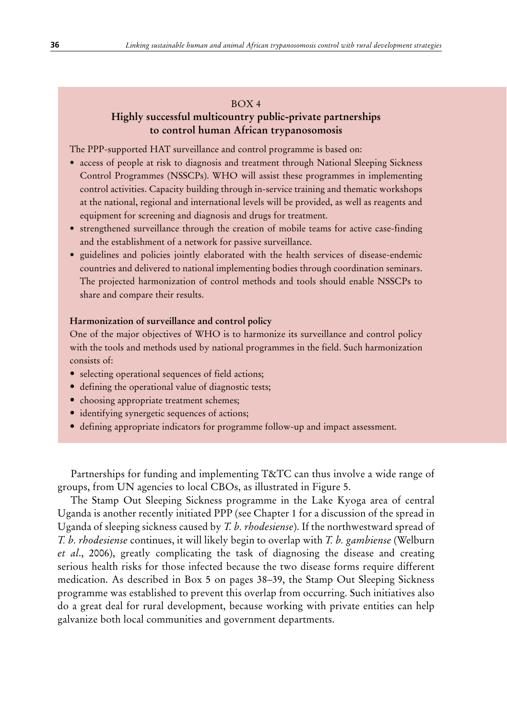## BOX 4

## **Highly successful multicountry public-private partnerships to control human African trypanosomosis**

The PPP-supported HAT surveillance and control programme is based on:

- access of people at risk to diagnosis and treatment through National Sleeping Sickness Control Programmes (NSSCPs). WHO will assist these programmes in implementing control activities. Capacity building through in-service training and thematic workshops at the national, regional and international levels will be provided, as well as reagents and equipment for screening and diagnosis and drugs for treatment.
- strengthened surveillance through the creation of mobile teams for active case-finding and the establishment of a network for passive surveillance.
- guidelines and policies jointly elaborated with the health services of disease-endemic countries and delivered to national implementing bodies through coordination seminars. The projected harmonization of control methods and tools should enable NSSCPs to share and compare their results.

#### **Harmonization of surveillance and control policy**

One of the major objectives of WHO is to harmonize its surveillance and control policy with the tools and methods used by national programmes in the field. Such harmonization consists of:

- selecting operational sequences of field actions;
- defining the operational value of diagnostic tests;
- choosing appropriate treatment schemes;
- identifying synergetic sequences of actions;
- • defining appropriate indicators for programme follow-up and impact assessment.

Partnerships for funding and implementing T&TC can thus involve a wide range of groups, from UN agencies to local CBOs, as illustrated in Figure 5.

The Stamp Out Sleeping Sickness programme in the Lake Kyoga area of central Uganda is another recently initiated PPP (see Chapter 1 for a discussion of the spread in Uganda of sleeping sickness caused by *T. b. rhodesiense*). If the northwestward spread of *T. b. rhodesiense* continues, it will likely begin to overlap with *T. b. gambiense* (Welburn *et al*., 2006), greatly complicating the task of diagnosing the disease and creating serious health risks for those infected because the two disease forms require different medication. As described in Box 5 on pages 38–39, the Stamp Out Sleeping Sickness programme was established to prevent this overlap from occurring. Such initiatives also do a great deal for rural development, because working with private entities can help galvanize both local communities and government departments.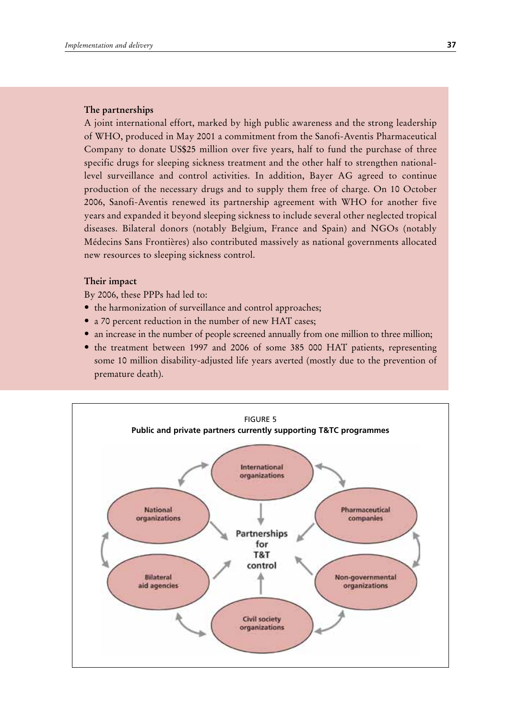#### **The partnerships**

A joint international effort, marked by high public awareness and the strong leadership of WHO, produced in May 2001 a commitment from the Sanofi-Aventis Pharmaceutical Company to donate US\$25 million over five years, half to fund the purchase of three specific drugs for sleeping sickness treatment and the other half to strengthen nationallevel surveillance and control activities. In addition, Bayer AG agreed to continue production of the necessary drugs and to supply them free of charge. On 10 October 2006, Sanofi-Aventis renewed its partnership agreement with WHO for another five years and expanded it beyond sleeping sickness to include several other neglected tropical diseases. Bilateral donors (notably Belgium, France and Spain) and NGOs (notably Médecins Sans Frontières) also contributed massively as national governments allocated new resources to sleeping sickness control.

## **Their impact**

By 2006, these PPPs had led to:

- the harmonization of surveillance and control approaches;
- a 70 percent reduction in the number of new HAT cases;
- an increase in the number of people screened annually from one million to three million;
- the treatment between 1997 and 2006 of some 385 000 HAT patients, representing some 10 million disability-adjusted life years averted (mostly due to the prevention of premature death).

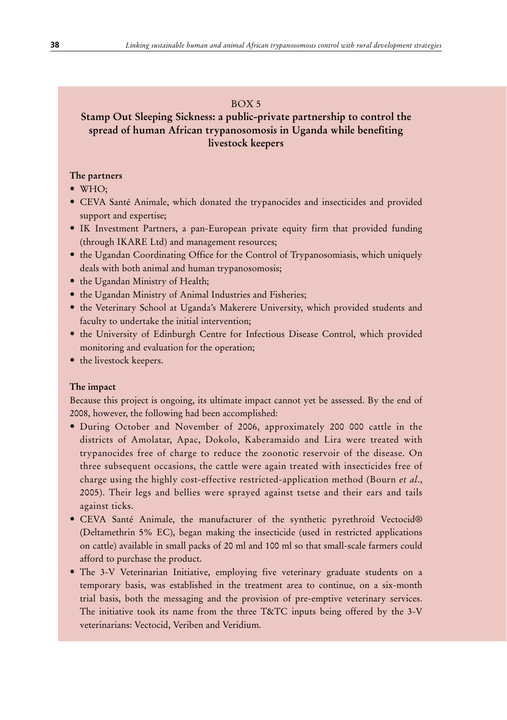## BOX 5

# **Stamp Out Sleeping Sickness: a public-private partnership to control the spread of human African trypanosomosis in Uganda while benefiting livestock keepers**

## **The partners**

- WHO;
- • CEVA Santé Animale, which donated the trypanocides and insecticides and provided support and expertise;
- IK Investment Partners, a pan-European private equity firm that provided funding (through IKARE Ltd) and management resources;
- the Ugandan Coordinating Office for the Control of Trypanosomiasis, which uniquely deals with both animal and human trypanosomosis;
- the Ugandan Ministry of Health;
- the Ugandan Ministry of Animal Industries and Fisheries;
- the Veterinary School at Uganda's Makerere University, which provided students and faculty to undertake the initial intervention;
- the University of Edinburgh Centre for Infectious Disease Control, which provided monitoring and evaluation for the operation;
- the livestock keepers.

## **The impact**

Because this project is ongoing, its ultimate impact cannot yet be assessed. By the end of 2008, however, the following had been accomplished:

- • During October and November of 2006, approximately 200 000 cattle in the districts of Amolatar, Apac, Dokolo, Kaberamaido and Lira were treated with trypanocides free of charge to reduce the zoonotic reservoir of the disease. On three subsequent occasions, the cattle were again treated with insecticides free of charge using the highly cost-effective restricted-application method (Bourn *et al*., 2005). Their legs and bellies were sprayed against tsetse and their ears and tails against ticks.
- • CEVA Santé Animale, the manufacturer of the synthetic pyrethroid Vectocid® (Deltamethrin 5% EC), began making the insecticide (used in restricted applications on cattle) available in small packs of 20 ml and 100 ml so that small-scale farmers could afford to purchase the product.
- The 3-V Veterinarian Initiative, employing five veterinary graduate students on a temporary basis, was established in the treatment area to continue, on a six-month trial basis, both the messaging and the provision of pre-emptive veterinary services. The initiative took its name from the three T&TC inputs being offered by the 3-V veterinarians: Vectocid, Veriben and Veridium.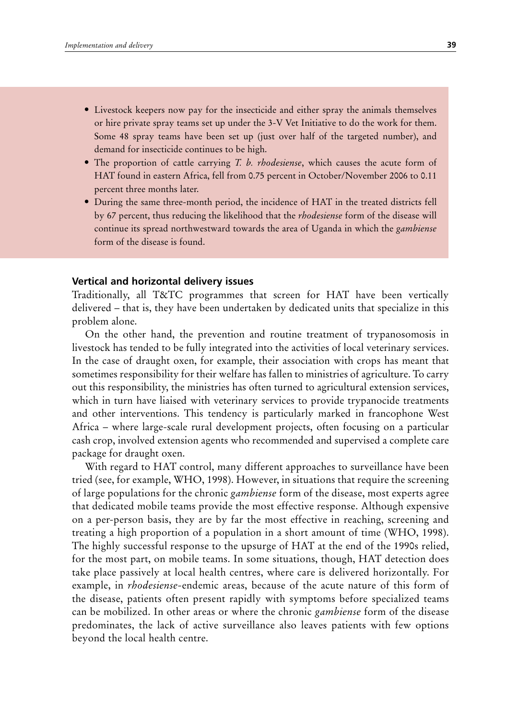- Livestock keepers now pay for the insecticide and either spray the animals themselves or hire private spray teams set up under the 3-V Vet Initiative to do the work for them. Some 48 spray teams have been set up (just over half of the targeted number), and demand for insecticide continues to be high.
- The proportion of cattle carrying *T. b. rhodesiense*, which causes the acute form of HAT found in eastern Africa, fell from 0.75 percent in October/November 2006 to 0.11 percent three months later.
- • During the same three-month period, the incidence of HAT in the treated districts fell by 67 percent, thus reducing the likelihood that the *rhodesiense* form of the disease will continue its spread northwestward towards the area of Uganda in which the *gambiense* form of the disease is found.

#### **Vertical and horizontal delivery issues**

Traditionally, all T&TC programmes that screen for HAT have been vertically delivered – that is, they have been undertaken by dedicated units that specialize in this problem alone.

On the other hand, the prevention and routine treatment of trypanosomosis in livestock has tended to be fully integrated into the activities of local veterinary services. In the case of draught oxen, for example, their association with crops has meant that sometimes responsibility for their welfare has fallen to ministries of agriculture. To carry out this responsibility, the ministries has often turned to agricultural extension services, which in turn have liaised with veterinary services to provide trypanocide treatments and other interventions. This tendency is particularly marked in francophone West Africa – where large-scale rural development projects, often focusing on a particular cash crop, involved extension agents who recommended and supervised a complete care package for draught oxen.

With regard to HAT control, many different approaches to surveillance have been tried (see, for example, WHO, 1998). However, in situations that require the screening of large populations for the chronic *gambiense* form of the disease, most experts agree that dedicated mobile teams provide the most effective response. Although expensive on a per-person basis, they are by far the most effective in reaching, screening and treating a high proportion of a population in a short amount of time (WHO, 1998). The highly successful response to the upsurge of HAT at the end of the 1990s relied, for the most part, on mobile teams. In some situations, though, HAT detection does take place passively at local health centres, where care is delivered horizontally. For example, in *rhodesiense-*endemic areas, because of the acute nature of this form of the disease, patients often present rapidly with symptoms before specialized teams can be mobilized. In other areas or where the chronic *gambiense* form of the disease predominates, the lack of active surveillance also leaves patients with few options beyond the local health centre.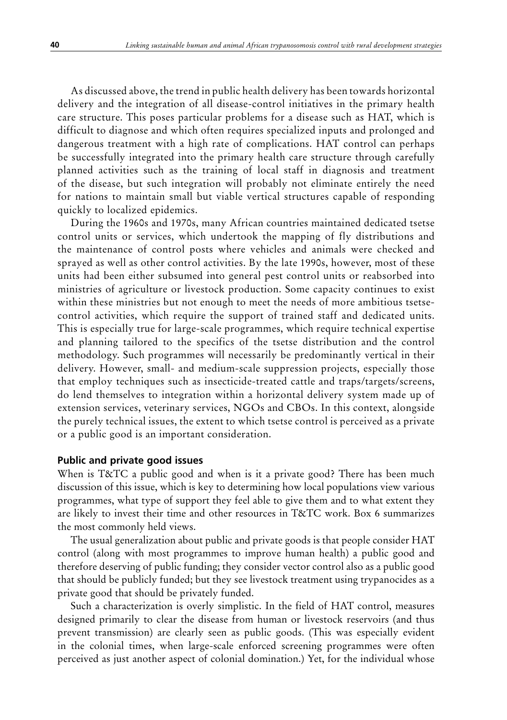As discussed above, the trend in public health delivery has been towards horizontal delivery and the integration of all disease-control initiatives in the primary health care structure. This poses particular problems for a disease such as HAT, which is difficult to diagnose and which often requires specialized inputs and prolonged and dangerous treatment with a high rate of complications. HAT control can perhaps be successfully integrated into the primary health care structure through carefully planned activities such as the training of local staff in diagnosis and treatment of the disease, but such integration will probably not eliminate entirely the need for nations to maintain small but viable vertical structures capable of responding quickly to localized epidemics.

During the 1960s and 1970s, many African countries maintained dedicated tsetse control units or services, which undertook the mapping of fly distributions and the maintenance of control posts where vehicles and animals were checked and sprayed as well as other control activities. By the late 1990s, however, most of these units had been either subsumed into general pest control units or reabsorbed into ministries of agriculture or livestock production. Some capacity continues to exist within these ministries but not enough to meet the needs of more ambitious tsetsecontrol activities, which require the support of trained staff and dedicated units. This is especially true for large-scale programmes, which require technical expertise and planning tailored to the specifics of the tsetse distribution and the control methodology. Such programmes will necessarily be predominantly vertical in their delivery. However, small- and medium-scale suppression projects, especially those that employ techniques such as insecticide-treated cattle and traps/targets/screens, do lend themselves to integration within a horizontal delivery system made up of extension services, veterinary services, NGOs and CBOs. In this context, alongside the purely technical issues, the extent to which tsetse control is perceived as a private or a public good is an important consideration.

#### **Public and private good issues**

When is T&TC a public good and when is it a private good? There has been much discussion of this issue, which is key to determining how local populations view various programmes, what type of support they feel able to give them and to what extent they are likely to invest their time and other resources in T&TC work. Box 6 summarizes the most commonly held views.

The usual generalization about public and private goods is that people consider HAT control (along with most programmes to improve human health) a public good and therefore deserving of public funding; they consider vector control also as a public good that should be publicly funded; but they see livestock treatment using trypanocides as a private good that should be privately funded.

Such a characterization is overly simplistic. In the field of HAT control, measures designed primarily to clear the disease from human or livestock reservoirs (and thus prevent transmission) are clearly seen as public goods. (This was especially evident in the colonial times, when large-scale enforced screening programmes were often perceived as just another aspect of colonial domination.) Yet, for the individual whose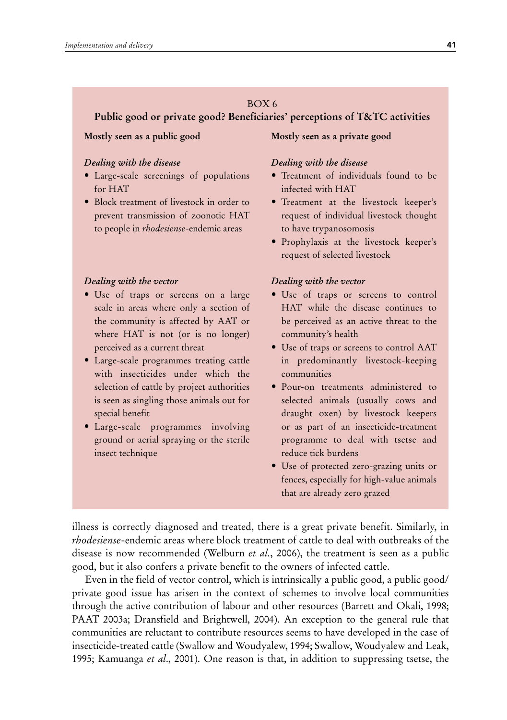## BOX 6

## **Public good or private good? Beneficiaries' perceptions of T&TC activities**

#### **Mostly seen as a public good**

## *Dealing with the disease*

- Large-scale screenings of populations for HAT
- Block treatment of livestock in order to prevent transmission of zoonotic HAT to people in *rhodesiense*-endemic areas

#### *Dealing with the vector*

- Use of traps or screens on a large scale in areas where only a section of the community is affected by AAT or where HAT is not (or is no longer) perceived as a current threat
- • Large-scale programmes treating cattle with insecticides under which the selection of cattle by project authorities is seen as singling those animals out for special benefit
- • Large-scale programmes involving ground or aerial spraying or the sterile insect technique

## **Mostly seen as a private good**

#### *Dealing with the disease*

- • Treatment of individuals found to be infected with HAT
- • Treatment at the livestock keeper's request of individual livestock thought to have trypanosomosis
- • Prophylaxis at the livestock keeper's request of selected livestock

#### *Dealing with the vector*

- Use of traps or screens to control HAT while the disease continues to be perceived as an active threat to the community's health
- Use of traps or screens to control AAT in predominantly livestock-keeping communities
- Pour-on treatments administered to selected animals (usually cows and draught oxen) by livestock keepers or as part of an insecticide-treatment programme to deal with tsetse and reduce tick burdens
- • Use of protected zero-grazing units or fences, especially for high-value animals that are already zero grazed

illness is correctly diagnosed and treated, there is a great private benefit. Similarly, in *rhodesiense*-endemic areas where block treatment of cattle to deal with outbreaks of the disease is now recommended (Welburn *et al.*, 2006), the treatment is seen as a public good, but it also confers a private benefit to the owners of infected cattle.

Even in the field of vector control, which is intrinsically a public good, a public good/ private good issue has arisen in the context of schemes to involve local communities through the active contribution of labour and other resources (Barrett and Okali, 1998; PAAT 2003a; Dransfield and Brightwell, 2004). An exception to the general rule that communities are reluctant to contribute resources seems to have developed in the case of insecticide-treated cattle (Swallow and Woudyalew, 1994; Swallow, Woudyalew and Leak, 1995; Kamuanga *et al*., 2001). One reason is that, in addition to suppressing tsetse, the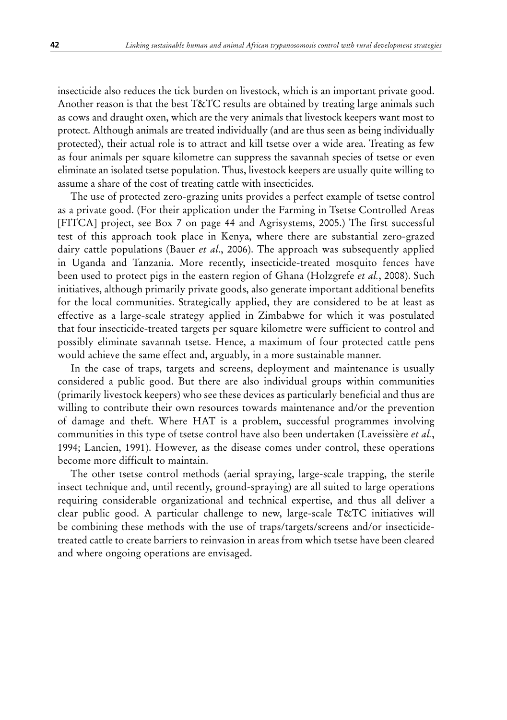insecticide also reduces the tick burden on livestock, which is an important private good. Another reason is that the best T&TC results are obtained by treating large animals such as cows and draught oxen, which are the very animals that livestock keepers want most to protect. Although animals are treated individually (and are thus seen as being individually protected), their actual role is to attract and kill tsetse over a wide area. Treating as few as four animals per square kilometre can suppress the savannah species of tsetse or even eliminate an isolated tsetse population. Thus, livestock keepers are usually quite willing to assume a share of the cost of treating cattle with insecticides.

The use of protected zero-grazing units provides a perfect example of tsetse control as a private good. (For their application under the Farming in Tsetse Controlled Areas [FITCA] project, see Box 7 on page 44 and Agrisystems, 2005.) The first successful test of this approach took place in Kenya, where there are substantial zero-grazed dairy cattle populations (Bauer *et al*., 2006). The approach was subsequently applied in Uganda and Tanzania. More recently, insecticide-treated mosquito fences have been used to protect pigs in the eastern region of Ghana (Holzgrefe *et al.*, 2008). Such initiatives, although primarily private goods, also generate important additional benefits for the local communities. Strategically applied, they are considered to be at least as effective as a large-scale strategy applied in Zimbabwe for which it was postulated that four insecticide-treated targets per square kilometre were sufficient to control and possibly eliminate savannah tsetse. Hence, a maximum of four protected cattle pens would achieve the same effect and, arguably, in a more sustainable manner.

In the case of traps, targets and screens, deployment and maintenance is usually considered a public good. But there are also individual groups within communities (primarily livestock keepers) who see these devices as particularly beneficial and thus are willing to contribute their own resources towards maintenance and/or the prevention of damage and theft. Where HAT is a problem, successful programmes involving communities in this type of tsetse control have also been undertaken (Laveissière *et al.*, 1994; Lancien, 1991). However, as the disease comes under control, these operations become more difficult to maintain.

The other tsetse control methods (aerial spraying, large-scale trapping, the sterile insect technique and, until recently, ground-spraying) are all suited to large operations requiring considerable organizational and technical expertise, and thus all deliver a clear public good. A particular challenge to new, large-scale T&TC initiatives will be combining these methods with the use of traps/targets/screens and/or insecticidetreated cattle to create barriers to reinvasion in areas from which tsetse have been cleared and where ongoing operations are envisaged.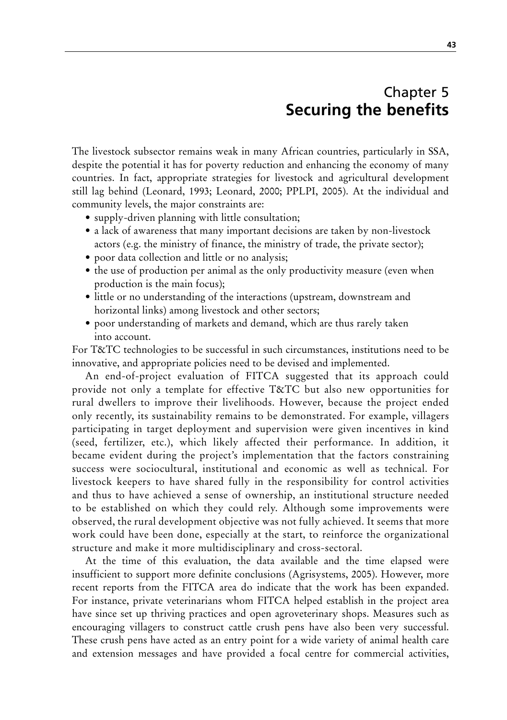# Chapter 5 **Securing the benefits**

The livestock subsector remains weak in many African countries, particularly in SSA, despite the potential it has for poverty reduction and enhancing the economy of many countries. In fact, appropriate strategies for livestock and agricultural development still lag behind (Leonard, 1993; Leonard, 2000; PPLPI, 2005). At the individual and community levels, the major constraints are:

- supply-driven planning with little consultation;
- a lack of awareness that many important decisions are taken by non-livestock actors (e.g. the ministry of finance, the ministry of trade, the private sector);
- poor data collection and little or no analysis;
- the use of production per animal as the only productivity measure (even when production is the main focus);
- little or no understanding of the interactions (upstream, downstream and horizontal links) among livestock and other sectors;
- poor understanding of markets and demand, which are thus rarely taken into account.

For T&TC technologies to be successful in such circumstances, institutions need to be innovative, and appropriate policies need to be devised and implemented.

An end-of-project evaluation of FITCA suggested that its approach could provide not only a template for effective T&TC but also new opportunities for rural dwellers to improve their livelihoods. However, because the project ended only recently, its sustainability remains to be demonstrated. For example, villagers participating in target deployment and supervision were given incentives in kind (seed, fertilizer, etc.), which likely affected their performance. In addition, it became evident during the project's implementation that the factors constraining success were sociocultural, institutional and economic as well as technical. For livestock keepers to have shared fully in the responsibility for control activities and thus to have achieved a sense of ownership, an institutional structure needed to be established on which they could rely. Although some improvements were observed, the rural development objective was not fully achieved. It seems that more work could have been done, especially at the start, to reinforce the organizational structure and make it more multidisciplinary and cross-sectoral.

At the time of this evaluation, the data available and the time elapsed were insufficient to support more definite conclusions (Agrisystems, 2005). However, more recent reports from the FITCA area do indicate that the work has been expanded. For instance, private veterinarians whom FITCA helped establish in the project area have since set up thriving practices and open agroveterinary shops. Measures such as encouraging villagers to construct cattle crush pens have also been very successful. These crush pens have acted as an entry point for a wide variety of animal health care and extension messages and have provided a focal centre for commercial activities,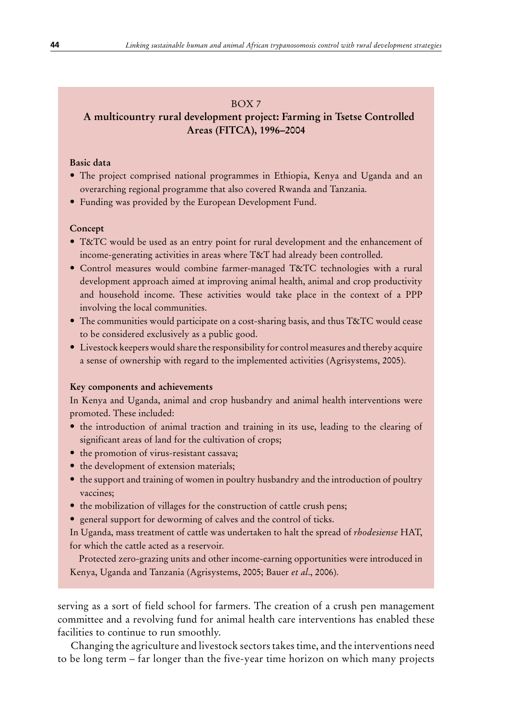## BOX 7

# **A multicountry rural development project: Farming in Tsetse Controlled Areas (FITCA), 1996–2004**

## **Basic data**

- The project comprised national programmes in Ethiopia, Kenya and Uganda and an overarching regional programme that also covered Rwanda and Tanzania.
- Funding was provided by the European Development Fund.

#### **Concept**

- T&TC would be used as an entry point for rural development and the enhancement of income-generating activities in areas where T&T had already been controlled.
- Control measures would combine farmer-managed T&TC technologies with a rural development approach aimed at improving animal health, animal and crop productivity and household income. These activities would take place in the context of a PPP involving the local communities.
- The communities would participate on a cost-sharing basis, and thus T&TC would cease to be considered exclusively as a public good.
- • Livestock keepers would share the responsibility for control measures and thereby acquire a sense of ownership with regard to the implemented activities (Agrisystems, 2005).

#### **Key components and achievements**

In Kenya and Uganda, animal and crop husbandry and animal health interventions were promoted. These included:

- the introduction of animal traction and training in its use, leading to the clearing of significant areas of land for the cultivation of crops;
- the promotion of virus-resistant cassava;
- the development of extension materials;
- the support and training of women in poultry husbandry and the introduction of poultry vaccines;
- the mobilization of villages for the construction of cattle crush pens;
- general support for deworming of calves and the control of ticks.

In Uganda, mass treatment of cattle was undertaken to halt the spread of *rhodesiense* HAT, for which the cattle acted as a reservoir.

Protected zero-grazing units and other income-earning opportunities were introduced in Kenya, Uganda and Tanzania (Agrisystems, 2005; Bauer *et al*., 2006).

serving as a sort of field school for farmers. The creation of a crush pen management committee and a revolving fund for animal health care interventions has enabled these facilities to continue to run smoothly.

Changing the agriculture and livestock sectors takes time, and the interventions need to be long term – far longer than the five-year time horizon on which many projects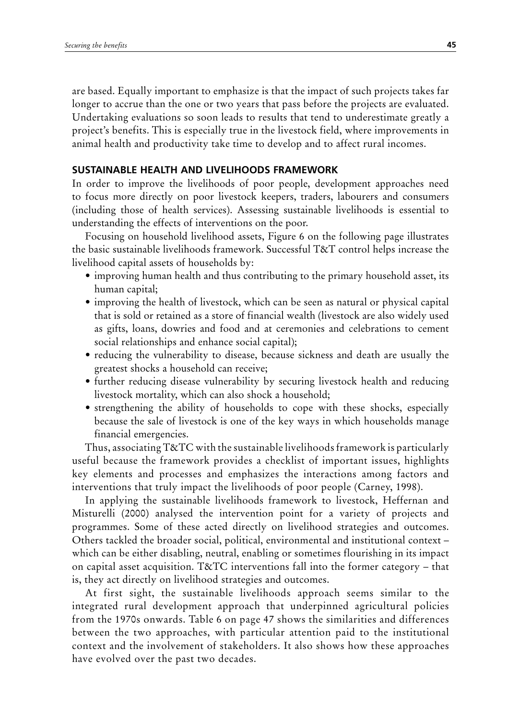are based. Equally important to emphasize is that the impact of such projects takes far longer to accrue than the one or two years that pass before the projects are evaluated. Undertaking evaluations so soon leads to results that tend to underestimate greatly a project's benefits. This is especially true in the livestock field, where improvements in animal health and productivity take time to develop and to affect rural incomes.

## **SuSTAINABle HeAlTH AND lIVelIHooDS FrAMeworK**

In order to improve the livelihoods of poor people, development approaches need to focus more directly on poor livestock keepers, traders, labourers and consumers (including those of health services). Assessing sustainable livelihoods is essential to understanding the effects of interventions on the poor.

Focusing on household livelihood assets, Figure 6 on the following page illustrates the basic sustainable livelihoods framework. Successful T&T control helps increase the livelihood capital assets of households by:

- improving human health and thus contributing to the primary household asset, its human capital;
- improving the health of livestock, which can be seen as natural or physical capital that is sold or retained as a store of financial wealth (livestock are also widely used as gifts, loans, dowries and food and at ceremonies and celebrations to cement social relationships and enhance social capital);
- reducing the vulnerability to disease, because sickness and death are usually the greatest shocks a household can receive;
- further reducing disease vulnerability by securing livestock health and reducing livestock mortality, which can also shock a household;
- strengthening the ability of households to cope with these shocks, especially because the sale of livestock is one of the key ways in which households manage financial emergencies.

Thus, associating T&TC with the sustainable livelihoods framework is particularly useful because the framework provides a checklist of important issues, highlights key elements and processes and emphasizes the interactions among factors and interventions that truly impact the livelihoods of poor people (Carney, 1998).

In applying the sustainable livelihoods framework to livestock, Heffernan and Misturelli (2000) analysed the intervention point for a variety of projects and programmes. Some of these acted directly on livelihood strategies and outcomes. Others tackled the broader social, political, environmental and institutional context – which can be either disabling, neutral, enabling or sometimes flourishing in its impact on capital asset acquisition. T&TC interventions fall into the former category – that is, they act directly on livelihood strategies and outcomes.

At first sight, the sustainable livelihoods approach seems similar to the integrated rural development approach that underpinned agricultural policies from the 1970s onwards. Table 6 on page 47 shows the similarities and differences between the two approaches, with particular attention paid to the institutional context and the involvement of stakeholders. It also shows how these approaches have evolved over the past two decades.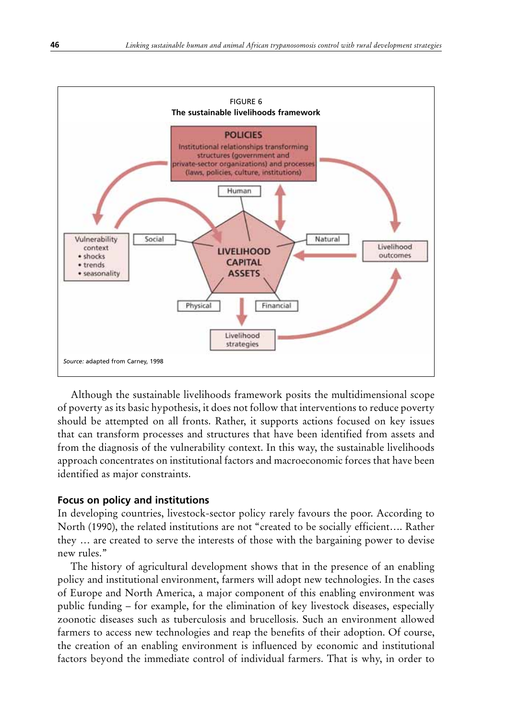

Although the sustainable livelihoods framework posits the multidimensional scope of poverty as its basic hypothesis, it does not follow that interventions to reduce poverty should be attempted on all fronts. Rather, it supports actions focused on key issues that can transform processes and structures that have been identified from assets and from the diagnosis of the vulnerability context. In this way, the sustainable livelihoods approach concentrates on institutional factors and macroeconomic forces that have been identified as major constraints.

## **Focus on policy and institutions**

In developing countries, livestock-sector policy rarely favours the poor. According to North (1990), the related institutions are not "created to be socially efficient…. Rather they … are created to serve the interests of those with the bargaining power to devise new rules."

The history of agricultural development shows that in the presence of an enabling policy and institutional environment, farmers will adopt new technologies. In the cases of Europe and North America, a major component of this enabling environment was public funding – for example, for the elimination of key livestock diseases, especially zoonotic diseases such as tuberculosis and brucellosis. Such an environment allowed farmers to access new technologies and reap the benefits of their adoption. Of course, the creation of an enabling environment is influenced by economic and institutional factors beyond the immediate control of individual farmers. That is why, in order to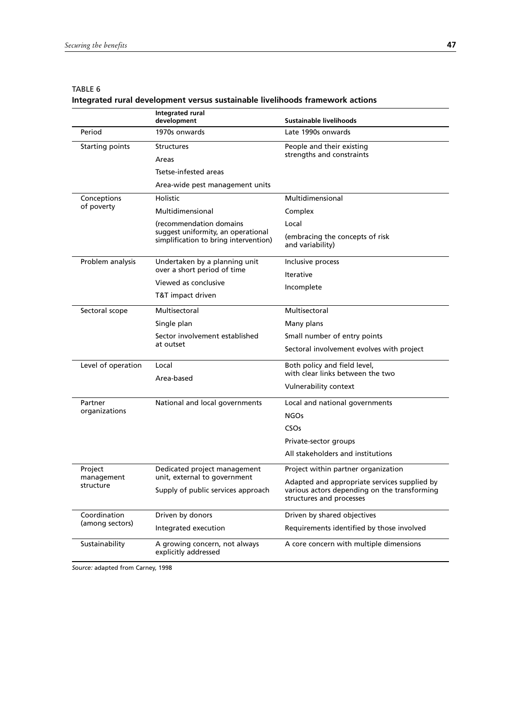|                                 | <b>Integrated rural</b><br>development                                      | Sustainable livelihoods                                                                                                  |
|---------------------------------|-----------------------------------------------------------------------------|--------------------------------------------------------------------------------------------------------------------------|
| Period                          | 1970s onwards                                                               | Late 1990s onwards                                                                                                       |
| Starting points                 | <b>Structures</b>                                                           | People and their existing                                                                                                |
|                                 | Areas                                                                       | strengths and constraints                                                                                                |
|                                 | Tsetse-infested areas                                                       |                                                                                                                          |
|                                 | Area-wide pest management units                                             |                                                                                                                          |
| Conceptions                     | Holistic                                                                    | Multidimensional                                                                                                         |
| of poverty                      | Multidimensional                                                            | Complex                                                                                                                  |
|                                 | (recommendation domains                                                     | Local                                                                                                                    |
|                                 | suggest uniformity, an operational<br>simplification to bring intervention) | (embracing the concepts of risk<br>and variability)                                                                      |
| Problem analysis                | Undertaken by a planning unit                                               | Inclusive process                                                                                                        |
|                                 | over a short period of time                                                 | <b>Iterative</b>                                                                                                         |
|                                 | Viewed as conclusive                                                        | Incomplete                                                                                                               |
|                                 | T&T impact driven                                                           |                                                                                                                          |
| Sectoral scope                  | Multisectoral                                                               | Multisectoral                                                                                                            |
|                                 | Single plan                                                                 | Many plans                                                                                                               |
|                                 | Sector involvement established<br>at outset                                 | Small number of entry points                                                                                             |
|                                 |                                                                             | Sectoral involvement evolves with project                                                                                |
| Level of operation              | Local<br>Area-based                                                         | Both policy and field level,                                                                                             |
|                                 |                                                                             | with clear links between the two                                                                                         |
|                                 |                                                                             | Vulnerability context                                                                                                    |
| Partner                         | National and local governments                                              | Local and national governments                                                                                           |
| organizations                   |                                                                             | <b>NGOs</b>                                                                                                              |
|                                 |                                                                             | CSOs                                                                                                                     |
|                                 |                                                                             | Private-sector groups                                                                                                    |
|                                 |                                                                             | All stakeholders and institutions                                                                                        |
| Project                         | Dedicated project management                                                | Project within partner organization                                                                                      |
| management<br>structure         | unit, external to government<br>Supply of public services approach          | Adapted and appropriate services supplied by<br>various actors depending on the transforming<br>structures and processes |
| Coordination<br>(among sectors) | Driven by donors                                                            | Driven by shared objectives                                                                                              |
|                                 | Integrated execution                                                        | Requirements identified by those involved                                                                                |
| Sustainability                  | A growing concern, not always<br>explicitly addressed                       | A core concern with multiple dimensions                                                                                  |

#### TABLE 6 **Integrated rural development versus sustainable livelihoods framework actions**

*Source:* adapted from Carney, 1998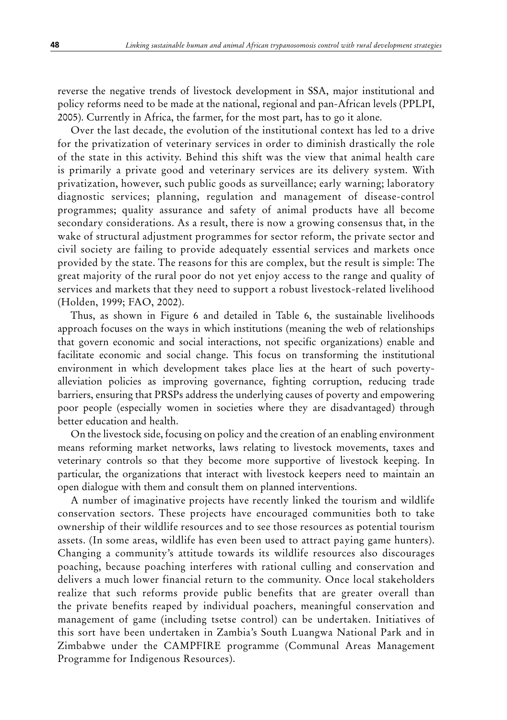reverse the negative trends of livestock development in SSA, major institutional and policy reforms need to be made at the national, regional and pan-African levels (PPLPI, 2005). Currently in Africa, the farmer, for the most part, has to go it alone.

Over the last decade, the evolution of the institutional context has led to a drive for the privatization of veterinary services in order to diminish drastically the role of the state in this activity. Behind this shift was the view that animal health care is primarily a private good and veterinary services are its delivery system. With privatization, however, such public goods as surveillance; early warning; laboratory diagnostic services; planning, regulation and management of disease-control programmes; quality assurance and safety of animal products have all become secondary considerations. As a result, there is now a growing consensus that, in the wake of structural adjustment programmes for sector reform, the private sector and civil society are failing to provide adequately essential services and markets once provided by the state. The reasons for this are complex, but the result is simple: The great majority of the rural poor do not yet enjoy access to the range and quality of services and markets that they need to support a robust livestock-related livelihood (Holden, 1999; FAO, 2002).

Thus, as shown in Figure 6 and detailed in Table 6, the sustainable livelihoods approach focuses on the ways in which institutions (meaning the web of relationships that govern economic and social interactions, not specific organizations) enable and facilitate economic and social change. This focus on transforming the institutional environment in which development takes place lies at the heart of such povertyalleviation policies as improving governance, fighting corruption, reducing trade barriers, ensuring that PRSPs address the underlying causes of poverty and empowering poor people (especially women in societies where they are disadvantaged) through better education and health.

On the livestock side, focusing on policy and the creation of an enabling environment means reforming market networks, laws relating to livestock movements, taxes and veterinary controls so that they become more supportive of livestock keeping. In particular, the organizations that interact with livestock keepers need to maintain an open dialogue with them and consult them on planned interventions.

A number of imaginative projects have recently linked the tourism and wildlife conservation sectors. These projects have encouraged communities both to take ownership of their wildlife resources and to see those resources as potential tourism assets. (In some areas, wildlife has even been used to attract paying game hunters). Changing a community's attitude towards its wildlife resources also discourages poaching, because poaching interferes with rational culling and conservation and delivers a much lower financial return to the community. Once local stakeholders realize that such reforms provide public benefits that are greater overall than the private benefits reaped by individual poachers, meaningful conservation and management of game (including tsetse control) can be undertaken. Initiatives of this sort have been undertaken in Zambia's South Luangwa National Park and in Zimbabwe under the CAMPFIRE programme (Communal Areas Management Programme for Indigenous Resources).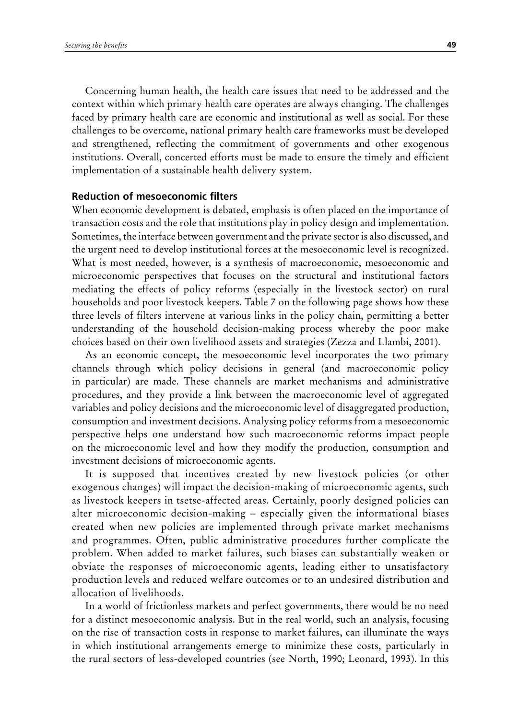Concerning human health, the health care issues that need to be addressed and the context within which primary health care operates are always changing. The challenges faced by primary health care are economic and institutional as well as social. For these challenges to be overcome, national primary health care frameworks must be developed and strengthened, reflecting the commitment of governments and other exogenous institutions. Overall, concerted efforts must be made to ensure the timely and efficient implementation of a sustainable health delivery system.

## **reduction of mesoeconomic filters**

When economic development is debated, emphasis is often placed on the importance of transaction costs and the role that institutions play in policy design and implementation. Sometimes, the interface between government and the private sector is also discussed, and the urgent need to develop institutional forces at the mesoeconomic level is recognized. What is most needed, however, is a synthesis of macroeconomic, mesoeconomic and microeconomic perspectives that focuses on the structural and institutional factors mediating the effects of policy reforms (especially in the livestock sector) on rural households and poor livestock keepers. Table 7 on the following page shows how these three levels of filters intervene at various links in the policy chain, permitting a better understanding of the household decision-making process whereby the poor make choices based on their own livelihood assets and strategies (Zezza and Llambi, 2001).

As an economic concept, the mesoeconomic level incorporates the two primary channels through which policy decisions in general (and macroeconomic policy in particular) are made. These channels are market mechanisms and administrative procedures, and they provide a link between the macroeconomic level of aggregated variables and policy decisions and the microeconomic level of disaggregated production, consumption and investment decisions. Analysing policy reforms from a mesoeconomic perspective helps one understand how such macroeconomic reforms impact people on the microeconomic level and how they modify the production, consumption and investment decisions of microeconomic agents.

It is supposed that incentives created by new livestock policies (or other exogenous changes) will impact the decision-making of microeconomic agents, such as livestock keepers in tsetse-affected areas. Certainly, poorly designed policies can alter microeconomic decision-making – especially given the informational biases created when new policies are implemented through private market mechanisms and programmes. Often, public administrative procedures further complicate the problem. When added to market failures, such biases can substantially weaken or obviate the responses of microeconomic agents, leading either to unsatisfactory production levels and reduced welfare outcomes or to an undesired distribution and allocation of livelihoods.

In a world of frictionless markets and perfect governments, there would be no need for a distinct mesoeconomic analysis. But in the real world, such an analysis, focusing on the rise of transaction costs in response to market failures, can illuminate the ways in which institutional arrangements emerge to minimize these costs, particularly in the rural sectors of less-developed countries (see North, 1990; Leonard, 1993). In this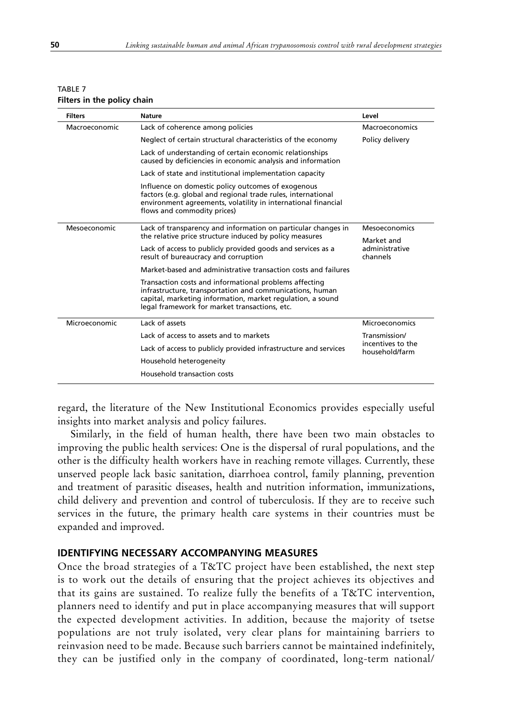| <b>Filters</b> | <b>Nature</b>                                                                                                                                                                                                                     | Level                               |
|----------------|-----------------------------------------------------------------------------------------------------------------------------------------------------------------------------------------------------------------------------------|-------------------------------------|
| Macroeconomic  | Lack of coherence among policies                                                                                                                                                                                                  | Macroeconomics                      |
|                | Neglect of certain structural characteristics of the economy                                                                                                                                                                      | Policy delivery                     |
|                | Lack of understanding of certain economic relationships<br>caused by deficiencies in economic analysis and information                                                                                                            |                                     |
|                | Lack of state and institutional implementation capacity                                                                                                                                                                           |                                     |
|                | Influence on domestic policy outcomes of exogenous<br>factors (e.g. global and regional trade rules, international<br>environment agreements, volatility in international financial<br>flows and commodity prices)                |                                     |
| Mesoeconomic   | Lack of transparency and information on particular changes in                                                                                                                                                                     | Mesoeconomics                       |
|                | the relative price structure induced by policy measures                                                                                                                                                                           | Market and                          |
|                | Lack of access to publicly provided goods and services as a<br>result of bureaucracy and corruption                                                                                                                               | administrative<br>channels          |
|                | Market-based and administrative transaction costs and failures                                                                                                                                                                    |                                     |
|                | Transaction costs and informational problems affecting<br>infrastructure, transportation and communications, human<br>capital, marketing information, market regulation, a sound<br>legal framework for market transactions, etc. |                                     |
| Microeconomic  | Lack of assets                                                                                                                                                                                                                    | Microeconomics                      |
|                | Lack of access to assets and to markets                                                                                                                                                                                           | Transmission/                       |
|                | Lack of access to publicly provided infrastructure and services                                                                                                                                                                   | incentives to the<br>household/farm |
|                | Household heterogeneity                                                                                                                                                                                                           |                                     |
|                | Household transaction costs                                                                                                                                                                                                       |                                     |

| <b>TABLE 7</b>              |  |  |
|-----------------------------|--|--|
| Filters in the policy chain |  |  |

regard, the literature of the New Institutional Economics provides especially useful insights into market analysis and policy failures.

Similarly, in the field of human health, there have been two main obstacles to improving the public health services: One is the dispersal of rural populations, and the other is the difficulty health workers have in reaching remote villages. Currently, these unserved people lack basic sanitation, diarrhoea control, family planning, prevention and treatment of parasitic diseases, health and nutrition information, immunizations, child delivery and prevention and control of tuberculosis. If they are to receive such services in the future, the primary health care systems in their countries must be expanded and improved.

## **Identifying necessary accompanying measures**

Once the broad strategies of a T&TC project have been established, the next step is to work out the details of ensuring that the project achieves its objectives and that its gains are sustained. To realize fully the benefits of a T&TC intervention, planners need to identify and put in place accompanying measures that will support the expected development activities. In addition, because the majority of tsetse populations are not truly isolated, very clear plans for maintaining barriers to reinvasion need to be made. Because such barriers cannot be maintained indefinitely, they can be justified only in the company of coordinated, long-term national/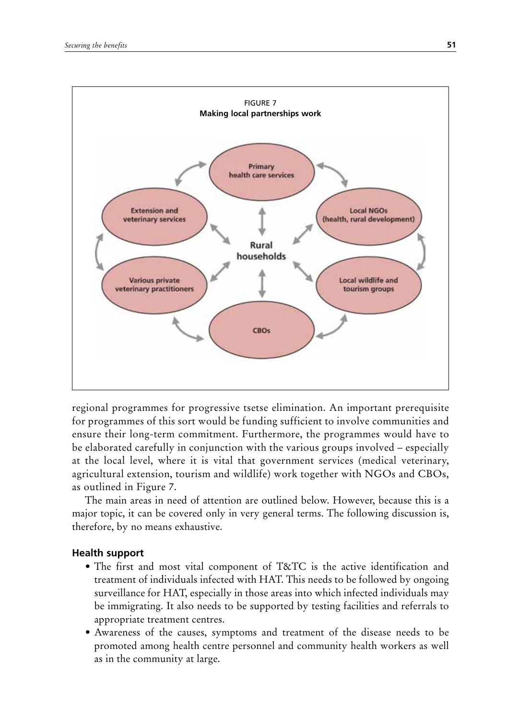

regional programmes for progressive tsetse elimination. An important prerequisite for programmes of this sort would be funding sufficient to involve communities and ensure their long-term commitment. Furthermore, the programmes would have to be elaborated carefully in conjunction with the various groups involved – especially at the local level, where it is vital that government services (medical veterinary, agricultural extension, tourism and wildlife) work together with NGOs and CBOs, as outlined in Figure 7.

The main areas in need of attention are outlined below. However, because this is a major topic, it can be covered only in very general terms. The following discussion is, therefore, by no means exhaustive.

## **Health support**

- The first and most vital component of T&TC is the active identification and treatment of individuals infected with HAT. This needs to be followed by ongoing surveillance for HAT, especially in those areas into which infected individuals may be immigrating. It also needs to be supported by testing facilities and referrals to appropriate treatment centres.
- Awareness of the causes, symptoms and treatment of the disease needs to be promoted among health centre personnel and community health workers as well as in the community at large.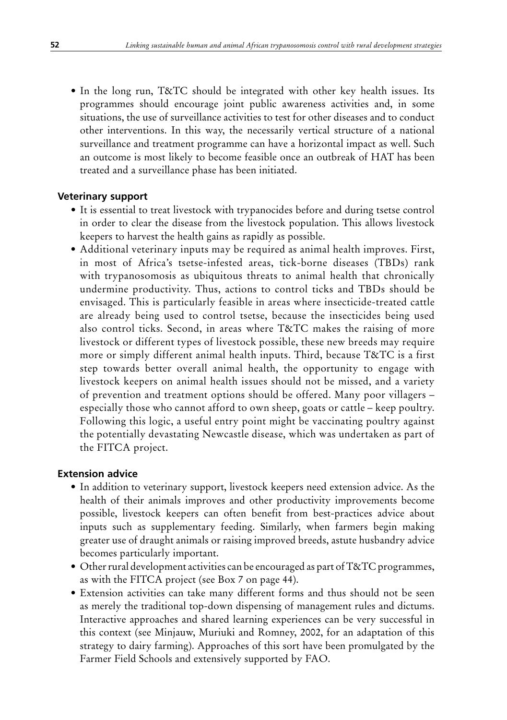• In the long run, T&TC should be integrated with other key health issues. Its programmes should encourage joint public awareness activities and, in some situations, the use of surveillance activities to test for other diseases and to conduct other interventions. In this way, the necessarily vertical structure of a national surveillance and treatment programme can have a horizontal impact as well. Such an outcome is most likely to become feasible once an outbreak of HAT has been treated and a surveillance phase has been initiated.

## **Veterinary support**

- It is essential to treat livestock with trypanocides before and during tsetse control in order to clear the disease from the livestock population. This allows livestock keepers to harvest the health gains as rapidly as possible.
- Additional veterinary inputs may be required as animal health improves. First, in most of Africa's tsetse-infested areas, tick-borne diseases (TBDs) rank with trypanosomosis as ubiquitous threats to animal health that chronically undermine productivity. Thus, actions to control ticks and TBDs should be envisaged. This is particularly feasible in areas where insecticide-treated cattle are already being used to control tsetse, because the insecticides being used also control ticks. Second, in areas where T&TC makes the raising of more livestock or different types of livestock possible, these new breeds may require more or simply different animal health inputs. Third, because T&TC is a first step towards better overall animal health, the opportunity to engage with livestock keepers on animal health issues should not be missed, and a variety of prevention and treatment options should be offered. Many poor villagers – especially those who cannot afford to own sheep, goats or cattle – keep poultry. Following this logic, a useful entry point might be vaccinating poultry against the potentially devastating Newcastle disease, which was undertaken as part of the FITCA project.

## **Extension advice**

- In addition to veterinary support, livestock keepers need extension advice. As the health of their animals improves and other productivity improvements become possible, livestock keepers can often benefit from best-practices advice about inputs such as supplementary feeding. Similarly, when farmers begin making greater use of draught animals or raising improved breeds, astute husbandry advice becomes particularly important.
- Other rural development activities can be encouraged as part of  $T\&T$ C programmes, as with the FITCA project (see Box 7 on page 44).
- Extension activities can take many different forms and thus should not be seen as merely the traditional top-down dispensing of management rules and dictums. Interactive approaches and shared learning experiences can be very successful in this context (see Minjauw, Muriuki and Romney, 2002, for an adaptation of this strategy to dairy farming). Approaches of this sort have been promulgated by the Farmer Field Schools and extensively supported by FAO.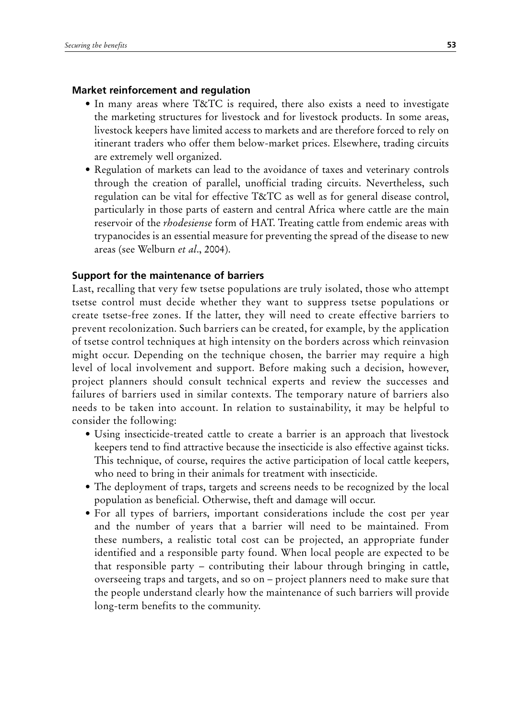## **Market reinforcement and regulation**

- In many areas where T&TC is required, there also exists a need to investigate the marketing structures for livestock and for livestock products. In some areas, livestock keepers have limited access to markets and are therefore forced to rely on itinerant traders who offer them below-market prices. Elsewhere, trading circuits are extremely well organized.
- Regulation of markets can lead to the avoidance of taxes and veterinary controls through the creation of parallel, unofficial trading circuits. Nevertheless, such regulation can be vital for effective T&TC as well as for general disease control, particularly in those parts of eastern and central Africa where cattle are the main reservoir of the *rhodesiense* form of HAT. Treating cattle from endemic areas with trypanocides is an essential measure for preventing the spread of the disease to new areas (see Welburn *et al*., 2004).

## **Support for the maintenance of barriers**

Last, recalling that very few tsetse populations are truly isolated, those who attempt tsetse control must decide whether they want to suppress tsetse populations or create tsetse-free zones. If the latter, they will need to create effective barriers to prevent recolonization. Such barriers can be created, for example, by the application of tsetse control techniques at high intensity on the borders across which reinvasion might occur. Depending on the technique chosen, the barrier may require a high level of local involvement and support. Before making such a decision, however, project planners should consult technical experts and review the successes and failures of barriers used in similar contexts. The temporary nature of barriers also needs to be taken into account. In relation to sustainability, it may be helpful to consider the following:

- Using insecticide-treated cattle to create a barrier is an approach that livestock keepers tend to find attractive because the insecticide is also effective against ticks. This technique, of course, requires the active participation of local cattle keepers, who need to bring in their animals for treatment with insecticide.
- The deployment of traps, targets and screens needs to be recognized by the local population as beneficial. Otherwise, theft and damage will occur.
- For all types of barriers, important considerations include the cost per year and the number of years that a barrier will need to be maintained. From these numbers, a realistic total cost can be projected, an appropriate funder identified and a responsible party found. When local people are expected to be that responsible party – contributing their labour through bringing in cattle, overseeing traps and targets, and so on – project planners need to make sure that the people understand clearly how the maintenance of such barriers will provide long-term benefits to the community.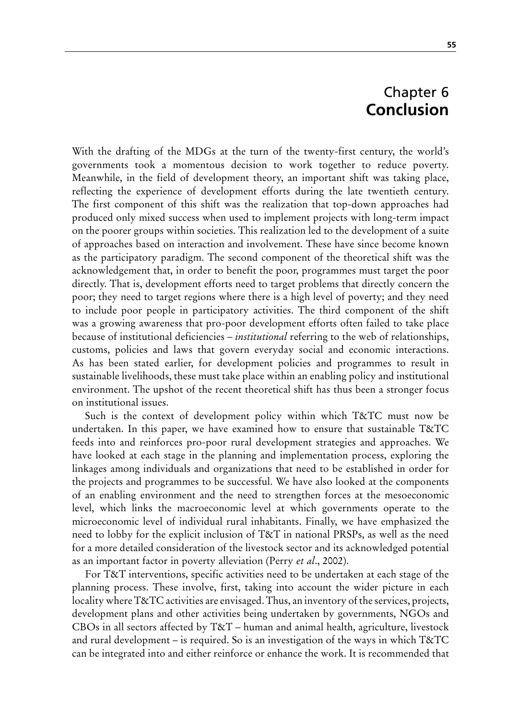# Chapter 6 **Conclusion**

With the drafting of the MDGs at the turn of the twenty-first century, the world's governments took a momentous decision to work together to reduce poverty. Meanwhile, in the field of development theory, an important shift was taking place, reflecting the experience of development efforts during the late twentieth century. The first component of this shift was the realization that top-down approaches had produced only mixed success when used to implement projects with long-term impact on the poorer groups within societies. This realization led to the development of a suite of approaches based on interaction and involvement. These have since become known as the participatory paradigm. The second component of the theoretical shift was the acknowledgement that, in order to benefit the poor, programmes must target the poor directly. That is, development efforts need to target problems that directly concern the poor; they need to target regions where there is a high level of poverty; and they need to include poor people in participatory activities. The third component of the shift was a growing awareness that pro-poor development efforts often failed to take place because of institutional deficiencies – *institutional* referring to the web of relationships, customs, policies and laws that govern everyday social and economic interactions. As has been stated earlier, for development policies and programmes to result in sustainable livelihoods, these must take place within an enabling policy and institutional environment. The upshot of the recent theoretical shift has thus been a stronger focus on institutional issues.

Such is the context of development policy within which T&TC must now be undertaken. In this paper, we have examined how to ensure that sustainable T&TC feeds into and reinforces pro-poor rural development strategies and approaches. We have looked at each stage in the planning and implementation process, exploring the linkages among individuals and organizations that need to be established in order for the projects and programmes to be successful. We have also looked at the components of an enabling environment and the need to strengthen forces at the mesoeconomic level, which links the macroeconomic level at which governments operate to the microeconomic level of individual rural inhabitants. Finally, we have emphasized the need to lobby for the explicit inclusion of T&T in national PRSPs, as well as the need for a more detailed consideration of the livestock sector and its acknowledged potential as an important factor in poverty alleviation (Perry *et al*., 2002).

For T&T interventions, specific activities need to be undertaken at each stage of the planning process. These involve, first, taking into account the wider picture in each locality where T&TC activities are envisaged. Thus, an inventory of the services, projects, development plans and other activities being undertaken by governments, NGOs and CBOs in all sectors affected by T&T – human and animal health, agriculture, livestock and rural development – is required. So is an investigation of the ways in which  $T\&T\,C$ can be integrated into and either reinforce or enhance the work. It is recommended that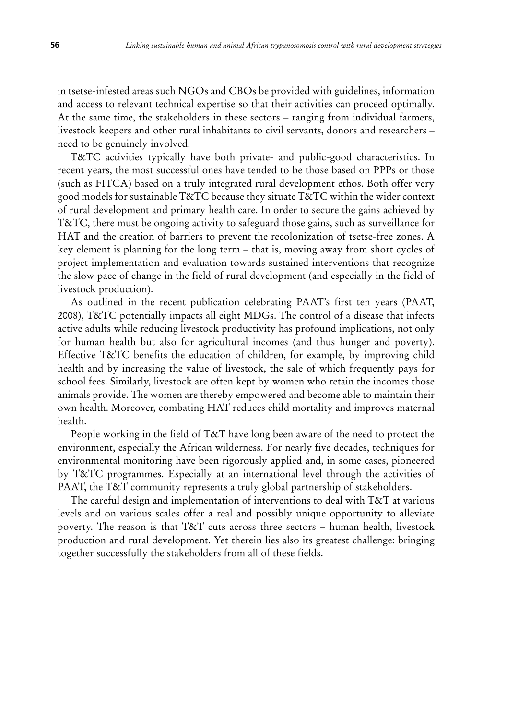in tsetse-infested areas such NGOs and CBOs be provided with guidelines, information and access to relevant technical expertise so that their activities can proceed optimally. At the same time, the stakeholders in these sectors – ranging from individual farmers, livestock keepers and other rural inhabitants to civil servants, donors and researchers – need to be genuinely involved.

T&TC activities typically have both private- and public-good characteristics. In recent years, the most successful ones have tended to be those based on PPPs or those (such as FITCA) based on a truly integrated rural development ethos. Both offer very good models for sustainable T&TC because they situate T&TC within the wider context of rural development and primary health care. In order to secure the gains achieved by T&TC, there must be ongoing activity to safeguard those gains, such as surveillance for HAT and the creation of barriers to prevent the recolonization of tsetse-free zones. A key element is planning for the long term – that is, moving away from short cycles of project implementation and evaluation towards sustained interventions that recognize the slow pace of change in the field of rural development (and especially in the field of livestock production).

As outlined in the recent publication celebrating PAAT's first ten years (PAAT, 2008), T&TC potentially impacts all eight MDGs. The control of a disease that infects active adults while reducing livestock productivity has profound implications, not only for human health but also for agricultural incomes (and thus hunger and poverty). Effective T&TC benefits the education of children, for example, by improving child health and by increasing the value of livestock, the sale of which frequently pays for school fees. Similarly, livestock are often kept by women who retain the incomes those animals provide. The women are thereby empowered and become able to maintain their own health. Moreover, combating HAT reduces child mortality and improves maternal health.

People working in the field of T&T have long been aware of the need to protect the environment, especially the African wilderness. For nearly five decades, techniques for environmental monitoring have been rigorously applied and, in some cases, pioneered by T&TC programmes. Especially at an international level through the activities of PAAT, the T&T community represents a truly global partnership of stakeholders.

The careful design and implementation of interventions to deal with T&T at various levels and on various scales offer a real and possibly unique opportunity to alleviate poverty. The reason is that T&T cuts across three sectors – human health, livestock production and rural development. Yet therein lies also its greatest challenge: bringing together successfully the stakeholders from all of these fields.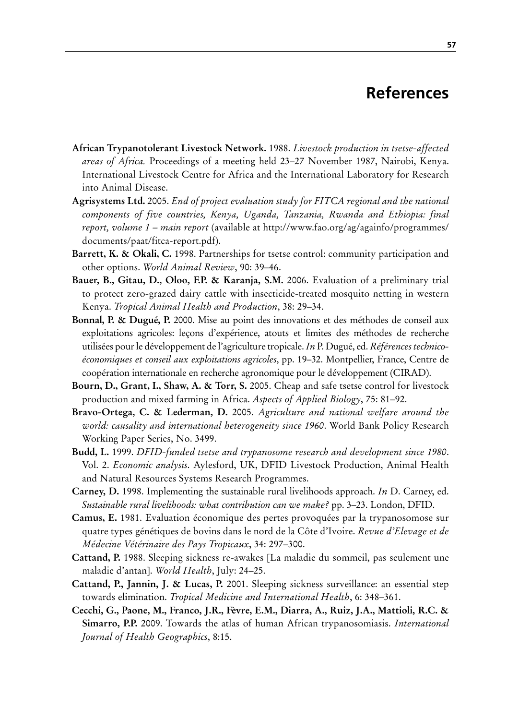# **References**

- **African Trypanotolerant Livestock Network.** 1988. *Livestock production in tsetse-affected areas of Africa.* Proceedings of a meeting held 23–27 November 1987, Nairobi, Kenya. International Livestock Centre for Africa and the International Laboratory for Research into Animal Disease.
- **Agrisystems Ltd.** 2005. *End of project evaluation study for FITCA regional and the national components of five countries, Kenya, Uganda, Tanzania, Rwanda and Ethiopia: final report, volume 1 – main report* (available at http://www.fao.org/ag/againfo/programmes/ documents/paat/fitca-report.pdf).
- **Barrett, K. & Okali, C.** 1998. Partnerships for tsetse control: community participation and other options. *World Animal Review*, 90: 39–46.
- **Bauer, B., Gitau, D., Oloo, F.P. & Karanja, S.M.** 2006. Evaluation of a preliminary trial to protect zero-grazed dairy cattle with insecticide-treated mosquito netting in western Kenya. *Tropical Animal Health and Production*, 38: 29–34.
- **Bonnal, P. & Dugué, P.** 2000. Mise au point des innovations et des méthodes de conseil aux exploitations agricoles: leçons d'expérience, atouts et limites des méthodes de recherche utilisées pour le développement de l'agriculture tropicale. *In* P. Dugué, ed. *Références technicoéconomiques et conseil aux exploitations agricoles*, pp. 19–32. Montpellier, France, Centre de coopération internationale en recherche agronomique pour le développement (CIRAD).
- **Bourn, D., Grant, I., Shaw, A. & Torr, S.** 2005. Cheap and safe tsetse control for livestock production and mixed farming in Africa. *Aspects of Applied Biology*, 75: 81–92.
- **Bravo-Ortega, C. & Lederman, D.** 2005. *Agriculture and national welfare around the world: causality and international heterogeneity since 1960*. World Bank Policy Research Working Paper Series, No. 3499.
- **Budd, L.** 1999. *DFID-funded tsetse and trypanosome research and development since 1980*. Vol. 2. *Economic analysis*. Aylesford, UK, DFID Livestock Production, Animal Health and Natural Resources Systems Research Programmes.
- **Carney, D.** 1998. Implementing the sustainable rural livelihoods approach. *In* D. Carney, ed. *Sustainable rural livelihoods: what contribution can we make?* pp. 3–23. London, DFID.
- **Camus, E.** 1981. Evaluation économique des pertes provoquées par la trypanosomose sur quatre types génétiques de bovins dans le nord de la Côte d'Ivoire. *Revue d'Elevage et de Médecine Vétérinaire des Pays Tropicaux*, 34: 297–300.
- **Cattand, P.** 1988. Sleeping sickness re-awakes [La maladie du sommeil, pas seulement une maladie d'antan]. *World Health*, July: 24–25.
- **Cattand, P., Jannin, J. & Lucas, P.** 2001. Sleeping sickness surveillance: an essential step towards elimination. *Tropical Medicine and International Health*, 6: 348–361.
- **Cecchi, G., Paone, M., Franco, J.R., Fèvre, E.M., Diarra, A., Ruiz, J.A., Mattioli, R.C. & Simarro, P.P.** 2009. Towards the atlas of human African trypanosomiasis. *International Journal of Health Geographics*, 8:15.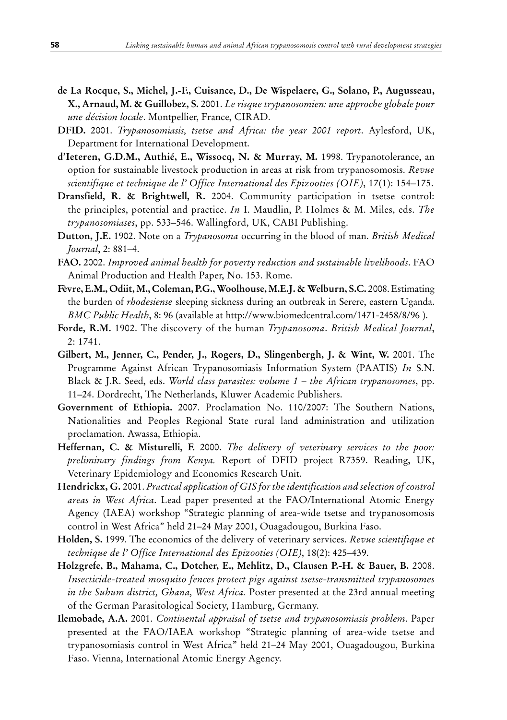- **de La Rocque, S., Michel, J.-F., Cuisance, D., De Wispelaere, G., Solano, P., Augusseau, X., Arnaud, M. & Guillobez, S.** 2001. *Le risque trypanosomien: une approche globale pour une décision locale*. Montpellier, France, CIRAD.
- **DFID.** 2001. *Trypanosomiasis, tsetse and Africa: the year 2001 report*. Aylesford, UK, Department for International Development.
- **d'Ieteren, G.D.M., Authié, E., Wissocq, N. & Murray, M.** 1998. Trypanotolerance, an option for sustainable livestock production in areas at risk from trypanosomosis. *Revue scientifique et technique de l' Office International des Epizooties (OIE)*, 17(1): 154–175.
- **Dransfield, R. & Brightwell, R.** 2004. Community participation in tsetse control: the principles, potential and practice. *In* I. Maudlin, P. Holmes & M. Miles, eds. *The trypanosomiases*, pp. 533–546. Wallingford, UK, CABI Publishing.
- **Dutton, J.E.** 1902. Note on a *Trypanosoma* occurring in the blood of man. *British Medical Journal*, 2: 881–4.
- **FAO.** 2002. *Improved animal health for poverty reduction and sustainable livelihoods*. FAO Animal Production and Health Paper, No. 153. Rome.
- **Fèvre, E.M., Odiit, M., Coleman, P.G., Woolhouse, M.E.J. & Welburn, S.C.** 2008. Estimating the burden of *rhodesiense* sleeping sickness during an outbreak in Serere, eastern Uganda. *BMC Public Health*, 8: 96 (available at http://www.biomedcentral.com/1471-2458/8/96 ).
- **Forde, R.M.** 1902. The discovery of the human *Trypanosoma*. *British Medical Journal*, 2: 1741.
- **Gilbert, M., Jenner, C., Pender, J., Rogers, D., Slingenbergh, J. & Wint, W.** 2001. The Programme Against African Trypanosomiasis Information System (PAATIS) *In* S.N. Black & J.R. Seed, eds. *World class parasites: volume 1 – the African trypanosomes*, pp. 11–24. Dordrecht, The Netherlands, Kluwer Academic Publishers.
- **Government of Ethiopia.** 2007. Proclamation No. 110/2007: The Southern Nations, Nationalities and Peoples Regional State rural land administration and utilization proclamation. Awassa, Ethiopia.
- **Heffernan, C. & Misturelli, F.** 2000. *The delivery of veterinary services to the poor: preliminary findings from Kenya.* Report of DFID project R7359. Reading, UK, Veterinary Epidemiology and Economics Research Unit.
- **Hendrickx, G.** 2001. *Practical application of GIS for the identification and selection of control areas in West Africa*. Lead paper presented at the FAO/International Atomic Energy Agency (IAEA) workshop "Strategic planning of area-wide tsetse and trypanosomosis control in West Africa" held 21–24 May 2001, Ouagadougou, Burkina Faso.
- **Holden, S.** 1999. The economics of the delivery of veterinary services. *Revue scientifique et technique de l' Office International des Epizooties (OIE)*, 18(2): 425–439.
- **Holzgrefe, B., Mahama, C., Dotcher, E., Mehlitz, D., Clausen P.-H. & Bauer, B.** 2008. *Insecticide-treated mosquito fences protect pigs against tsetse-transmitted trypanosomes in the Suhum district, Ghana, West Africa.* Poster presented at the 23rd annual meeting of the German Parasitological Society, Hamburg, Germany.
- **Ilemobade, A.A.** 2001. *Continental appraisal of tsetse and trypanosomiasis problem*. Paper presented at the FAO/IAEA workshop "Strategic planning of area-wide tsetse and trypanosomiasis control in West Africa" held 21–24 May 2001, Ouagadougou, Burkina Faso. Vienna, International Atomic Energy Agency.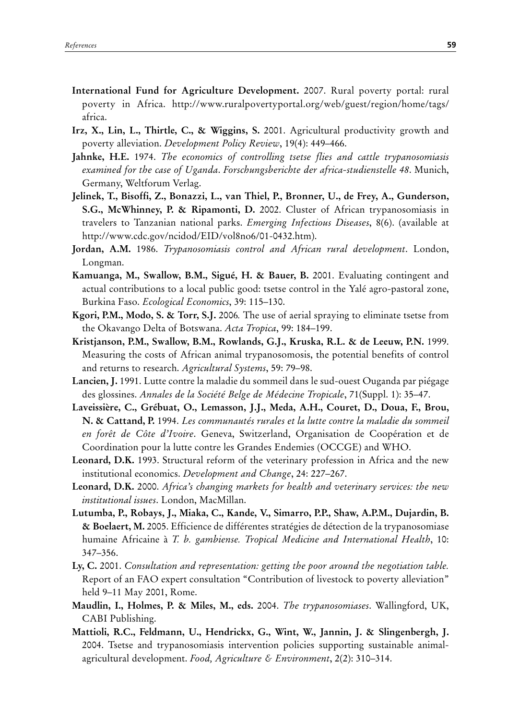- **International Fund for Agriculture Development.** 2007. Rural poverty portal: rural poverty in Africa. http://www.ruralpovertyportal.org/web/guest/region/home/tags/ africa.
- **Irz, X., Lin, L., Thirtle, C., & Wiggins, S.** 2001. Agricultural productivity growth and poverty alleviation. *Development Policy Review*, 19(4): 449–466.
- **Jahnke, H.E.** 1974. *The economics of controlling tsetse flies and cattle trypanosomiasis examined for the case of Uganda*. *Forschungsberichte der africa-studienstelle 48*. Munich, Germany, Weltforum Verlag.
- **Jelinek, T., Bisoffi, Z., Bonazzi, L., van Thiel, P., Bronner, U., de Frey, A., Gunderson, S.G., McWhinney, P. & Ripamonti, D.** 2002. Cluster of African trypanosomiasis in travelers to Tanzanian national parks. *Emerging Infectious Diseases*, 8(6). (available at http://www.cdc.gov/ncidod/EID/vol8no6/01-0432.htm).
- **Jordan, A.M.** 1986. *Trypanosomiasis control and African rural development*. London, Longman.
- **Kamuanga, M., Swallow, B.M., Sigué, H. & Bauer, B.** 2001. Evaluating contingent and actual contributions to a local public good: tsetse control in the Yalé agro-pastoral zone, Burkina Faso. *Ecological Economics*, 39: 115–130.
- **Kgori, P.M., Modo, S. & Torr, S.J.** 2006*.* The use of aerial spraying to eliminate tsetse from the Okavango Delta of Botswana. *Acta Tropica*, 99: 184–199.
- **Kristjanson, P.M., Swallow, B.M., Rowlands, G.J., Kruska, R.L. & de Leeuw, P.N.** 1999. Measuring the costs of African animal trypanosomosis, the potential benefits of control and returns to research. *Agricultural Systems*, 59: 79–98.
- **Lancien, J.** 1991. Lutte contre la maladie du sommeil dans le sud-ouest Ouganda par piégage des glossines. *Annales de la Société Belge de Médecine Tropicale*, 71(Suppl. 1): 35–47.
- **Laveissière, C., Grébuat, O., Lemasson, J.J., Meda, A.H., Couret, D., Doua, F., Brou, N. & Cattand, P.** 1994. *Les communautés rurales et la lutte contre la maladie du sommeil en forêt de Côte d'Ivoire*. Geneva, Switzerland, Organisation de Coopération et de Coordination pour la lutte contre les Grandes Endemies (OCCGE) and WHO.
- **Leonard, D.K.** 1993. Structural reform of the veterinary profession in Africa and the new institutional economics. *Development and Change*, 24: 227–267.
- **Leonard, D.K.** 2000. *Africa's changing markets for health and veterinary services: the new institutional issues*. London, MacMillan.
- **Lutumba, P., Robays, J., Miaka, C., Kande, V., Simarro, P.P., Shaw, A.P.M., Dujardin, B. & Boelaert, M.** 2005. Efficience de différentes stratégies de détection de la trypanosomiase humaine Africaine à *T. b. gambiense. Tropical Medicine and International Health*, 10: 347–356.
- **Ly, C.** 2001. *Consultation and representation: getting the poor around the negotiation table.*  Report of an FAO expert consultation "Contribution of livestock to poverty alleviation" held 9–11 May 2001, Rome.
- **Maudlin, I., Holmes, P. & Miles, M., eds.** 2004. *The trypanosomiases*. Wallingford, UK, CABI Publishing.
- **Mattioli, R.C., Feldmann, U., Hendrickx, G., Wint, W., Jannin, J. & Slingenbergh, J.**  2004. Tsetse and trypanosomiasis intervention policies supporting sustainable animalagricultural development. *Food, Agriculture & Environment*, 2(2): 310–314.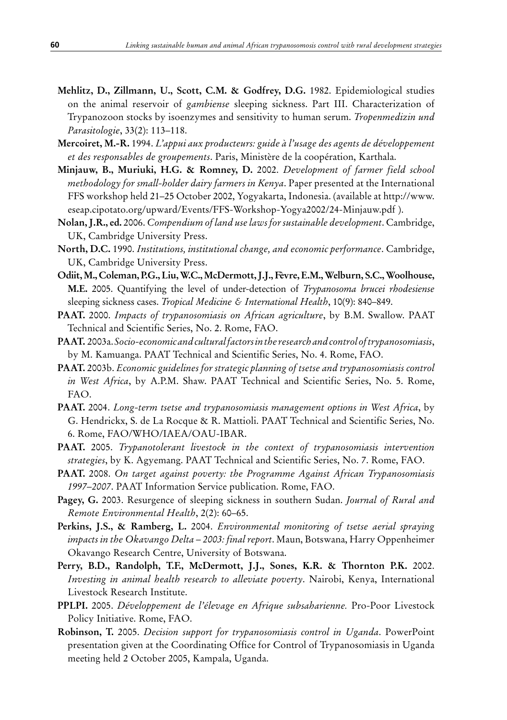- **Mehlitz, D., Zillmann, U., Scott, C.M. & Godfrey, D.G.** 1982. Epidemiological studies on the animal reservoir of *gambiense* sleeping sickness. Part III. Characterization of Trypanozoon stocks by isoenzymes and sensitivity to human serum. *Tropenmedizin und Parasitologie*, 33(2): 113–118.
- **Mercoiret, M.-R.** 1994. *L'appui aux producteurs: guide à l'usage des agents de développement et des responsables de groupements*. Paris, Ministère de la coopération, Karthala.
- **Minjauw, B., Muriuki, H.G. & Romney, D.** 2002. *Development of farmer field school methodology for small-holder dairy farmers in Kenya*. Paper presented at the International FFS workshop held 21–25 October 2002, Yogyakarta, Indonesia. (available at http://www. eseap.cipotato.org/upward/Events/FFS-Workshop-Yogya2002/24-Minjauw.pdf ).
- **Nolan, J.R., ed.** 2006. *Compendium of land use laws for sustainable development*. Cambridge, UK, Cambridge University Press.
- **North, D.C.** 1990. *Institutions, institutional change, and economic performance*. Cambridge, UK, Cambridge University Press.
- **Odiit, M., Coleman, P.G., Liu, W.C., McDermott, J.J., Fèvre, E.M., Welburn, S.C., Woolhouse, M.E.** 2005. Quantifying the level of under-detection of *Trypanosoma brucei rhodesiense* sleeping sickness cases. *Tropical Medicine & International Health*, 10(9): 840–849.
- **PAAT.** 2000. *Impacts of trypanosomiasis on African agriculture*, by B.M. Swallow. PAAT Technical and Scientific Series, No. 2. Rome, FAO.
- **PAAT.** 2003a. *Socio-economic and cultural factors in the research and control of trypanosomiasis*, by M. Kamuanga. PAAT Technical and Scientific Series, No. 4. Rome, FAO.
- **PAAT.** 2003b. *Economic guidelines for strategic planning of tsetse and trypanosomiasis control in West Africa*, by A.P.M. Shaw. PAAT Technical and Scientific Series, No. 5. Rome, FAO.
- **PAAT.** 2004. *Long-term tsetse and trypanosomiasis management options in West Africa*, by G. Hendrickx, S. de La Rocque & R. Mattioli. PAAT Technical and Scientific Series, No. 6. Rome, FAO/WHO/IAEA/OAU-IBAR.
- **PAAT.** 2005. *Trypanotolerant livestock in the context of trypanosomiasis intervention strategies*, by K. Agyemang. PAAT Technical and Scientific Series, No. 7. Rome, FAO.
- **PAAT.** 2008. *On target against poverty: the Programme Against African Trypanosomiasis 1997–2007*. PAAT Information Service publication. Rome, FAO.
- **Pagey, G.** 2003. Resurgence of sleeping sickness in southern Sudan. *Journal of Rural and Remote Environmental Health*, 2(2): 60–65.
- **Perkins, J.S., & Ramberg, L.** 2004. *Environmental monitoring of tsetse aerial spraying impacts in the Okavango Delta – 2003: final report*. Maun, Botswana, Harry Oppenheimer Okavango Research Centre, University of Botswana.
- **Perry, B.D., Randolph, T.F., McDermott, J.J., Sones, K.R. & Thornton P.K.** 2002. *Investing in animal health research to alleviate poverty*. Nairobi, Kenya, International Livestock Research Institute.
- **PPLPI.** 2005. *Développement de l'élevage en Afrique subsaharienne.* Pro-Poor Livestock Policy Initiative. Rome, FAO.
- **Robinson, T.** 2005. *Decision support for trypanosomiasis control in Uganda*. PowerPoint presentation given at the Coordinating Office for Control of Trypanosomiasis in Uganda meeting held 2 October 2005, Kampala, Uganda.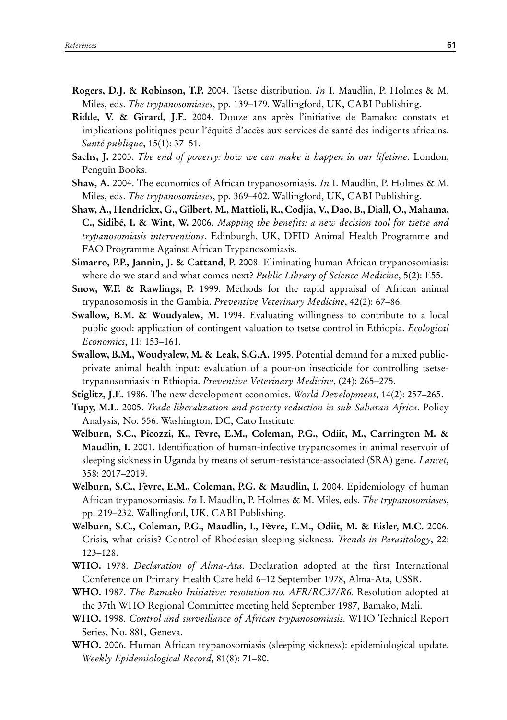- **Rogers, D.J. & Robinson, T.P.** 2004. Tsetse distribution. *In* I. Maudlin, P. Holmes & M. Miles, eds. *The trypanosomiases*, pp. 139–179. Wallingford, UK, CABI Publishing.
- **Ridde, V. & Girard, J.E.** 2004. Douze ans après l'initiative de Bamako: constats et implications politiques pour l'équité d'accès aux services de santé des indigents africains. *Santé publique*, 15(1): 37–51.
- **Sachs, J.** 2005. *The end of poverty: how we can make it happen in our lifetime*. London, Penguin Books.
- **Shaw, A.** 2004. The economics of African trypanosomiasis. *In* I. Maudlin, P. Holmes & M. Miles, eds. *The trypanosomiases*, pp. 369–402. Wallingford, UK, CABI Publishing.
- **Shaw, A., Hendrickx, G., Gilbert, M., Mattioli, R., Codjia, V., Dao, B., Diall, O., Mahama, C., Sidibé, I. & Wint, W.** 2006. *Mapping the benefits: a new decision tool for tsetse and trypanosomiasis interventions*. Edinburgh, UK, DFID Animal Health Programme and FAO Programme Against African Trypanosomiasis.
- **Simarro, P.P., Jannin, J. & Cattand, P.** 2008. Eliminating human African trypanosomiasis: where do we stand and what comes next? *Public Library of Science Medicine*, 5(2): E55.
- **Snow, W.F. & Rawlings, P.** 1999. Methods for the rapid appraisal of African animal trypanosomosis in the Gambia. *Preventive Veterinary Medicine*, 42(2): 67–86.
- **Swallow, B.M. & Woudyalew, M.** 1994. Evaluating willingness to contribute to a local public good: application of contingent valuation to tsetse control in Ethiopia. *Ecological Economics*, 11: 153–161.
- **Swallow, B.M., Woudyalew, M. & Leak, S.G.A.** 1995. Potential demand for a mixed publicprivate animal health input: evaluation of a pour-on insecticide for controlling tsetsetrypanosomiasis in Ethiopia. *Preventive Veterinary Medicine*, (24): 265–275.
- **Stiglitz, J.E.** 1986. The new development economics. *World Development*, 14(2): 257–265.
- **Tupy, M.L.** 2005. *Trade liberalization and poverty reduction in sub-Saharan Africa*. Policy Analysis, No. 556. Washington, DC, Cato Institute.
- **Welburn, S.C., Picozzi, K., Fèvre, E.M., Coleman, P.G., Odiit, M., Carrington M. & Maudlin, I.** 2001. Identification of human-infective trypanosomes in animal reservoir of sleeping sickness in Uganda by means of serum-resistance-associated (SRA) gene. *Lancet,*  358: 2017–2019.
- **Welburn, S.C., Fèvre, E.M., Coleman, P.G. & Maudlin, I.** 2004. Epidemiology of human African trypanosomiasis. *In* I. Maudlin, P. Holmes & M. Miles, eds. *The trypanosomiases*, pp. 219–232. Wallingford, UK, CABI Publishing.
- **Welburn, S.C., Coleman, P.G., Maudlin, I., Fèvre, E.M., Odiit, M. & Eisler, M.C.** 2006. Crisis, what crisis? Control of Rhodesian sleeping sickness. *Trends in Parasitology*, 22: 123–128.
- **WHO.** 1978. *Declaration of Alma-Ata*. Declaration adopted at the first International Conference on Primary Health Care held 6–12 September 1978, Alma-Ata, USSR.
- **WHO.** 1987. *The Bamako Initiative: resolution no. AFR/RC37/R6.* Resolution adopted at the 37th WHO Regional Committee meeting held September 1987, Bamako, Mali.
- **WHO.** 1998. *Control and surveillance of African trypanosomiasis*. WHO Technical Report Series, No. 881, Geneva.
- **WHO.** 2006. Human African trypanosomiasis (sleeping sickness): epidemiological update. *Weekly Epidemiological Record*, 81(8): 71–80.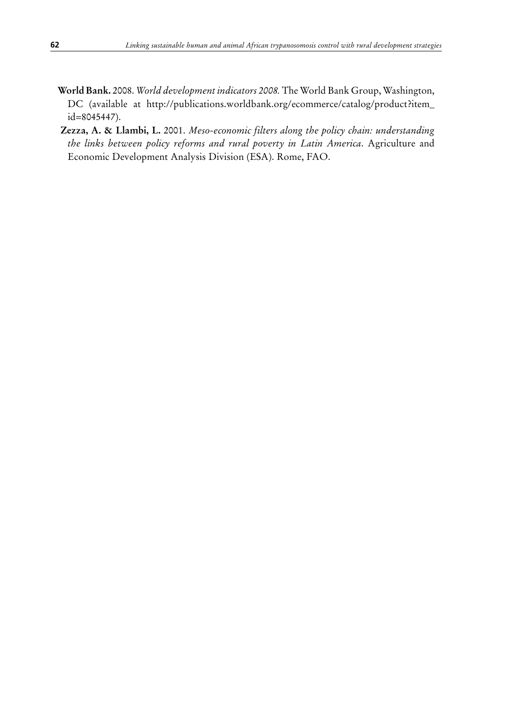- **World Bank.** 2008. *World development indicators 2008.* The World Bank Group, Washington, DC (available at http://publications.worldbank.org/ecommerce/catalog/product?item\_ id=8045447).
- **Zezza, A. & Llambi, L.** 2001. *Meso-economic filters along the policy chain: understanding the links between policy reforms and rural poverty in Latin America*. Agriculture and Economic Development Analysis Division (ESA). Rome, FAO.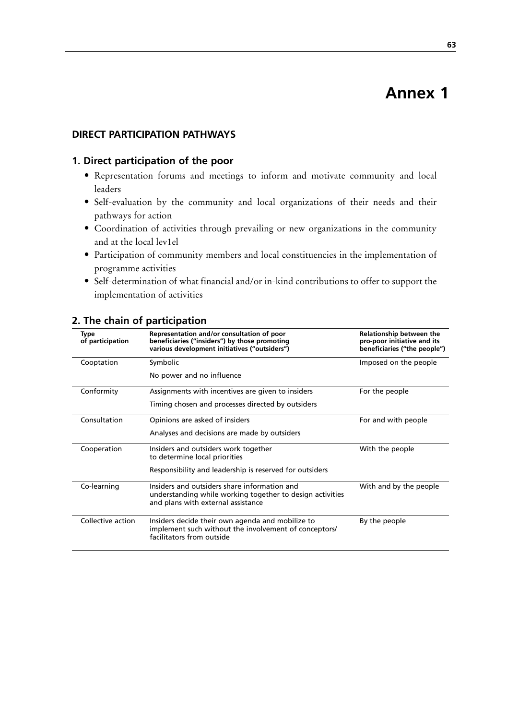# **Annex 1**

### **DIRECT PARTICIPATION PATHWAYS**

## **1. Direct participation of the poor**

- • Representation forums and meetings to inform and motivate community and local leaders
- • Self-evaluation by the community and local organizations of their needs and their pathways for action
- • Coordination of activities through prevailing or new organizations in the community and at the local lev1el
- • Participation of community members and local constituencies in the implementation of programme activities
- • Self-determination of what financial and/or in-kind contributions to offer to support the implementation of activities

| Type<br>of participation | Representation and/or consultation of poor<br>beneficiaries ("insiders") by those promoting<br>various development initiatives ("outsiders")    | Relationship between the<br>pro-poor initiative and its<br>beneficiaries ("the people") |
|--------------------------|-------------------------------------------------------------------------------------------------------------------------------------------------|-----------------------------------------------------------------------------------------|
| Cooptation               | Symbolic                                                                                                                                        | Imposed on the people                                                                   |
|                          | No power and no influence                                                                                                                       |                                                                                         |
| Conformity               | Assignments with incentives are given to insiders                                                                                               | For the people                                                                          |
|                          | Timing chosen and processes directed by outsiders                                                                                               |                                                                                         |
| Consultation             | Opinions are asked of insiders                                                                                                                  | For and with people                                                                     |
|                          | Analyses and decisions are made by outsiders                                                                                                    |                                                                                         |
| Cooperation              | Insiders and outsiders work together<br>to determine local priorities                                                                           | With the people                                                                         |
|                          | Responsibility and leadership is reserved for outsiders                                                                                         |                                                                                         |
| Co-learning              | Insiders and outsiders share information and<br>understanding while working together to design activities<br>and plans with external assistance | With and by the people                                                                  |
| Collective action        | Insiders decide their own agenda and mobilize to<br>implement such without the involvement of conceptors/<br>facilitators from outside          | By the people                                                                           |

### **2. The chain of participation**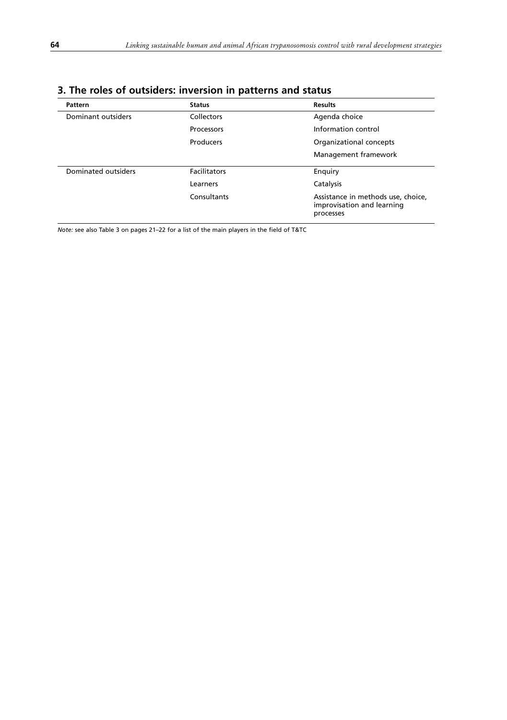| <b>Pattern</b>      | <b>Status</b>       | <b>Results</b>                                                                |
|---------------------|---------------------|-------------------------------------------------------------------------------|
| Dominant outsiders  | Collectors          | Agenda choice                                                                 |
|                     | Processors          | Information control                                                           |
|                     | Producers           | Organizational concepts                                                       |
|                     |                     | Management framework                                                          |
| Dominated outsiders | <b>Facilitators</b> | Enquiry                                                                       |
|                     | Learners            | Catalysis                                                                     |
|                     | Consultants         | Assistance in methods use, choice,<br>improvisation and learning<br>processes |

# **3. The roles of outsiders: inversion in patterns and status**

*Note:* see also Table 3 on pages 21–22 for a list of the main players in the field of T&TC